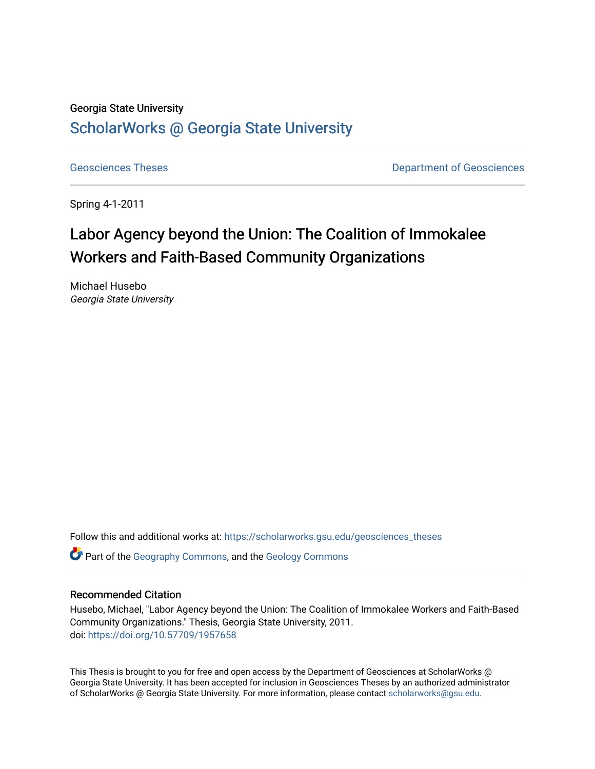## Georgia State University [ScholarWorks @ Georgia State University](https://scholarworks.gsu.edu/)

[Geosciences Theses](https://scholarworks.gsu.edu/geosciences_theses) **Department of Geosciences** 

Spring 4-1-2011

# Labor Agency beyond the Union: The Coalition of Immokalee Workers and Faith-Based Community Organizations

Michael Husebo Georgia State University

Follow this and additional works at: [https://scholarworks.gsu.edu/geosciences\\_theses](https://scholarworks.gsu.edu/geosciences_theses?utm_source=scholarworks.gsu.edu%2Fgeosciences_theses%2F34&utm_medium=PDF&utm_campaign=PDFCoverPages)

Part of the [Geography Commons,](http://network.bepress.com/hgg/discipline/354?utm_source=scholarworks.gsu.edu%2Fgeosciences_theses%2F34&utm_medium=PDF&utm_campaign=PDFCoverPages) and the [Geology Commons](http://network.bepress.com/hgg/discipline/156?utm_source=scholarworks.gsu.edu%2Fgeosciences_theses%2F34&utm_medium=PDF&utm_campaign=PDFCoverPages) 

#### Recommended Citation

Husebo, Michael, "Labor Agency beyond the Union: The Coalition of Immokalee Workers and Faith-Based Community Organizations." Thesis, Georgia State University, 2011. doi: <https://doi.org/10.57709/1957658>

This Thesis is brought to you for free and open access by the Department of Geosciences at ScholarWorks @ Georgia State University. It has been accepted for inclusion in Geosciences Theses by an authorized administrator of ScholarWorks @ Georgia State University. For more information, please contact [scholarworks@gsu.edu.](mailto:scholarworks@gsu.edu)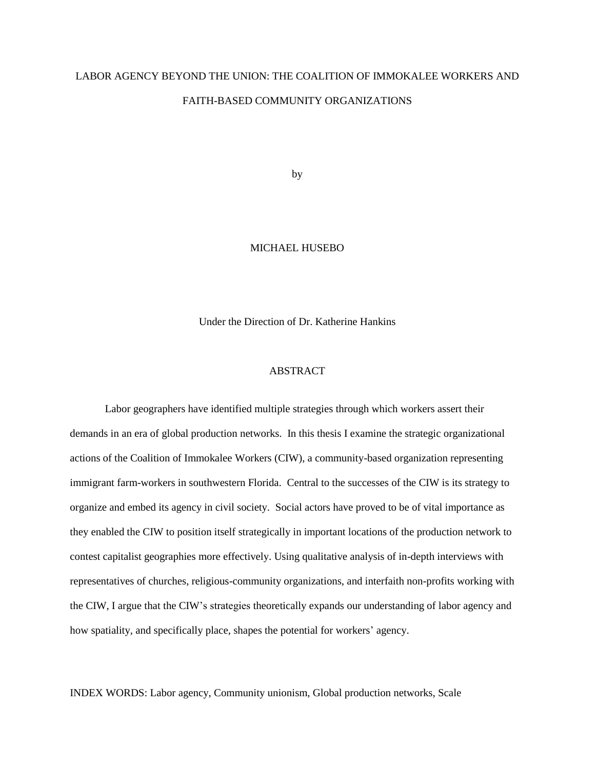## LABOR AGENCY BEYOND THE UNION: THE COALITION OF IMMOKALEE WORKERS AND FAITH-BASED COMMUNITY ORGANIZATIONS

by

#### MICHAEL HUSEBO

Under the Direction of Dr. Katherine Hankins

#### **ABSTRACT**

Labor geographers have identified multiple strategies through which workers assert their demands in an era of global production networks. In this thesis I examine the strategic organizational actions of the Coalition of Immokalee Workers (CIW), a community-based organization representing immigrant farm-workers in southwestern Florida. Central to the successes of the CIW is its strategy to organize and embed its agency in civil society. Social actors have proved to be of vital importance as they enabled the CIW to position itself strategically in important locations of the production network to contest capitalist geographies more effectively. Using qualitative analysis of in-depth interviews with representatives of churches, religious-community organizations, and interfaith non-profits working with the CIW, I argue that the CIW's strategies theoretically expands our understanding of labor agency and how spatiality, and specifically place, shapes the potential for workers' agency.

INDEX WORDS: Labor agency, Community unionism, Global production networks, Scale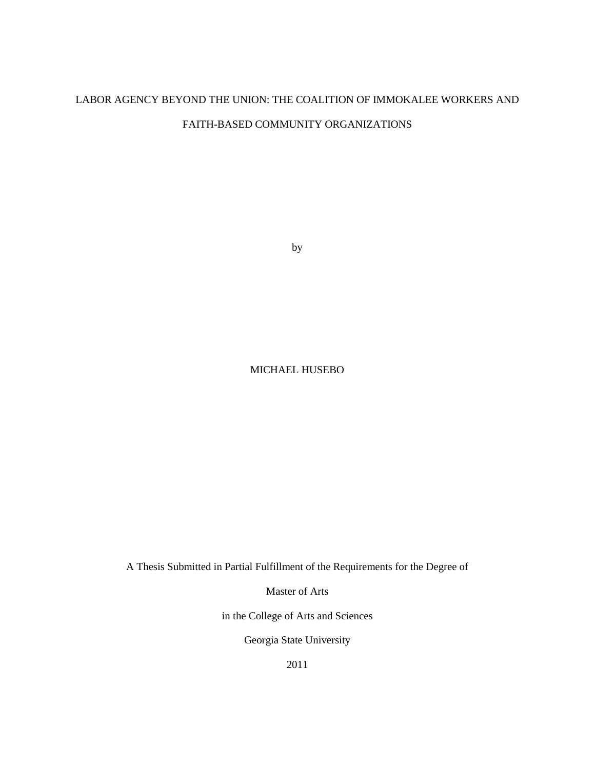## LABOR AGENCY BEYOND THE UNION: THE COALITION OF IMMOKALEE WORKERS AND

## FAITH-BASED COMMUNITY ORGANIZATIONS

by

## MICHAEL HUSEBO

A Thesis Submitted in Partial Fulfillment of the Requirements for the Degree of

Master of Arts

in the College of Arts and Sciences

Georgia State University

2011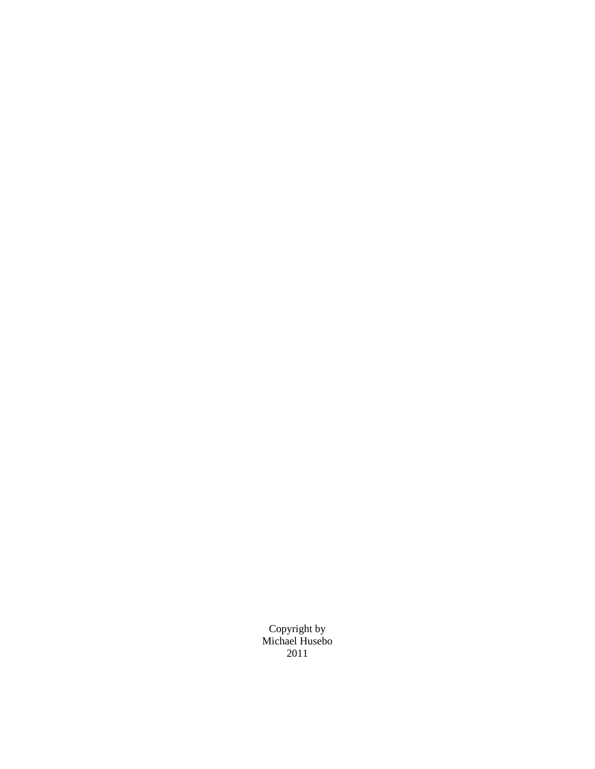Copyright by Michael Husebo 2011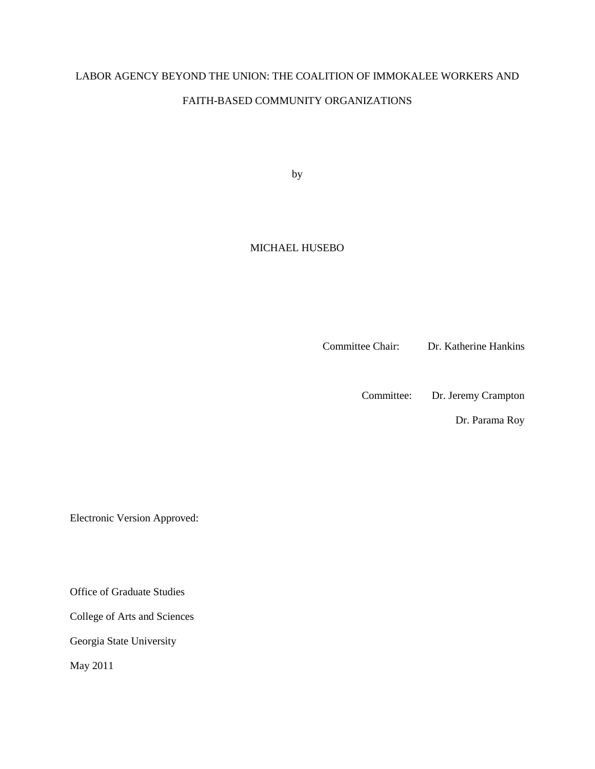## LABOR AGENCY BEYOND THE UNION: THE COALITION OF IMMOKALEE WORKERS AND

#### FAITH-BASED COMMUNITY ORGANIZATIONS

by

## MICHAEL HUSEBO

Committee Chair: Dr. Katherine Hankins

Committee: Dr. Jeremy Crampton

Dr. Parama Roy

Electronic Version Approved:

Office of Graduate Studies

College of Arts and Sciences

Georgia State University

May 2011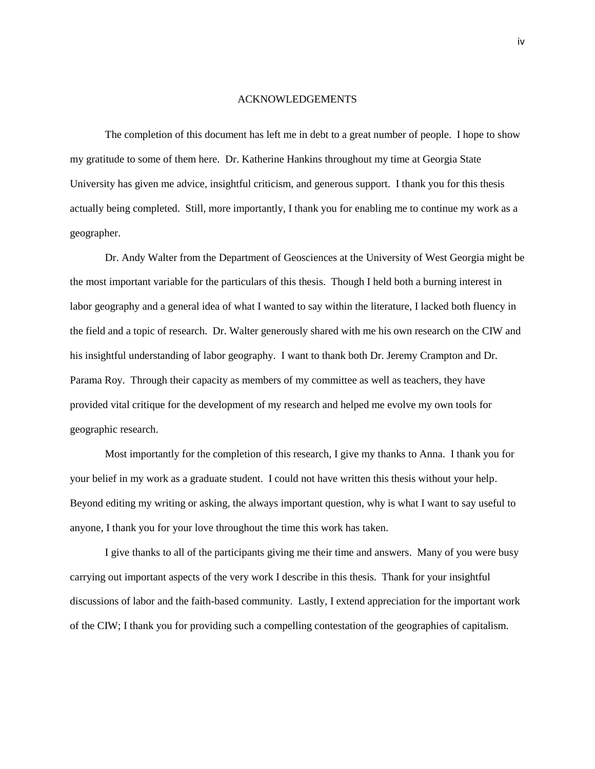#### <span id="page-5-0"></span>ACKNOWLEDGEMENTS

The completion of this document has left me in debt to a great number of people. I hope to show my gratitude to some of them here. Dr. Katherine Hankins throughout my time at Georgia State University has given me advice, insightful criticism, and generous support. I thank you for this thesis actually being completed. Still, more importantly, I thank you for enabling me to continue my work as a geographer.

Dr. Andy Walter from the Department of Geosciences at the University of West Georgia might be the most important variable for the particulars of this thesis. Though I held both a burning interest in labor geography and a general idea of what I wanted to say within the literature, I lacked both fluency in the field and a topic of research. Dr. Walter generously shared with me his own research on the CIW and his insightful understanding of labor geography. I want to thank both Dr. Jeremy Crampton and Dr. Parama Roy. Through their capacity as members of my committee as well as teachers, they have provided vital critique for the development of my research and helped me evolve my own tools for geographic research.

Most importantly for the completion of this research, I give my thanks to Anna. I thank you for your belief in my work as a graduate student. I could not have written this thesis without your help. Beyond editing my writing or asking, the always important question, why is what I want to say useful to anyone, I thank you for your love throughout the time this work has taken.

I give thanks to all of the participants giving me their time and answers. Many of you were busy carrying out important aspects of the very work I describe in this thesis. Thank for your insightful discussions of labor and the faith-based community. Lastly, I extend appreciation for the important work of the CIW; I thank you for providing such a compelling contestation of the geographies of capitalism.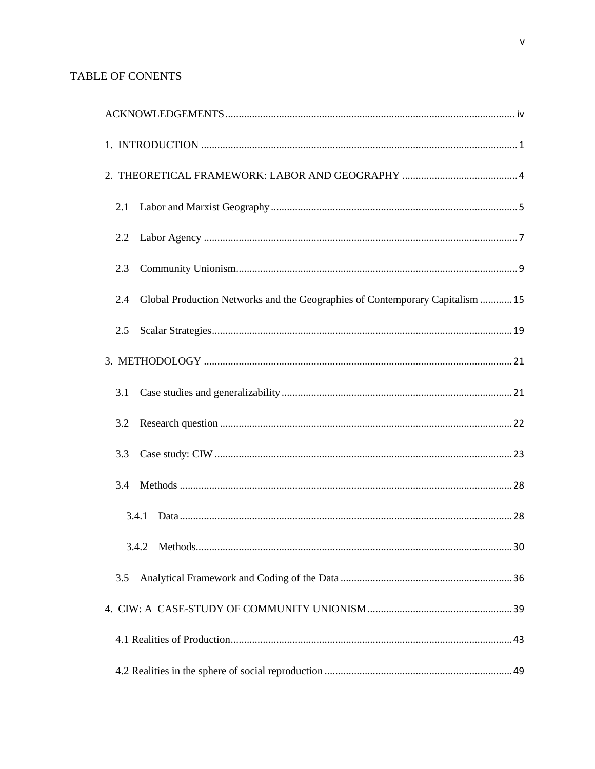## **TABLE OF CONENTS**

| 2.1                                                                                  |
|--------------------------------------------------------------------------------------|
| 2.2                                                                                  |
| 2.3                                                                                  |
| Global Production Networks and the Geographies of Contemporary Capitalism  15<br>2.4 |
| 2.5                                                                                  |
|                                                                                      |
| 3.1                                                                                  |
| 3.2                                                                                  |
| 3.3                                                                                  |
| 3.4                                                                                  |
| 3.4.1                                                                                |
|                                                                                      |
| 3.5                                                                                  |
|                                                                                      |
|                                                                                      |
|                                                                                      |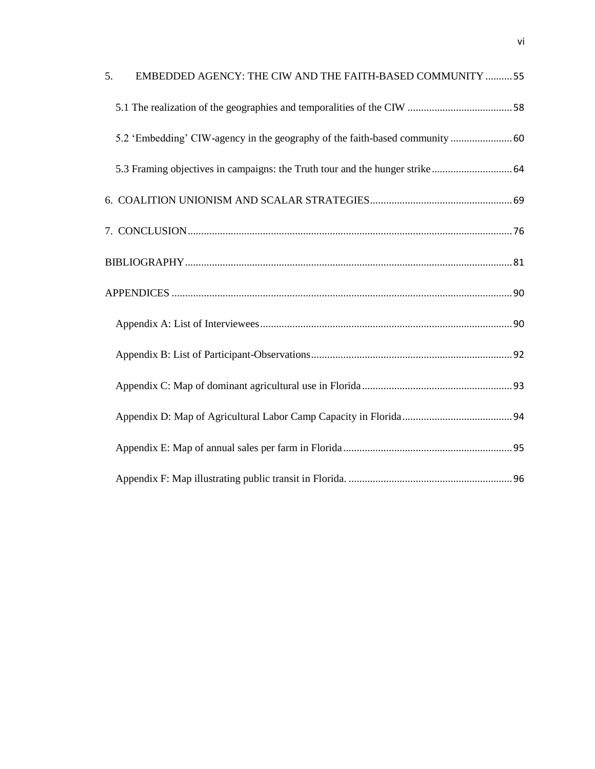| 5. | EMBEDDED AGENCY: THE CIW AND THE FAITH-BASED COMMUNITY  55                   |  |
|----|------------------------------------------------------------------------------|--|
|    |                                                                              |  |
|    | 5.2 'Embedding' CIW-agency in the geography of the faith-based community  60 |  |
|    |                                                                              |  |
|    |                                                                              |  |
|    |                                                                              |  |
|    |                                                                              |  |
|    |                                                                              |  |
|    |                                                                              |  |
|    |                                                                              |  |
|    |                                                                              |  |
|    |                                                                              |  |
|    |                                                                              |  |
|    |                                                                              |  |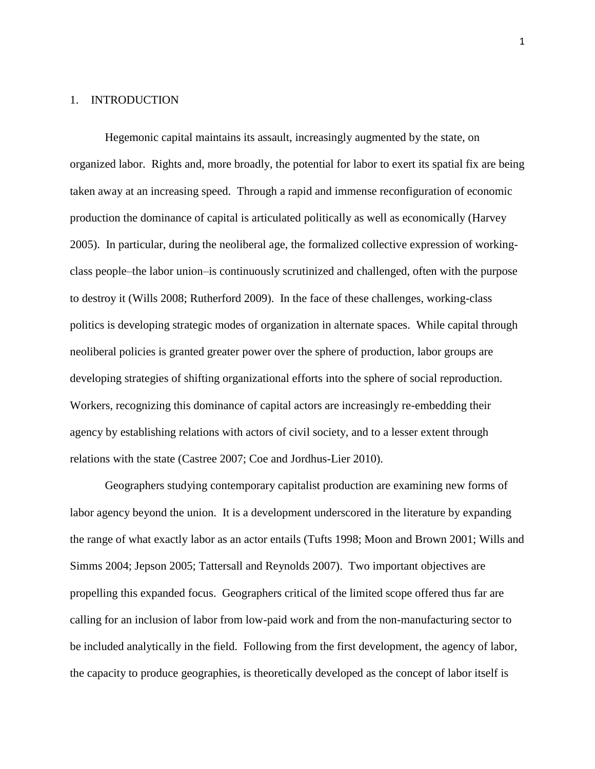#### <span id="page-8-0"></span>1. INTRODUCTION

Hegemonic capital maintains its assault, increasingly augmented by the state, on organized labor. Rights and, more broadly, the potential for labor to exert its spatial fix are being taken away at an increasing speed. Through a rapid and immense reconfiguration of economic production the dominance of capital is articulated politically as well as economically (Harvey 2005). In particular, during the neoliberal age, the formalized collective expression of workingclass people–the labor union–is continuously scrutinized and challenged, often with the purpose to destroy it (Wills 2008; Rutherford 2009). In the face of these challenges, working-class politics is developing strategic modes of organization in alternate spaces. While capital through neoliberal policies is granted greater power over the sphere of production, labor groups are developing strategies of shifting organizational efforts into the sphere of social reproduction. Workers, recognizing this dominance of capital actors are increasingly re-embedding their agency by establishing relations with actors of civil society, and to a lesser extent through relations with the state (Castree 2007; Coe and Jordhus-Lier 2010).

Geographers studying contemporary capitalist production are examining new forms of labor agency beyond the union. It is a development underscored in the literature by expanding the range of what exactly labor as an actor entails (Tufts 1998; Moon and Brown 2001; Wills and Simms 2004; Jepson 2005; Tattersall and Reynolds 2007). Two important objectives are propelling this expanded focus. Geographers critical of the limited scope offered thus far are calling for an inclusion of labor from low-paid work and from the non-manufacturing sector to be included analytically in the field. Following from the first development, the agency of labor, the capacity to produce geographies, is theoretically developed as the concept of labor itself is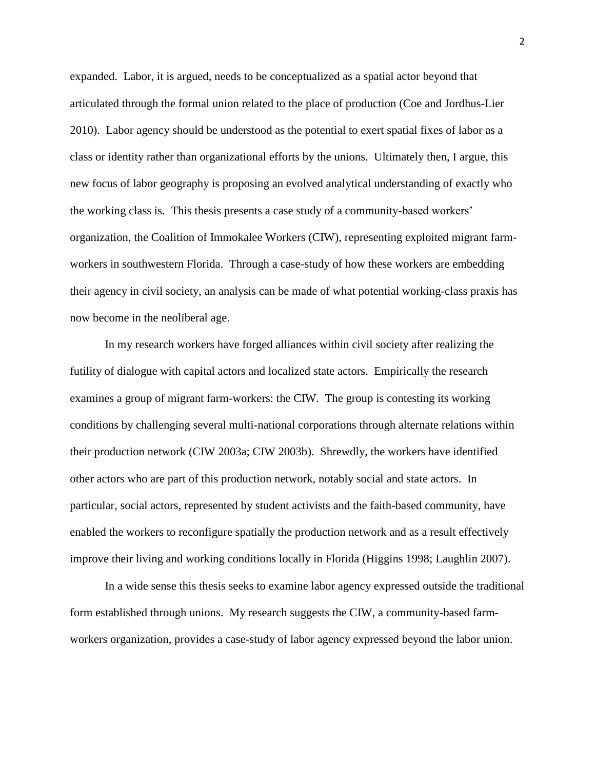expanded. Labor, it is argued, needs to be conceptualized as a spatial actor beyond that articulated through the formal union related to the place of production (Coe and Jordhus-Lier 2010). Labor agency should be understood as the potential to exert spatial fixes of labor as a class or identity rather than organizational efforts by the unions. Ultimately then, I argue, this new focus of labor geography is proposing an evolved analytical understanding of exactly who the working class is. This thesis presents a case study of a community-based workers' organization, the Coalition of Immokalee Workers (CIW), representing exploited migrant farmworkers in southwestern Florida. Through a case-study of how these workers are embedding their agency in civil society, an analysis can be made of what potential working-class praxis has now become in the neoliberal age.

In my research workers have forged alliances within civil society after realizing the futility of dialogue with capital actors and localized state actors. Empirically the research examines a group of migrant farm-workers: the CIW. The group is contesting its working conditions by challenging several multi-national corporations through alternate relations within their production network (CIW 2003a; CIW 2003b). Shrewdly, the workers have identified other actors who are part of this production network, notably social and state actors. In particular, social actors, represented by student activists and the faith-based community, have enabled the workers to reconfigure spatially the production network and as a result effectively improve their living and working conditions locally in Florida (Higgins 1998; Laughlin 2007).

In a wide sense this thesis seeks to examine labor agency expressed outside the traditional form established through unions. My research suggests the CIW, a community-based farmworkers organization, provides a case-study of labor agency expressed beyond the labor union.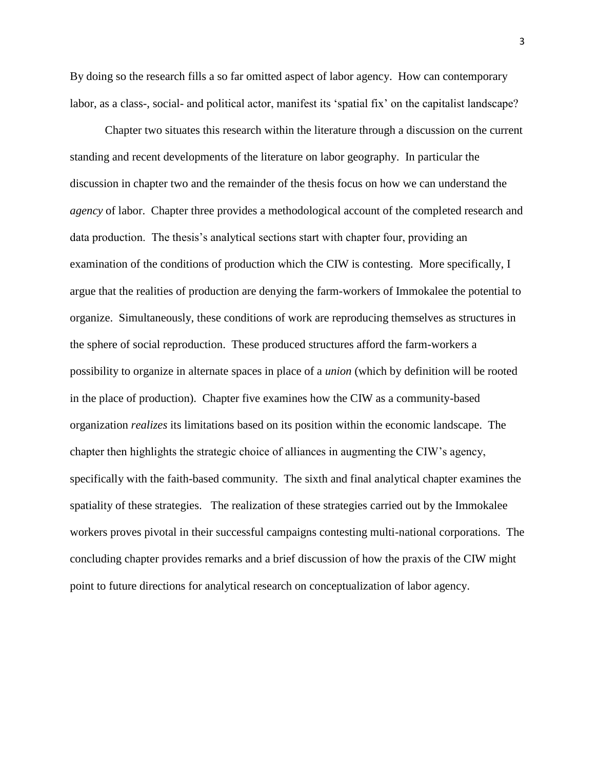By doing so the research fills a so far omitted aspect of labor agency. How can contemporary labor, as a class-, social- and political actor, manifest its 'spatial fix' on the capitalist landscape?

Chapter two situates this research within the literature through a discussion on the current standing and recent developments of the literature on labor geography. In particular the discussion in chapter two and the remainder of the thesis focus on how we can understand the *agency* of labor. Chapter three provides a methodological account of the completed research and data production. The thesis's analytical sections start with chapter four, providing an examination of the conditions of production which the CIW is contesting. More specifically, I argue that the realities of production are denying the farm-workers of Immokalee the potential to organize. Simultaneously, these conditions of work are reproducing themselves as structures in the sphere of social reproduction. These produced structures afford the farm-workers a possibility to organize in alternate spaces in place of a *union* (which by definition will be rooted in the place of production). Chapter five examines how the CIW as a community-based organization *realizes* its limitations based on its position within the economic landscape. The chapter then highlights the strategic choice of alliances in augmenting the CIW's agency, specifically with the faith-based community. The sixth and final analytical chapter examines the spatiality of these strategies. The realization of these strategies carried out by the Immokalee workers proves pivotal in their successful campaigns contesting multi-national corporations. The concluding chapter provides remarks and a brief discussion of how the praxis of the CIW might point to future directions for analytical research on conceptualization of labor agency.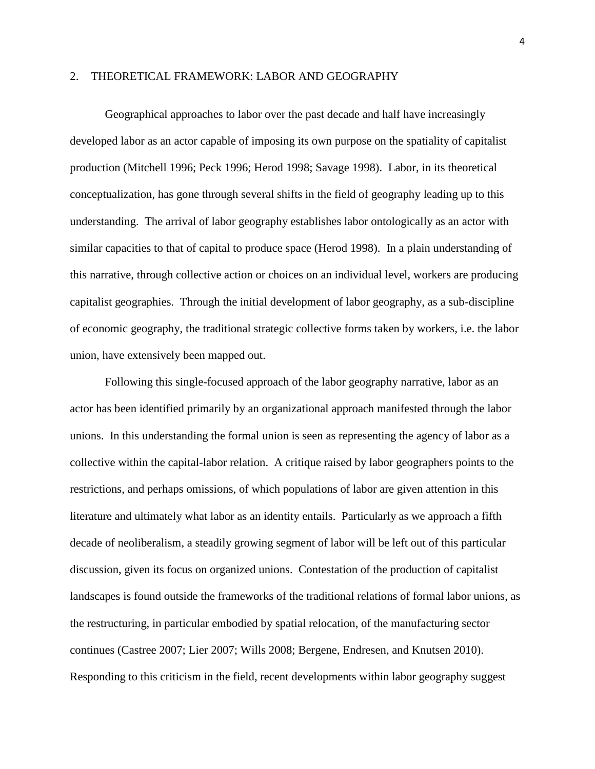## <span id="page-11-0"></span>2. THEORETICAL FRAMEWORK: LABOR AND GEOGRAPHY

Geographical approaches to labor over the past decade and half have increasingly developed labor as an actor capable of imposing its own purpose on the spatiality of capitalist production (Mitchell 1996; Peck 1996; Herod 1998; Savage 1998). Labor, in its theoretical conceptualization, has gone through several shifts in the field of geography leading up to this understanding. The arrival of labor geography establishes labor ontologically as an actor with similar capacities to that of capital to produce space (Herod 1998). In a plain understanding of this narrative, through collective action or choices on an individual level, workers are producing capitalist geographies. Through the initial development of labor geography, as a sub-discipline of economic geography, the traditional strategic collective forms taken by workers, i.e. the labor union, have extensively been mapped out.

Following this single-focused approach of the labor geography narrative, labor as an actor has been identified primarily by an organizational approach manifested through the labor unions. In this understanding the formal union is seen as representing the agency of labor as a collective within the capital-labor relation. A critique raised by labor geographers points to the restrictions, and perhaps omissions, of which populations of labor are given attention in this literature and ultimately what labor as an identity entails. Particularly as we approach a fifth decade of neoliberalism, a steadily growing segment of labor will be left out of this particular discussion, given its focus on organized unions. Contestation of the production of capitalist landscapes is found outside the frameworks of the traditional relations of formal labor unions, as the restructuring, in particular embodied by spatial relocation, of the manufacturing sector continues (Castree 2007; Lier 2007; Wills 2008; Bergene, Endresen, and Knutsen 2010). Responding to this criticism in the field, recent developments within labor geography suggest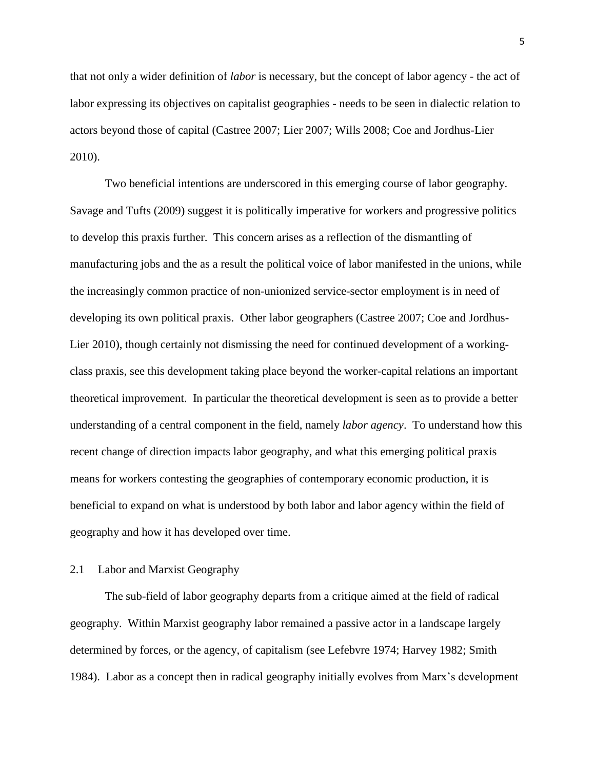that not only a wider definition of *labor* is necessary, but the concept of labor agency - the act of labor expressing its objectives on capitalist geographies - needs to be seen in dialectic relation to actors beyond those of capital (Castree 2007; Lier 2007; Wills 2008; Coe and Jordhus-Lier 2010).

Two beneficial intentions are underscored in this emerging course of labor geography. Savage and Tufts (2009) suggest it is politically imperative for workers and progressive politics to develop this praxis further. This concern arises as a reflection of the dismantling of manufacturing jobs and the as a result the political voice of labor manifested in the unions, while the increasingly common practice of non-unionized service-sector employment is in need of developing its own political praxis. Other labor geographers (Castree 2007; Coe and Jordhus-Lier 2010), though certainly not dismissing the need for continued development of a workingclass praxis, see this development taking place beyond the worker-capital relations an important theoretical improvement. In particular the theoretical development is seen as to provide a better understanding of a central component in the field, namely *labor agency*. To understand how this recent change of direction impacts labor geography, and what this emerging political praxis means for workers contesting the geographies of contemporary economic production, it is beneficial to expand on what is understood by both labor and labor agency within the field of geography and how it has developed over time.

## <span id="page-12-0"></span>2.1 Labor and Marxist Geography

The sub-field of labor geography departs from a critique aimed at the field of radical geography. Within Marxist geography labor remained a passive actor in a landscape largely determined by forces, or the agency, of capitalism (see Lefebvre 1974; Harvey 1982; Smith 1984). Labor as a concept then in radical geography initially evolves from Marx's development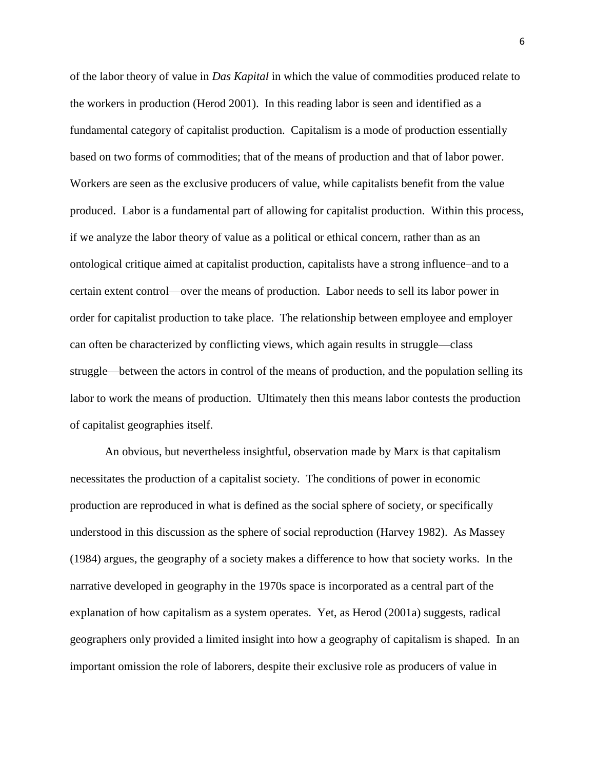of the labor theory of value in *Das Kapital* in which the value of commodities produced relate to the workers in production (Herod 2001). In this reading labor is seen and identified as a fundamental category of capitalist production. Capitalism is a mode of production essentially based on two forms of commodities; that of the means of production and that of labor power. Workers are seen as the exclusive producers of value, while capitalists benefit from the value produced. Labor is a fundamental part of allowing for capitalist production. Within this process, if we analyze the labor theory of value as a political or ethical concern, rather than as an ontological critique aimed at capitalist production, capitalists have a strong influence–and to a certain extent control—over the means of production. Labor needs to sell its labor power in order for capitalist production to take place. The relationship between employee and employer can often be characterized by conflicting views, which again results in struggle—class struggle—between the actors in control of the means of production, and the population selling its labor to work the means of production. Ultimately then this means labor contests the production of capitalist geographies itself.

An obvious, but nevertheless insightful, observation made by Marx is that capitalism necessitates the production of a capitalist society. The conditions of power in economic production are reproduced in what is defined as the social sphere of society, or specifically understood in this discussion as the sphere of social reproduction (Harvey 1982). As Massey (1984) argues, the geography of a society makes a difference to how that society works. In the narrative developed in geography in the 1970s space is incorporated as a central part of the explanation of how capitalism as a system operates. Yet, as Herod (2001a) suggests, radical geographers only provided a limited insight into how a geography of capitalism is shaped. In an important omission the role of laborers, despite their exclusive role as producers of value in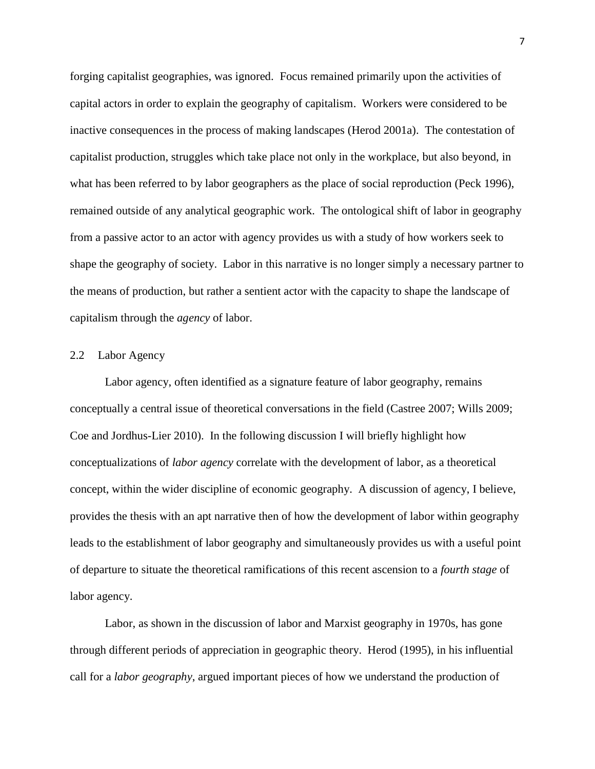forging capitalist geographies, was ignored. Focus remained primarily upon the activities of capital actors in order to explain the geography of capitalism. Workers were considered to be inactive consequences in the process of making landscapes (Herod 2001a). The contestation of capitalist production, struggles which take place not only in the workplace, but also beyond, in what has been referred to by labor geographers as the place of social reproduction (Peck 1996), remained outside of any analytical geographic work. The ontological shift of labor in geography from a passive actor to an actor with agency provides us with a study of how workers seek to shape the geography of society. Labor in this narrative is no longer simply a necessary partner to the means of production, but rather a sentient actor with the capacity to shape the landscape of capitalism through the *agency* of labor.

#### <span id="page-14-0"></span>2.2 Labor Agency

Labor agency, often identified as a signature feature of labor geography, remains conceptually a central issue of theoretical conversations in the field (Castree 2007; Wills 2009; Coe and Jordhus-Lier 2010). In the following discussion I will briefly highlight how conceptualizations of *labor agency* correlate with the development of labor, as a theoretical concept, within the wider discipline of economic geography. A discussion of agency, I believe, provides the thesis with an apt narrative then of how the development of labor within geography leads to the establishment of labor geography and simultaneously provides us with a useful point of departure to situate the theoretical ramifications of this recent ascension to a *fourth stage* of labor agency.

Labor, as shown in the discussion of labor and Marxist geography in 1970s, has gone through different periods of appreciation in geographic theory. Herod (1995), in his influential call for a *labor geography*, argued important pieces of how we understand the production of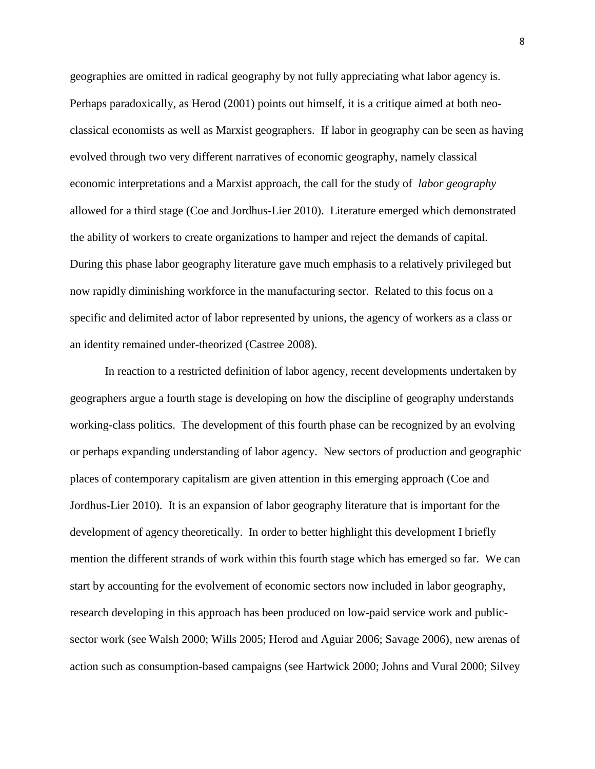geographies are omitted in radical geography by not fully appreciating what labor agency is. Perhaps paradoxically, as Herod (2001) points out himself, it is a critique aimed at both neoclassical economists as well as Marxist geographers. If labor in geography can be seen as having evolved through two very different narratives of economic geography, namely classical economic interpretations and a Marxist approach, the call for the study of *labor geography* allowed for a third stage (Coe and Jordhus-Lier 2010). Literature emerged which demonstrated the ability of workers to create organizations to hamper and reject the demands of capital. During this phase labor geography literature gave much emphasis to a relatively privileged but now rapidly diminishing workforce in the manufacturing sector. Related to this focus on a specific and delimited actor of labor represented by unions, the agency of workers as a class or an identity remained under-theorized (Castree 2008).

In reaction to a restricted definition of labor agency, recent developments undertaken by geographers argue a fourth stage is developing on how the discipline of geography understands working-class politics. The development of this fourth phase can be recognized by an evolving or perhaps expanding understanding of labor agency. New sectors of production and geographic places of contemporary capitalism are given attention in this emerging approach (Coe and Jordhus-Lier 2010). It is an expansion of labor geography literature that is important for the development of agency theoretically. In order to better highlight this development I briefly mention the different strands of work within this fourth stage which has emerged so far. We can start by accounting for the evolvement of economic sectors now included in labor geography, research developing in this approach has been produced on low-paid service work and publicsector work (see Walsh 2000; Wills 2005; Herod and Aguiar 2006; Savage 2006), new arenas of action such as consumption-based campaigns (see Hartwick 2000; Johns and Vural 2000; Silvey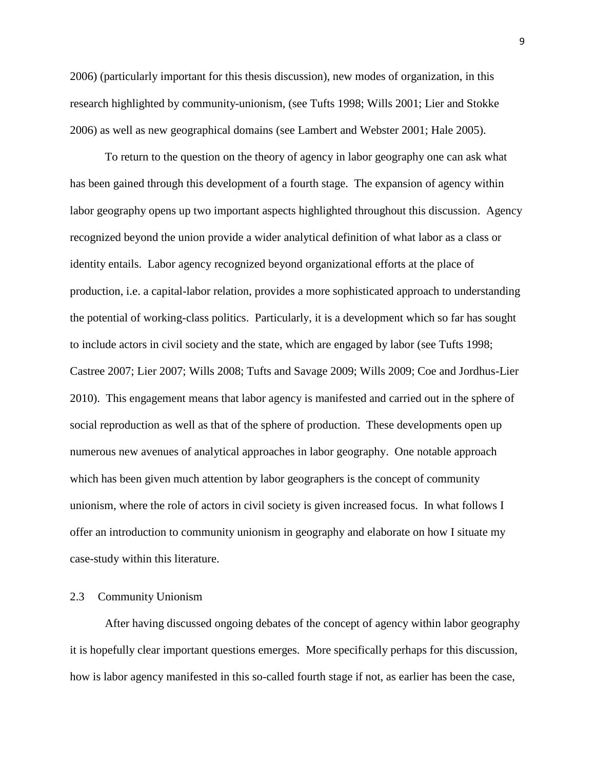2006) (particularly important for this thesis discussion), new modes of organization, in this research highlighted by community-unionism, (see Tufts 1998; Wills 2001; Lier and Stokke 2006) as well as new geographical domains (see Lambert and Webster 2001; Hale 2005).

To return to the question on the theory of agency in labor geography one can ask what has been gained through this development of a fourth stage. The expansion of agency within labor geography opens up two important aspects highlighted throughout this discussion. Agency recognized beyond the union provide a wider analytical definition of what labor as a class or identity entails. Labor agency recognized beyond organizational efforts at the place of production, i.e. a capital-labor relation, provides a more sophisticated approach to understanding the potential of working-class politics. Particularly, it is a development which so far has sought to include actors in civil society and the state, which are engaged by labor (see Tufts 1998; Castree 2007; Lier 2007; Wills 2008; Tufts and Savage 2009; Wills 2009; Coe and Jordhus-Lier 2010). This engagement means that labor agency is manifested and carried out in the sphere of social reproduction as well as that of the sphere of production. These developments open up numerous new avenues of analytical approaches in labor geography. One notable approach which has been given much attention by labor geographers is the concept of community unionism, where the role of actors in civil society is given increased focus. In what follows I offer an introduction to community unionism in geography and elaborate on how I situate my case-study within this literature.

#### <span id="page-16-0"></span>2.3 Community Unionism

After having discussed ongoing debates of the concept of agency within labor geography it is hopefully clear important questions emerges. More specifically perhaps for this discussion, how is labor agency manifested in this so-called fourth stage if not, as earlier has been the case,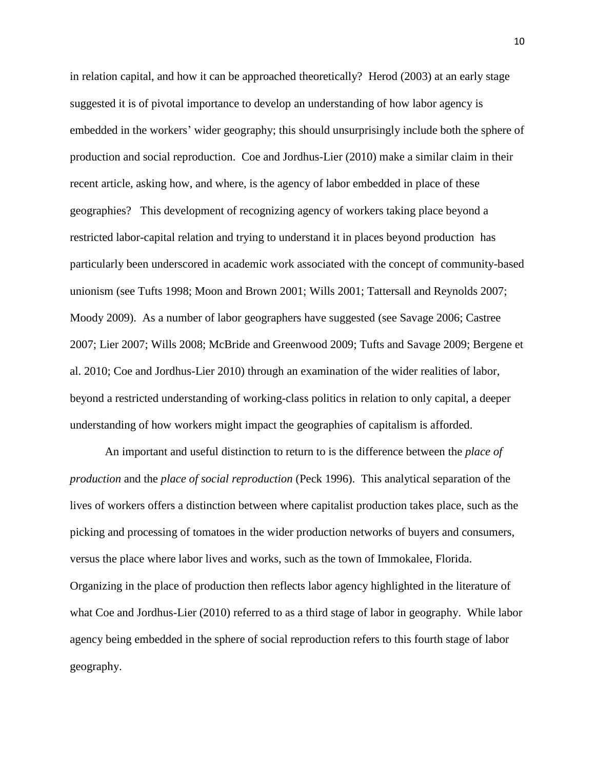in relation capital, and how it can be approached theoretically? Herod (2003) at an early stage suggested it is of pivotal importance to develop an understanding of how labor agency is embedded in the workers' wider geography; this should unsurprisingly include both the sphere of production and social reproduction. Coe and Jordhus-Lier (2010) make a similar claim in their recent article, asking how, and where, is the agency of labor embedded in place of these geographies? This development of recognizing agency of workers taking place beyond a restricted labor-capital relation and trying to understand it in places beyond production has particularly been underscored in academic work associated with the concept of community-based unionism (see Tufts 1998; Moon and Brown 2001; Wills 2001; Tattersall and Reynolds 2007; Moody 2009). As a number of labor geographers have suggested (see Savage 2006; Castree 2007; Lier 2007; Wills 2008; McBride and Greenwood 2009; Tufts and Savage 2009; Bergene et al. 2010; Coe and Jordhus-Lier 2010) through an examination of the wider realities of labor, beyond a restricted understanding of working-class politics in relation to only capital, a deeper understanding of how workers might impact the geographies of capitalism is afforded.

An important and useful distinction to return to is the difference between the *place of production* and the *place of social reproduction* (Peck 1996). This analytical separation of the lives of workers offers a distinction between where capitalist production takes place, such as the picking and processing of tomatoes in the wider production networks of buyers and consumers, versus the place where labor lives and works, such as the town of Immokalee, Florida. Organizing in the place of production then reflects labor agency highlighted in the literature of what Coe and Jordhus-Lier (2010) referred to as a third stage of labor in geography. While labor agency being embedded in the sphere of social reproduction refers to this fourth stage of labor geography.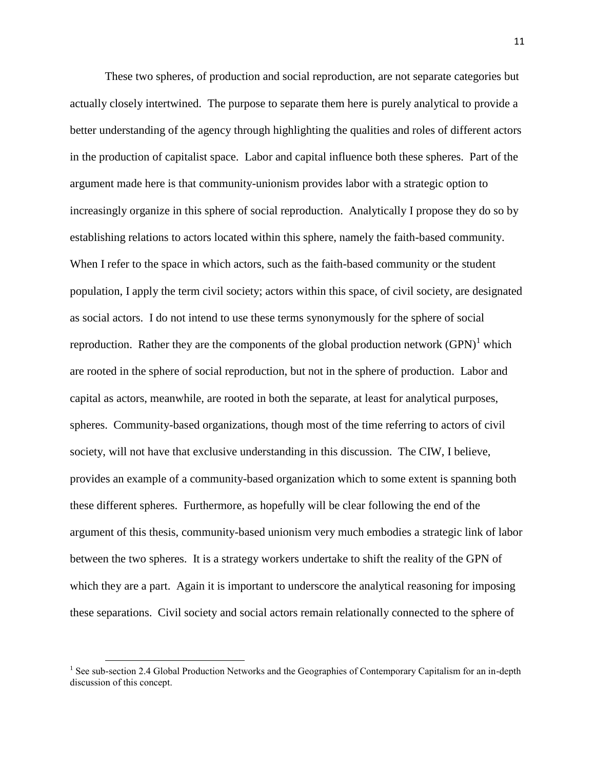These two spheres, of production and social reproduction, are not separate categories but actually closely intertwined. The purpose to separate them here is purely analytical to provide a better understanding of the agency through highlighting the qualities and roles of different actors in the production of capitalist space. Labor and capital influence both these spheres. Part of the argument made here is that community-unionism provides labor with a strategic option to increasingly organize in this sphere of social reproduction. Analytically I propose they do so by establishing relations to actors located within this sphere, namely the faith-based community. When I refer to the space in which actors, such as the faith-based community or the student population, I apply the term civil society; actors within this space, of civil society, are designated as social actors. I do not intend to use these terms synonymously for the sphere of social reproduction. Rather they are the components of the global production network  $(GPN)^1$  which are rooted in the sphere of social reproduction, but not in the sphere of production. Labor and capital as actors, meanwhile, are rooted in both the separate, at least for analytical purposes, spheres. Community-based organizations, though most of the time referring to actors of civil society, will not have that exclusive understanding in this discussion. The CIW, I believe, provides an example of a community-based organization which to some extent is spanning both these different spheres. Furthermore, as hopefully will be clear following the end of the argument of this thesis, community-based unionism very much embodies a strategic link of labor between the two spheres. It is a strategy workers undertake to shift the reality of the GPN of which they are a part. Again it is important to underscore the analytical reasoning for imposing these separations. Civil society and social actors remain relationally connected to the sphere of

 $\overline{\phantom{a}}$ 

<sup>&</sup>lt;sup>1</sup> See sub-section 2.4 Global Production Networks and the Geographies of Contemporary Capitalism for an in-depth discussion of this concept.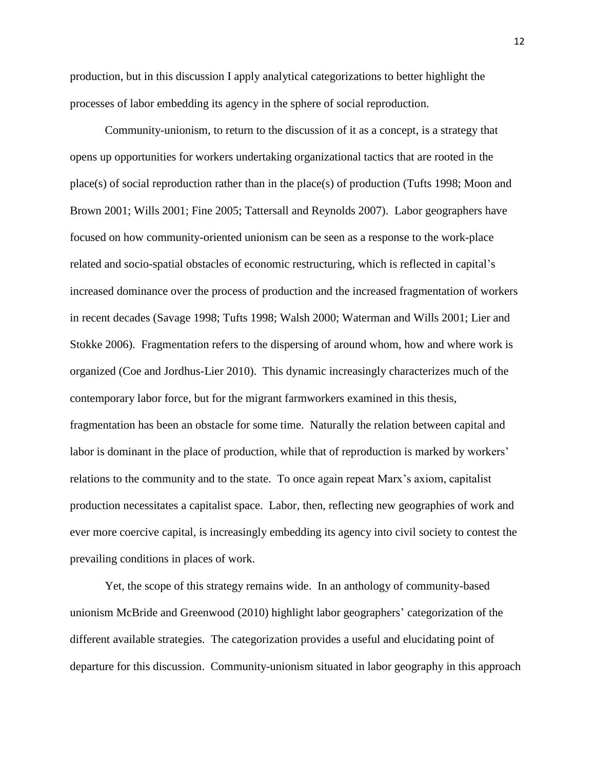production, but in this discussion I apply analytical categorizations to better highlight the processes of labor embedding its agency in the sphere of social reproduction.

Community-unionism, to return to the discussion of it as a concept, is a strategy that opens up opportunities for workers undertaking organizational tactics that are rooted in the place(s) of social reproduction rather than in the place(s) of production (Tufts 1998; Moon and Brown 2001; Wills 2001; Fine 2005; Tattersall and Reynolds 2007). Labor geographers have focused on how community-oriented unionism can be seen as a response to the work-place related and socio-spatial obstacles of economic restructuring, which is reflected in capital's increased dominance over the process of production and the increased fragmentation of workers in recent decades (Savage 1998; Tufts 1998; Walsh 2000; Waterman and Wills 2001; Lier and Stokke 2006). Fragmentation refers to the dispersing of around whom, how and where work is organized (Coe and Jordhus-Lier 2010). This dynamic increasingly characterizes much of the contemporary labor force, but for the migrant farmworkers examined in this thesis, fragmentation has been an obstacle for some time. Naturally the relation between capital and labor is dominant in the place of production, while that of reproduction is marked by workers' relations to the community and to the state. To once again repeat Marx's axiom, capitalist production necessitates a capitalist space. Labor, then, reflecting new geographies of work and ever more coercive capital, is increasingly embedding its agency into civil society to contest the prevailing conditions in places of work.

Yet, the scope of this strategy remains wide. In an anthology of community-based unionism McBride and Greenwood (2010) highlight labor geographers' categorization of the different available strategies. The categorization provides a useful and elucidating point of departure for this discussion. Community-unionism situated in labor geography in this approach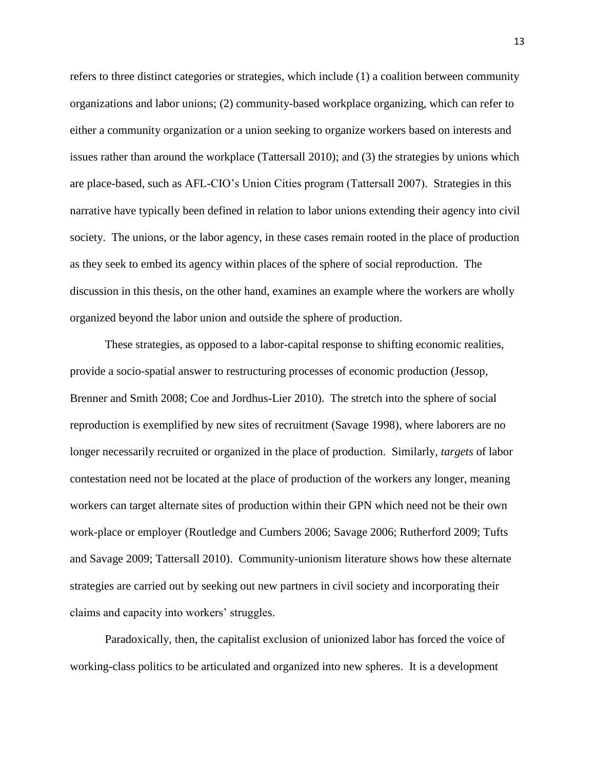refers to three distinct categories or strategies, which include (1) a coalition between community organizations and labor unions; (2) community-based workplace organizing, which can refer to either a community organization or a union seeking to organize workers based on interests and issues rather than around the workplace (Tattersall 2010); and (3) the strategies by unions which are place-based, such as AFL-CIO's Union Cities program (Tattersall 2007). Strategies in this narrative have typically been defined in relation to labor unions extending their agency into civil society. The unions, or the labor agency, in these cases remain rooted in the place of production as they seek to embed its agency within places of the sphere of social reproduction. The discussion in this thesis, on the other hand, examines an example where the workers are wholly organized beyond the labor union and outside the sphere of production.

These strategies, as opposed to a labor-capital response to shifting economic realities, provide a socio-spatial answer to restructuring processes of economic production (Jessop, Brenner and Smith 2008; Coe and Jordhus-Lier 2010). The stretch into the sphere of social reproduction is exemplified by new sites of recruitment (Savage 1998), where laborers are no longer necessarily recruited or organized in the place of production. Similarly, *targets* of labor contestation need not be located at the place of production of the workers any longer, meaning workers can target alternate sites of production within their GPN which need not be their own work-place or employer (Routledge and Cumbers 2006; Savage 2006; Rutherford 2009; Tufts and Savage 2009; Tattersall 2010). Community-unionism literature shows how these alternate strategies are carried out by seeking out new partners in civil society and incorporating their claims and capacity into workers' struggles.

Paradoxically, then, the capitalist exclusion of unionized labor has forced the voice of working-class politics to be articulated and organized into new spheres. It is a development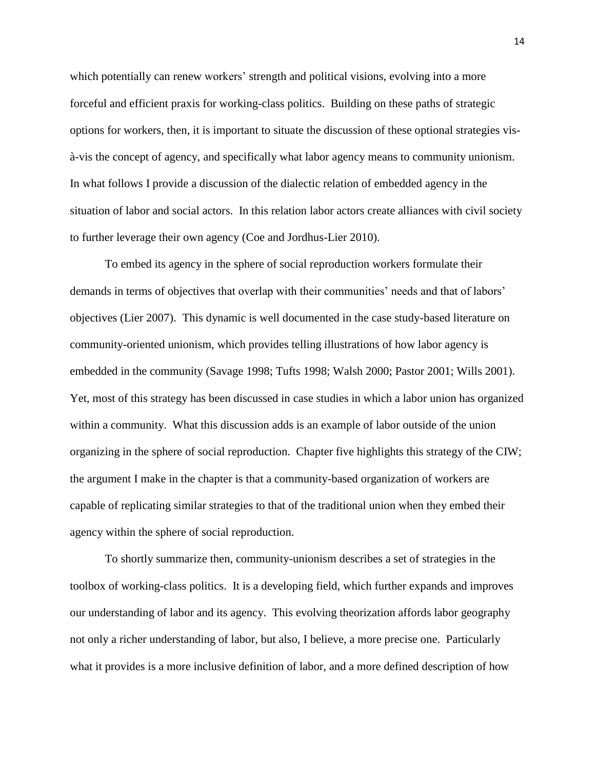which potentially can renew workers' strength and political visions, evolving into a more forceful and efficient praxis for working-class politics. Building on these paths of strategic options for workers, then, it is important to situate the discussion of these optional strategies visà-vis the concept of agency, and specifically what labor agency means to community unionism. In what follows I provide a discussion of the dialectic relation of embedded agency in the situation of labor and social actors. In this relation labor actors create alliances with civil society to further leverage their own agency (Coe and Jordhus-Lier 2010).

To embed its agency in the sphere of social reproduction workers formulate their demands in terms of objectives that overlap with their communities' needs and that of labors' objectives (Lier 2007). This dynamic is well documented in the case study-based literature on community-oriented unionism, which provides telling illustrations of how labor agency is embedded in the community (Savage 1998; Tufts 1998; Walsh 2000; Pastor 2001; Wills 2001). Yet, most of this strategy has been discussed in case studies in which a labor union has organized within a community. What this discussion adds is an example of labor outside of the union organizing in the sphere of social reproduction. Chapter five highlights this strategy of the CIW; the argument I make in the chapter is that a community-based organization of workers are capable of replicating similar strategies to that of the traditional union when they embed their agency within the sphere of social reproduction.

To shortly summarize then, community-unionism describes a set of strategies in the toolbox of working-class politics. It is a developing field, which further expands and improves our understanding of labor and its agency. This evolving theorization affords labor geography not only a richer understanding of labor, but also, I believe, a more precise one. Particularly what it provides is a more inclusive definition of labor, and a more defined description of how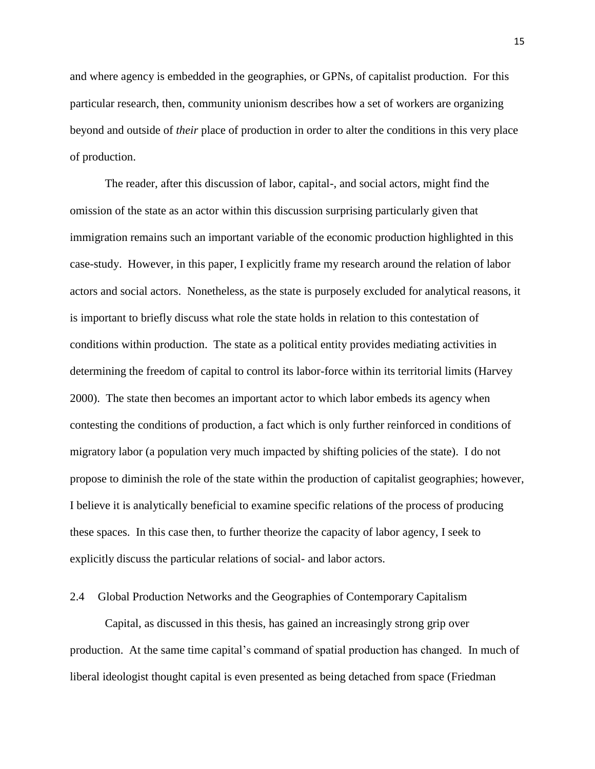and where agency is embedded in the geographies, or GPNs, of capitalist production. For this particular research, then, community unionism describes how a set of workers are organizing beyond and outside of *their* place of production in order to alter the conditions in this very place of production.

The reader, after this discussion of labor, capital-, and social actors, might find the omission of the state as an actor within this discussion surprising particularly given that immigration remains such an important variable of the economic production highlighted in this case-study. However, in this paper, I explicitly frame my research around the relation of labor actors and social actors. Nonetheless, as the state is purposely excluded for analytical reasons, it is important to briefly discuss what role the state holds in relation to this contestation of conditions within production. The state as a political entity provides mediating activities in determining the freedom of capital to control its labor-force within its territorial limits (Harvey 2000). The state then becomes an important actor to which labor embeds its agency when contesting the conditions of production, a fact which is only further reinforced in conditions of migratory labor (a population very much impacted by shifting policies of the state). I do not propose to diminish the role of the state within the production of capitalist geographies; however, I believe it is analytically beneficial to examine specific relations of the process of producing these spaces. In this case then, to further theorize the capacity of labor agency, I seek to explicitly discuss the particular relations of social- and labor actors.

#### <span id="page-22-0"></span>2.4 Global Production Networks and the Geographies of Contemporary Capitalism

Capital, as discussed in this thesis, has gained an increasingly strong grip over production. At the same time capital's command of spatial production has changed. In much of liberal ideologist thought capital is even presented as being detached from space (Friedman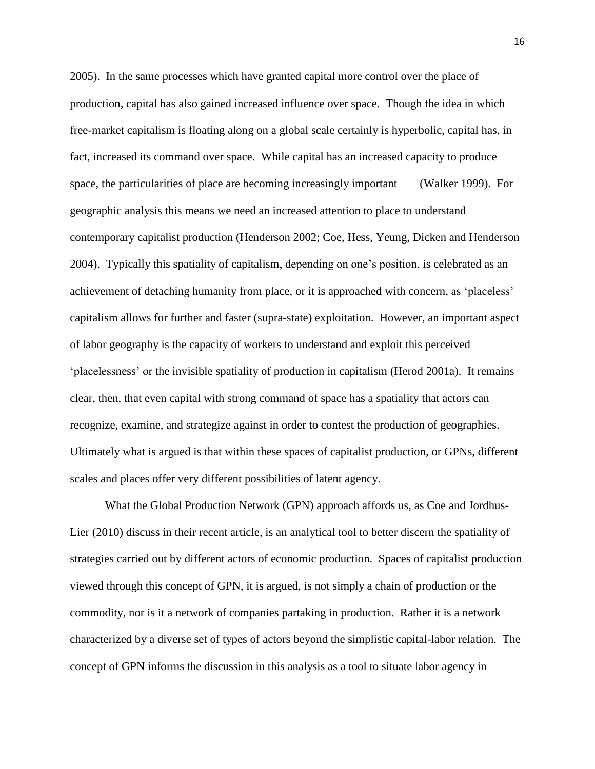2005). In the same processes which have granted capital more control over the place of production, capital has also gained increased influence over space. Though the idea in which free-market capitalism is floating along on a global scale certainly is hyperbolic, capital has, in fact, increased its command over space. While capital has an increased capacity to produce space, the particularities of place are becoming increasingly important (Walker 1999). For geographic analysis this means we need an increased attention to place to understand contemporary capitalist production (Henderson 2002; Coe, Hess, Yeung, Dicken and Henderson 2004). Typically this spatiality of capitalism, depending on one's position, is celebrated as an achievement of detaching humanity from place, or it is approached with concern, as 'placeless' capitalism allows for further and faster (supra-state) exploitation. However, an important aspect of labor geography is the capacity of workers to understand and exploit this perceived ‗placelessness' or the invisible spatiality of production in capitalism (Herod 2001a). It remains clear, then, that even capital with strong command of space has a spatiality that actors can recognize, examine, and strategize against in order to contest the production of geographies. Ultimately what is argued is that within these spaces of capitalist production, or GPNs, different scales and places offer very different possibilities of latent agency.

What the Global Production Network (GPN) approach affords us, as Coe and Jordhus-Lier (2010) discuss in their recent article, is an analytical tool to better discern the spatiality of strategies carried out by different actors of economic production. Spaces of capitalist production viewed through this concept of GPN, it is argued, is not simply a chain of production or the commodity, nor is it a network of companies partaking in production. Rather it is a network characterized by a diverse set of types of actors beyond the simplistic capital-labor relation. The concept of GPN informs the discussion in this analysis as a tool to situate labor agency in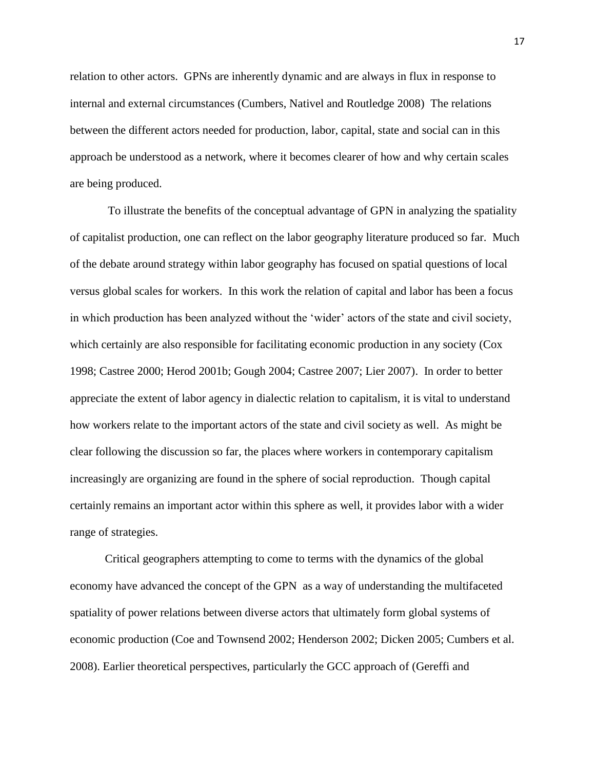relation to other actors. GPNs are inherently dynamic and are always in flux in response to internal and external circumstances (Cumbers, Nativel and Routledge 2008) The relations between the different actors needed for production, labor, capital, state and social can in this approach be understood as a network, where it becomes clearer of how and why certain scales are being produced.

To illustrate the benefits of the conceptual advantage of GPN in analyzing the spatiality of capitalist production, one can reflect on the labor geography literature produced so far. Much of the debate around strategy within labor geography has focused on spatial questions of local versus global scales for workers. In this work the relation of capital and labor has been a focus in which production has been analyzed without the 'wider' actors of the state and civil society, which certainly are also responsible for facilitating economic production in any society (Cox 1998; Castree 2000; Herod 2001b; Gough 2004; Castree 2007; Lier 2007). In order to better appreciate the extent of labor agency in dialectic relation to capitalism, it is vital to understand how workers relate to the important actors of the state and civil society as well. As might be clear following the discussion so far, the places where workers in contemporary capitalism increasingly are organizing are found in the sphere of social reproduction. Though capital certainly remains an important actor within this sphere as well, it provides labor with a wider range of strategies.

Critical geographers attempting to come to terms with the dynamics of the global economy have advanced the concept of the GPN as a way of understanding the multifaceted spatiality of power relations between diverse actors that ultimately form global systems of economic production (Coe and Townsend 2002; Henderson 2002; Dicken 2005; Cumbers et al. 2008). Earlier theoretical perspectives, particularly the GCC approach of (Gereffi and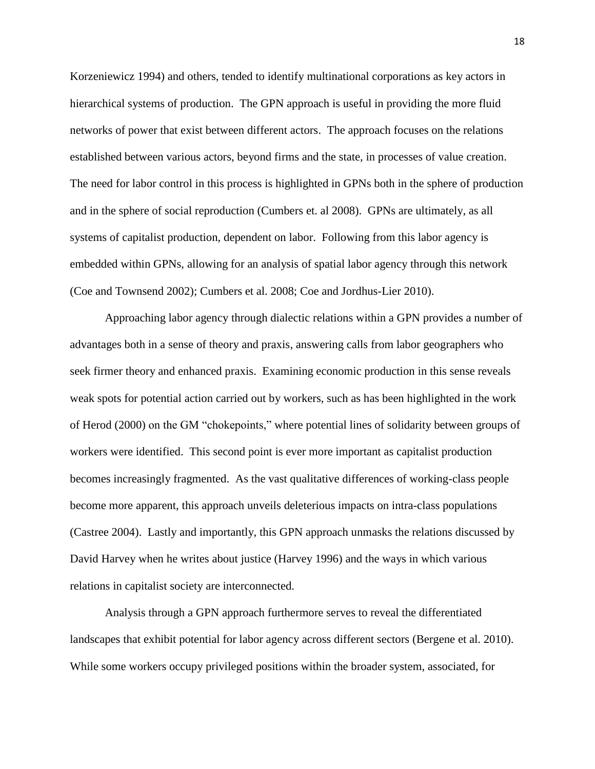Korzeniewicz 1994) and others, tended to identify multinational corporations as key actors in hierarchical systems of production. The GPN approach is useful in providing the more fluid networks of power that exist between different actors. The approach focuses on the relations established between various actors, beyond firms and the state, in processes of value creation. The need for labor control in this process is highlighted in GPNs both in the sphere of production and in the sphere of social reproduction (Cumbers et. al 2008). GPNs are ultimately, as all systems of capitalist production, dependent on labor. Following from this labor agency is embedded within GPNs, allowing for an analysis of spatial labor agency through this network (Coe and Townsend 2002); Cumbers et al. 2008; Coe and Jordhus-Lier 2010).

Approaching labor agency through dialectic relations within a GPN provides a number of advantages both in a sense of theory and praxis, answering calls from labor geographers who seek firmer theory and enhanced praxis. Examining economic production in this sense reveals weak spots for potential action carried out by workers, such as has been highlighted in the work of Herod (2000) on the GM "chokepoints," where potential lines of solidarity between groups of workers were identified. This second point is ever more important as capitalist production becomes increasingly fragmented. As the vast qualitative differences of working-class people become more apparent, this approach unveils deleterious impacts on intra-class populations (Castree 2004). Lastly and importantly, this GPN approach unmasks the relations discussed by David Harvey when he writes about justice (Harvey 1996) and the ways in which various relations in capitalist society are interconnected.

Analysis through a GPN approach furthermore serves to reveal the differentiated landscapes that exhibit potential for labor agency across different sectors (Bergene et al. 2010). While some workers occupy privileged positions within the broader system, associated, for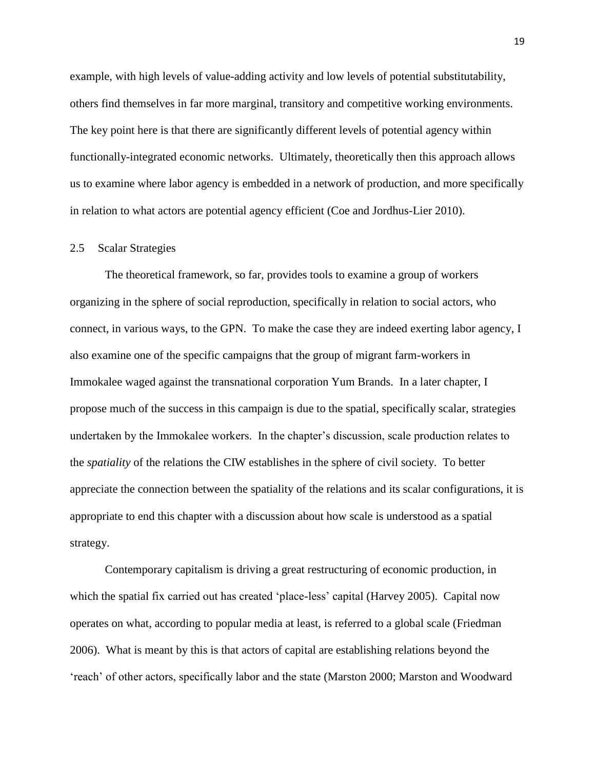example, with high levels of value-adding activity and low levels of potential substitutability, others find themselves in far more marginal, transitory and competitive working environments. The key point here is that there are significantly different levels of potential agency within functionally-integrated economic networks. Ultimately, theoretically then this approach allows us to examine where labor agency is embedded in a network of production, and more specifically in relation to what actors are potential agency efficient (Coe and Jordhus-Lier 2010).

#### <span id="page-26-0"></span>2.5 Scalar Strategies

The theoretical framework, so far, provides tools to examine a group of workers organizing in the sphere of social reproduction, specifically in relation to social actors, who connect, in various ways, to the GPN. To make the case they are indeed exerting labor agency, I also examine one of the specific campaigns that the group of migrant farm-workers in Immokalee waged against the transnational corporation Yum Brands. In a later chapter, I propose much of the success in this campaign is due to the spatial, specifically scalar, strategies undertaken by the Immokalee workers. In the chapter's discussion, scale production relates to the *spatiality* of the relations the CIW establishes in the sphere of civil society. To better appreciate the connection between the spatiality of the relations and its scalar configurations, it is appropriate to end this chapter with a discussion about how scale is understood as a spatial strategy.

Contemporary capitalism is driving a great restructuring of economic production, in which the spatial fix carried out has created 'place-less' capital (Harvey 2005). Capital now operates on what, according to popular media at least, is referred to a global scale (Friedman 2006). What is meant by this is that actors of capital are establishing relations beyond the ‗reach' of other actors, specifically labor and the state (Marston 2000; Marston and Woodward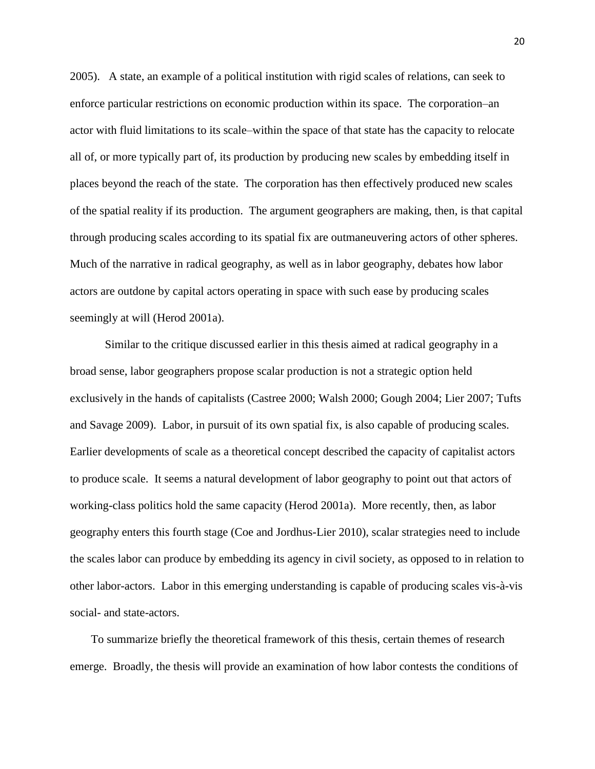2005). A state, an example of a political institution with rigid scales of relations, can seek to enforce particular restrictions on economic production within its space. The corporation–an actor with fluid limitations to its scale–within the space of that state has the capacity to relocate all of, or more typically part of, its production by producing new scales by embedding itself in places beyond the reach of the state. The corporation has then effectively produced new scales of the spatial reality if its production. The argument geographers are making, then, is that capital through producing scales according to its spatial fix are outmaneuvering actors of other spheres. Much of the narrative in radical geography, as well as in labor geography, debates how labor actors are outdone by capital actors operating in space with such ease by producing scales seemingly at will (Herod 2001a).

Similar to the critique discussed earlier in this thesis aimed at radical geography in a broad sense, labor geographers propose scalar production is not a strategic option held exclusively in the hands of capitalists (Castree 2000; Walsh 2000; Gough 2004; Lier 2007; Tufts and Savage 2009). Labor, in pursuit of its own spatial fix, is also capable of producing scales. Earlier developments of scale as a theoretical concept described the capacity of capitalist actors to produce scale. It seems a natural development of labor geography to point out that actors of working-class politics hold the same capacity (Herod 2001a). More recently, then, as labor geography enters this fourth stage (Coe and Jordhus-Lier 2010), scalar strategies need to include the scales labor can produce by embedding its agency in civil society, as opposed to in relation to other labor-actors. Labor in this emerging understanding is capable of producing scales vis-à-vis social- and state-actors.

To summarize briefly the theoretical framework of this thesis, certain themes of research emerge. Broadly, the thesis will provide an examination of how labor contests the conditions of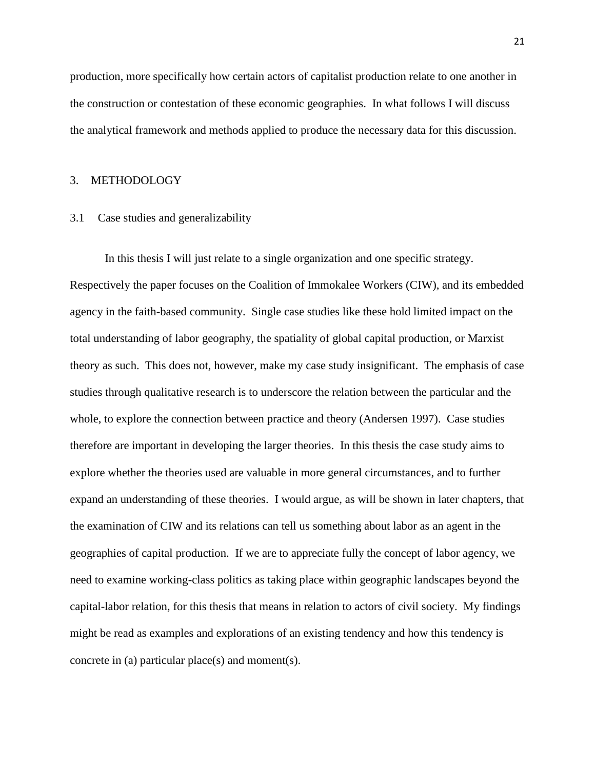production, more specifically how certain actors of capitalist production relate to one another in the construction or contestation of these economic geographies. In what follows I will discuss the analytical framework and methods applied to produce the necessary data for this discussion.

#### <span id="page-28-0"></span>3. METHODOLOGY

#### <span id="page-28-1"></span>3.1 Case studies and generalizability

In this thesis I will just relate to a single organization and one specific strategy. Respectively the paper focuses on the Coalition of Immokalee Workers (CIW), and its embedded agency in the faith-based community. Single case studies like these hold limited impact on the total understanding of labor geography, the spatiality of global capital production, or Marxist theory as such. This does not, however, make my case study insignificant. The emphasis of case studies through qualitative research is to underscore the relation between the particular and the whole, to explore the connection between practice and theory (Andersen 1997). Case studies therefore are important in developing the larger theories. In this thesis the case study aims to explore whether the theories used are valuable in more general circumstances, and to further expand an understanding of these theories. I would argue, as will be shown in later chapters, that the examination of CIW and its relations can tell us something about labor as an agent in the geographies of capital production. If we are to appreciate fully the concept of labor agency, we need to examine working-class politics as taking place within geographic landscapes beyond the capital-labor relation, for this thesis that means in relation to actors of civil society. My findings might be read as examples and explorations of an existing tendency and how this tendency is concrete in (a) particular place(s) and moment(s).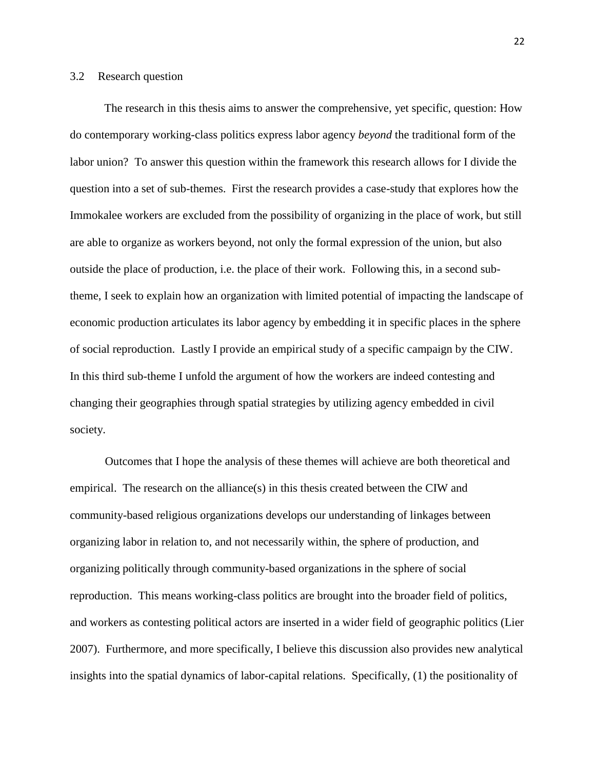#### <span id="page-29-0"></span>3.2 Research question

The research in this thesis aims to answer the comprehensive, yet specific, question: How do contemporary working-class politics express labor agency *beyond* the traditional form of the labor union? To answer this question within the framework this research allows for I divide the question into a set of sub-themes. First the research provides a case-study that explores how the Immokalee workers are excluded from the possibility of organizing in the place of work, but still are able to organize as workers beyond, not only the formal expression of the union, but also outside the place of production, i.e. the place of their work. Following this, in a second subtheme, I seek to explain how an organization with limited potential of impacting the landscape of economic production articulates its labor agency by embedding it in specific places in the sphere of social reproduction. Lastly I provide an empirical study of a specific campaign by the CIW. In this third sub-theme I unfold the argument of how the workers are indeed contesting and changing their geographies through spatial strategies by utilizing agency embedded in civil society.

Outcomes that I hope the analysis of these themes will achieve are both theoretical and empirical. The research on the alliance(s) in this thesis created between the CIW and community-based religious organizations develops our understanding of linkages between organizing labor in relation to, and not necessarily within, the sphere of production, and organizing politically through community-based organizations in the sphere of social reproduction. This means working-class politics are brought into the broader field of politics, and workers as contesting political actors are inserted in a wider field of geographic politics (Lier 2007). Furthermore, and more specifically, I believe this discussion also provides new analytical insights into the spatial dynamics of labor-capital relations. Specifically, (1) the positionality of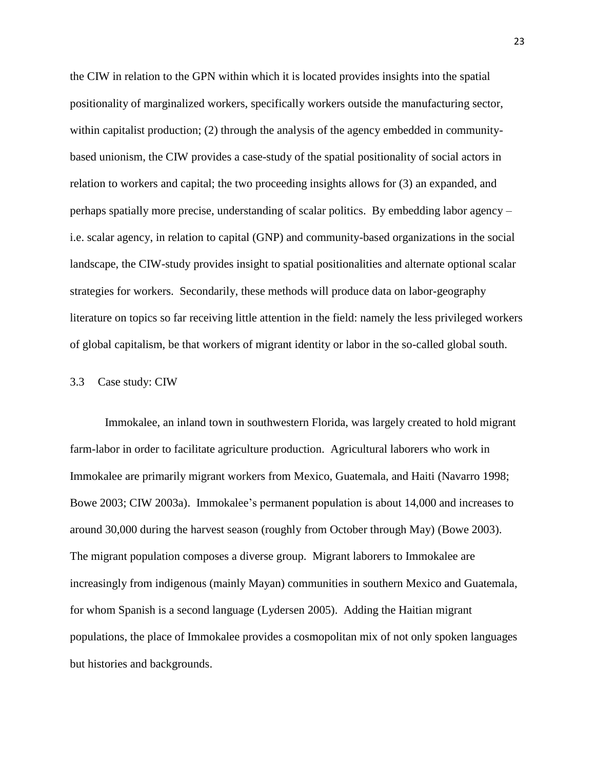the CIW in relation to the GPN within which it is located provides insights into the spatial positionality of marginalized workers, specifically workers outside the manufacturing sector, within capitalist production; (2) through the analysis of the agency embedded in communitybased unionism, the CIW provides a case-study of the spatial positionality of social actors in relation to workers and capital; the two proceeding insights allows for (3) an expanded, and perhaps spatially more precise, understanding of scalar politics. By embedding labor agency – i.e. scalar agency, in relation to capital (GNP) and community-based organizations in the social landscape, the CIW-study provides insight to spatial positionalities and alternate optional scalar strategies for workers. Secondarily, these methods will produce data on labor-geography literature on topics so far receiving little attention in the field: namely the less privileged workers of global capitalism, be that workers of migrant identity or labor in the so-called global south.

#### <span id="page-30-0"></span>3.3 Case study: CIW

Immokalee, an inland town in southwestern Florida, was largely created to hold migrant farm-labor in order to facilitate agriculture production. Agricultural laborers who work in Immokalee are primarily migrant workers from Mexico, Guatemala, and Haiti (Navarro 1998; Bowe 2003; CIW 2003a). Immokalee's permanent population is about 14,000 and increases to around 30,000 during the harvest season (roughly from October through May) (Bowe 2003). The migrant population composes a diverse group. Migrant laborers to Immokalee are increasingly from indigenous (mainly Mayan) communities in southern Mexico and Guatemala, for whom Spanish is a second language (Lydersen 2005). Adding the Haitian migrant populations, the place of Immokalee provides a cosmopolitan mix of not only spoken languages but histories and backgrounds.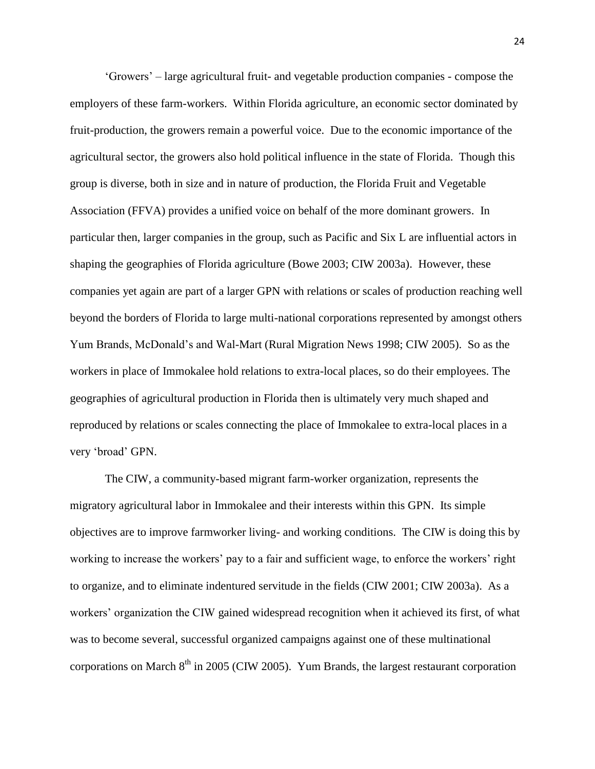‗Growers' – large agricultural fruit- and vegetable production companies - compose the employers of these farm-workers. Within Florida agriculture, an economic sector dominated by fruit-production, the growers remain a powerful voice. Due to the economic importance of the agricultural sector, the growers also hold political influence in the state of Florida. Though this group is diverse, both in size and in nature of production, the Florida Fruit and Vegetable Association (FFVA) provides a unified voice on behalf of the more dominant growers. In particular then, larger companies in the group, such as Pacific and Six L are influential actors in shaping the geographies of Florida agriculture (Bowe 2003; CIW 2003a). However, these companies yet again are part of a larger GPN with relations or scales of production reaching well beyond the borders of Florida to large multi-national corporations represented by amongst others Yum Brands, McDonald's and Wal-Mart (Rural Migration News 1998; CIW 2005). So as the workers in place of Immokalee hold relations to extra-local places, so do their employees. The geographies of agricultural production in Florida then is ultimately very much shaped and reproduced by relations or scales connecting the place of Immokalee to extra-local places in a very 'broad' GPN.

The CIW, a community-based migrant farm-worker organization, represents the migratory agricultural labor in Immokalee and their interests within this GPN. Its simple objectives are to improve farmworker living- and working conditions. The CIW is doing this by working to increase the workers' pay to a fair and sufficient wage, to enforce the workers' right to organize, and to eliminate indentured servitude in the fields (CIW 2001; CIW 2003a). As a workers' organization the CIW gained widespread recognition when it achieved its first, of what was to become several, successful organized campaigns against one of these multinational corporations on March  $8<sup>th</sup>$  in 2005 (CIW 2005). Yum Brands, the largest restaurant corporation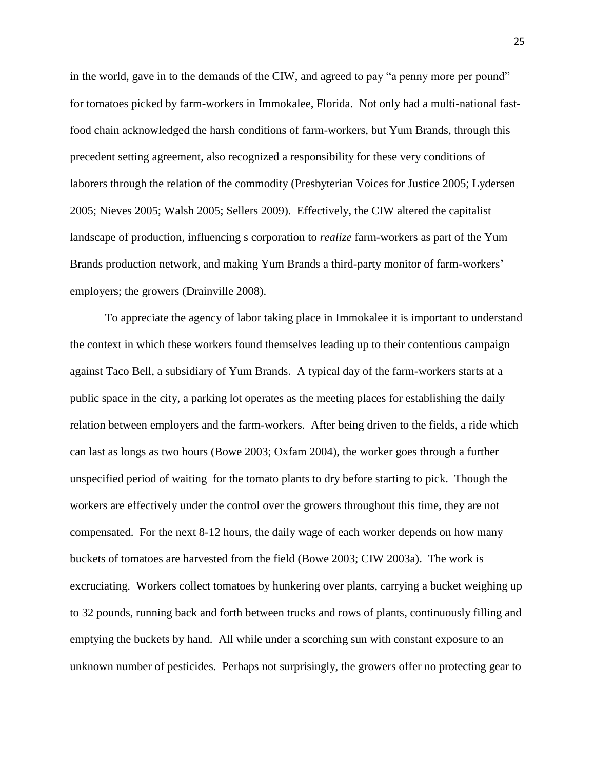in the world, gave in to the demands of the CIW, and agreed to pay "a penny more per pound" for tomatoes picked by farm-workers in Immokalee, Florida. Not only had a multi-national fastfood chain acknowledged the harsh conditions of farm-workers, but Yum Brands, through this precedent setting agreement, also recognized a responsibility for these very conditions of laborers through the relation of the commodity (Presbyterian Voices for Justice 2005; Lydersen 2005; Nieves 2005; Walsh 2005; Sellers 2009). Effectively, the CIW altered the capitalist landscape of production, influencing s corporation to *realize* farm-workers as part of the Yum Brands production network, and making Yum Brands a third-party monitor of farm-workers' employers; the growers (Drainville 2008).

To appreciate the agency of labor taking place in Immokalee it is important to understand the context in which these workers found themselves leading up to their contentious campaign against Taco Bell, a subsidiary of Yum Brands. A typical day of the farm-workers starts at a public space in the city, a parking lot operates as the meeting places for establishing the daily relation between employers and the farm-workers. After being driven to the fields, a ride which can last as longs as two hours (Bowe 2003; Oxfam 2004), the worker goes through a further unspecified period of waiting for the tomato plants to dry before starting to pick. Though the workers are effectively under the control over the growers throughout this time, they are not compensated. For the next 8-12 hours, the daily wage of each worker depends on how many buckets of tomatoes are harvested from the field (Bowe 2003; CIW 2003a). The work is excruciating. Workers collect tomatoes by hunkering over plants, carrying a bucket weighing up to 32 pounds, running back and forth between trucks and rows of plants, continuously filling and emptying the buckets by hand. All while under a scorching sun with constant exposure to an unknown number of pesticides. Perhaps not surprisingly, the growers offer no protecting gear to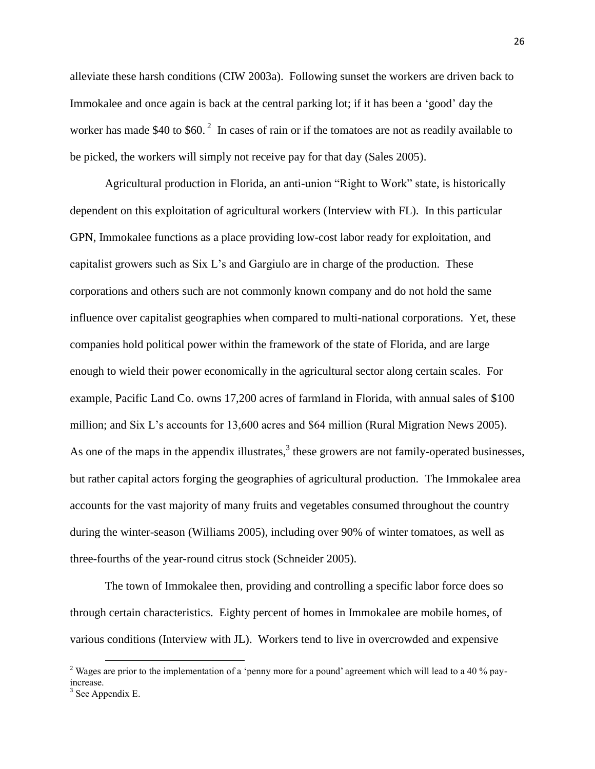alleviate these harsh conditions (CIW 2003a). Following sunset the workers are driven back to Immokalee and once again is back at the central parking lot; if it has been a 'good' day the worker has made \$40 to \$60.<sup>2</sup> In cases of rain or if the tomatoes are not as readily available to be picked, the workers will simply not receive pay for that day (Sales 2005).

Agricultural production in Florida, an anti-union "Right to Work" state, is historically dependent on this exploitation of agricultural workers (Interview with FL). In this particular GPN, Immokalee functions as a place providing low-cost labor ready for exploitation, and capitalist growers such as Six L's and Gargiulo are in charge of the production. These corporations and others such are not commonly known company and do not hold the same influence over capitalist geographies when compared to multi-national corporations. Yet, these companies hold political power within the framework of the state of Florida, and are large enough to wield their power economically in the agricultural sector along certain scales. For example, Pacific Land Co. owns 17,200 acres of farmland in Florida, with annual sales of \$100 million; and Six L's accounts for 13,600 acres and \$64 million (Rural Migration News 2005). As one of the maps in the appendix illustrates, $3$  these growers are not family-operated businesses, but rather capital actors forging the geographies of agricultural production. The Immokalee area accounts for the vast majority of many fruits and vegetables consumed throughout the country during the winter-season (Williams 2005), including over 90% of winter tomatoes, as well as three-fourths of the year-round citrus stock (Schneider 2005).

The town of Immokalee then, providing and controlling a specific labor force does so through certain characteristics. Eighty percent of homes in Immokalee are mobile homes, of various conditions (Interview with JL). Workers tend to live in overcrowded and expensive

 $\overline{\phantom{a}}$ 

<sup>&</sup>lt;sup>2</sup> Wages are prior to the implementation of a 'penny more for a pound' agreement which will lead to a 40 % payincrease.

 $3$  See Appendix E.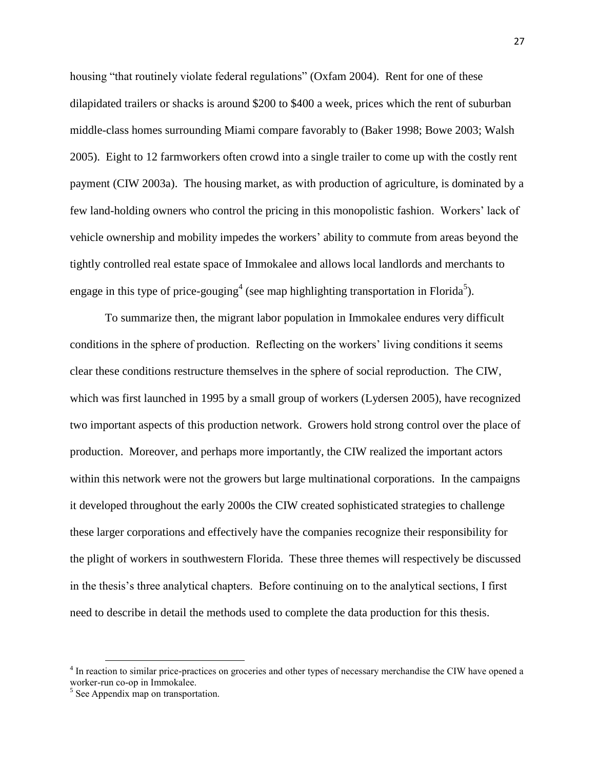housing "that routinely violate federal regulations" (Oxfam 2004). Rent for one of these dilapidated trailers or shacks is around \$200 to \$400 a week, prices which the rent of suburban middle-class homes surrounding Miami compare favorably to (Baker 1998; Bowe 2003; Walsh 2005). Eight to 12 farmworkers often crowd into a single trailer to come up with the costly rent payment (CIW 2003a). The housing market, as with production of agriculture, is dominated by a few land-holding owners who control the pricing in this monopolistic fashion. Workers' lack of vehicle ownership and mobility impedes the workers' ability to commute from areas beyond the tightly controlled real estate space of Immokalee and allows local landlords and merchants to engage in this type of price-gouging<sup>4</sup> (see map highlighting transportation in Florida<sup>5</sup>).

To summarize then, the migrant labor population in Immokalee endures very difficult conditions in the sphere of production. Reflecting on the workers' living conditions it seems clear these conditions restructure themselves in the sphere of social reproduction. The CIW, which was first launched in 1995 by a small group of workers (Lydersen 2005), have recognized two important aspects of this production network. Growers hold strong control over the place of production. Moreover, and perhaps more importantly, the CIW realized the important actors within this network were not the growers but large multinational corporations. In the campaigns it developed throughout the early 2000s the CIW created sophisticated strategies to challenge these larger corporations and effectively have the companies recognize their responsibility for the plight of workers in southwestern Florida. These three themes will respectively be discussed in the thesis's three analytical chapters. Before continuing on to the analytical sections, I first need to describe in detail the methods used to complete the data production for this thesis.

 $\overline{\phantom{a}}$ 

<sup>&</sup>lt;sup>4</sup> In reaction to similar price-practices on groceries and other types of necessary merchandise the CIW have opened a worker-run co-op in Immokalee.

<sup>&</sup>lt;sup>5</sup> See Appendix map on transportation.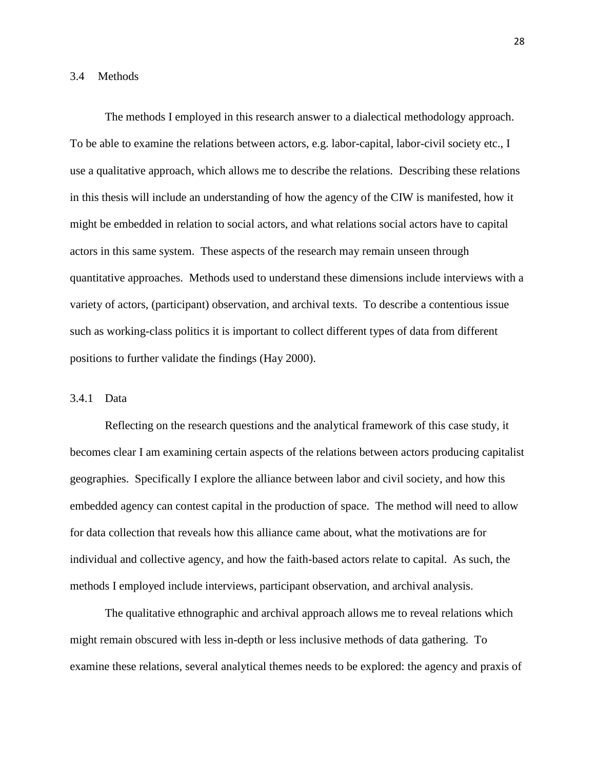#### <span id="page-35-0"></span>3.4 Methods

The methods I employed in this research answer to a dialectical methodology approach. To be able to examine the relations between actors, e.g. labor-capital, labor-civil society etc., I use a qualitative approach, which allows me to describe the relations. Describing these relations in this thesis will include an understanding of how the agency of the CIW is manifested, how it might be embedded in relation to social actors, and what relations social actors have to capital actors in this same system. These aspects of the research may remain unseen through quantitative approaches. Methods used to understand these dimensions include interviews with a variety of actors, (participant) observation, and archival texts. To describe a contentious issue such as working-class politics it is important to collect different types of data from different positions to further validate the findings (Hay 2000).

#### <span id="page-35-1"></span>3.4.1 Data

Reflecting on the research questions and the analytical framework of this case study, it becomes clear I am examining certain aspects of the relations between actors producing capitalist geographies. Specifically I explore the alliance between labor and civil society, and how this embedded agency can contest capital in the production of space. The method will need to allow for data collection that reveals how this alliance came about, what the motivations are for individual and collective agency, and how the faith-based actors relate to capital. As such, the methods I employed include interviews, participant observation, and archival analysis.

The qualitative ethnographic and archival approach allows me to reveal relations which might remain obscured with less in-depth or less inclusive methods of data gathering. To examine these relations, several analytical themes needs to be explored: the agency and praxis of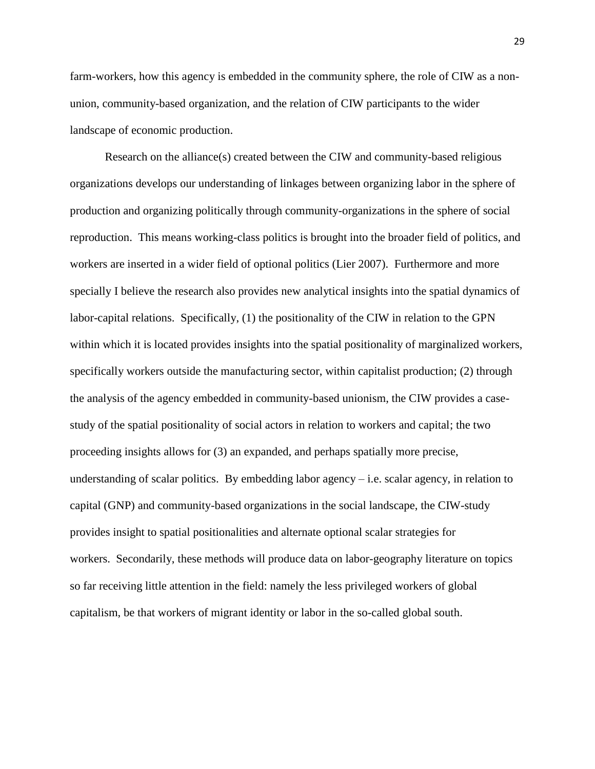farm-workers, how this agency is embedded in the community sphere, the role of CIW as a nonunion, community-based organization, and the relation of CIW participants to the wider landscape of economic production.

Research on the alliance(s) created between the CIW and community-based religious organizations develops our understanding of linkages between organizing labor in the sphere of production and organizing politically through community-organizations in the sphere of social reproduction. This means working-class politics is brought into the broader field of politics, and workers are inserted in a wider field of optional politics (Lier 2007). Furthermore and more specially I believe the research also provides new analytical insights into the spatial dynamics of labor-capital relations. Specifically, (1) the positionality of the CIW in relation to the GPN within which it is located provides insights into the spatial positionality of marginalized workers, specifically workers outside the manufacturing sector, within capitalist production; (2) through the analysis of the agency embedded in community-based unionism, the CIW provides a casestudy of the spatial positionality of social actors in relation to workers and capital; the two proceeding insights allows for (3) an expanded, and perhaps spatially more precise, understanding of scalar politics. By embedding labor agency  $-i.e.$  scalar agency, in relation to capital (GNP) and community-based organizations in the social landscape, the CIW-study provides insight to spatial positionalities and alternate optional scalar strategies for workers. Secondarily, these methods will produce data on labor-geography literature on topics so far receiving little attention in the field: namely the less privileged workers of global capitalism, be that workers of migrant identity or labor in the so-called global south.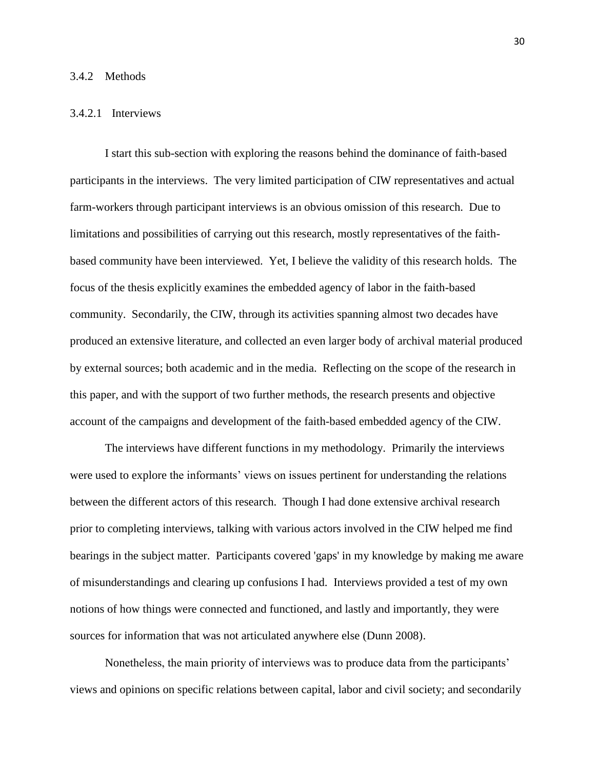### 3.4.2 Methods

### 3.4.2.1 Interviews

I start this sub-section with exploring the reasons behind the dominance of faith-based participants in the interviews. The very limited participation of CIW representatives and actual farm-workers through participant interviews is an obvious omission of this research. Due to limitations and possibilities of carrying out this research, mostly representatives of the faithbased community have been interviewed. Yet, I believe the validity of this research holds. The focus of the thesis explicitly examines the embedded agency of labor in the faith-based community. Secondarily, the CIW, through its activities spanning almost two decades have produced an extensive literature, and collected an even larger body of archival material produced by external sources; both academic and in the media. Reflecting on the scope of the research in this paper, and with the support of two further methods, the research presents and objective account of the campaigns and development of the faith-based embedded agency of the CIW.

The interviews have different functions in my methodology. Primarily the interviews were used to explore the informants' views on issues pertinent for understanding the relations between the different actors of this research. Though I had done extensive archival research prior to completing interviews, talking with various actors involved in the CIW helped me find bearings in the subject matter. Participants covered 'gaps' in my knowledge by making me aware of misunderstandings and clearing up confusions I had. Interviews provided a test of my own notions of how things were connected and functioned, and lastly and importantly, they were sources for information that was not articulated anywhere else (Dunn 2008).

Nonetheless, the main priority of interviews was to produce data from the participants' views and opinions on specific relations between capital, labor and civil society; and secondarily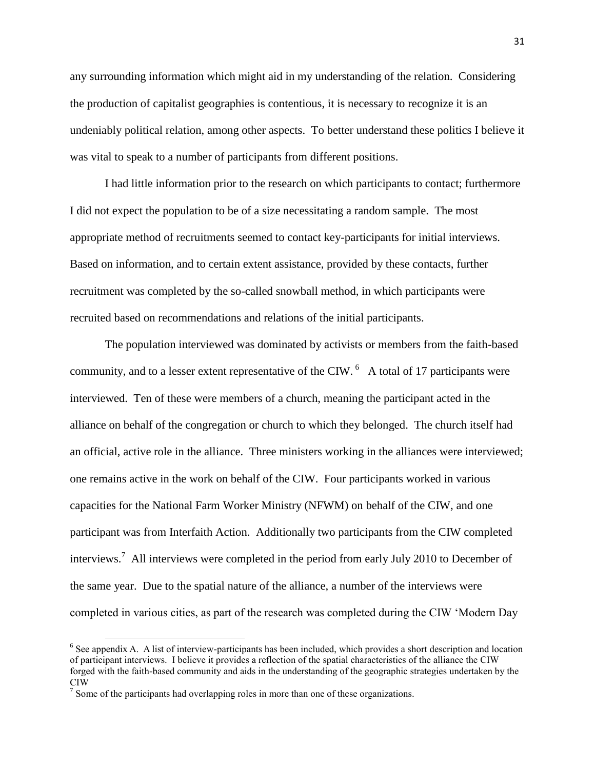any surrounding information which might aid in my understanding of the relation. Considering the production of capitalist geographies is contentious, it is necessary to recognize it is an undeniably political relation, among other aspects. To better understand these politics I believe it was vital to speak to a number of participants from different positions.

I had little information prior to the research on which participants to contact; furthermore I did not expect the population to be of a size necessitating a random sample. The most appropriate method of recruitments seemed to contact key-participants for initial interviews. Based on information, and to certain extent assistance, provided by these contacts, further recruitment was completed by the so-called snowball method, in which participants were recruited based on recommendations and relations of the initial participants.

The population interviewed was dominated by activists or members from the faith-based community, and to a lesser extent representative of the CIW.  $^6$  A total of 17 participants were interviewed. Ten of these were members of a church, meaning the participant acted in the alliance on behalf of the congregation or church to which they belonged. The church itself had an official, active role in the alliance. Three ministers working in the alliances were interviewed; one remains active in the work on behalf of the CIW. Four participants worked in various capacities for the National Farm Worker Ministry (NFWM) on behalf of the CIW, and one participant was from Interfaith Action. Additionally two participants from the CIW completed interviews.<sup>7</sup> All interviews were completed in the period from early July 2010 to December of the same year. Due to the spatial nature of the alliance, a number of the interviews were completed in various cities, as part of the research was completed during the CIW 'Modern Day

 $\overline{a}$ 

<sup>&</sup>lt;sup>6</sup> See appendix A. A list of interview-participants has been included, which provides a short description and location of participant interviews. I believe it provides a reflection of the spatial characteristics of the alliance the CIW forged with the faith-based community and aids in the understanding of the geographic strategies undertaken by the CIW<sub>1</sub>

 $\frac{1}{2}$  Some of the participants had overlapping roles in more than one of these organizations.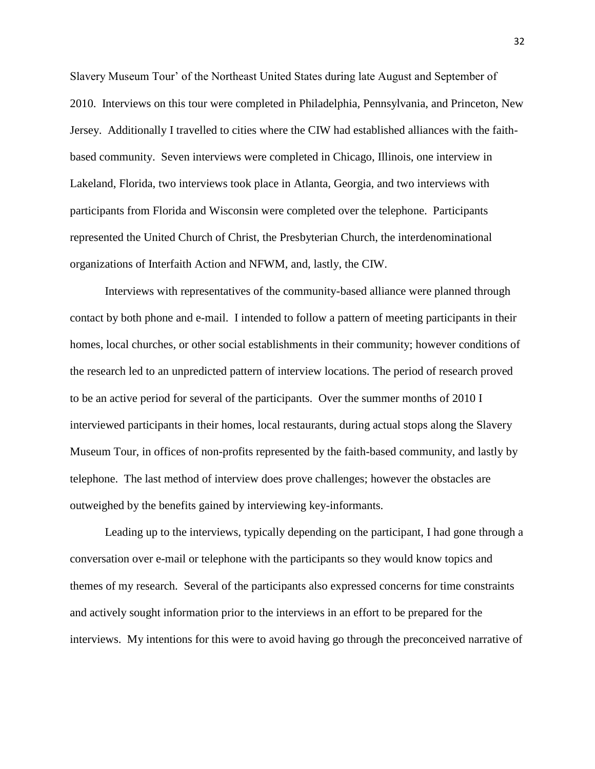Slavery Museum Tour' of the Northeast United States during late August and September of 2010. Interviews on this tour were completed in Philadelphia, Pennsylvania, and Princeton, New Jersey. Additionally I travelled to cities where the CIW had established alliances with the faithbased community. Seven interviews were completed in Chicago, Illinois, one interview in Lakeland, Florida, two interviews took place in Atlanta, Georgia, and two interviews with participants from Florida and Wisconsin were completed over the telephone. Participants represented the United Church of Christ, the Presbyterian Church, the interdenominational organizations of Interfaith Action and NFWM, and, lastly, the CIW.

Interviews with representatives of the community-based alliance were planned through contact by both phone and e-mail. I intended to follow a pattern of meeting participants in their homes, local churches, or other social establishments in their community; however conditions of the research led to an unpredicted pattern of interview locations. The period of research proved to be an active period for several of the participants. Over the summer months of 2010 I interviewed participants in their homes, local restaurants, during actual stops along the Slavery Museum Tour, in offices of non-profits represented by the faith-based community, and lastly by telephone. The last method of interview does prove challenges; however the obstacles are outweighed by the benefits gained by interviewing key-informants.

Leading up to the interviews, typically depending on the participant, I had gone through a conversation over e-mail or telephone with the participants so they would know topics and themes of my research. Several of the participants also expressed concerns for time constraints and actively sought information prior to the interviews in an effort to be prepared for the interviews. My intentions for this were to avoid having go through the preconceived narrative of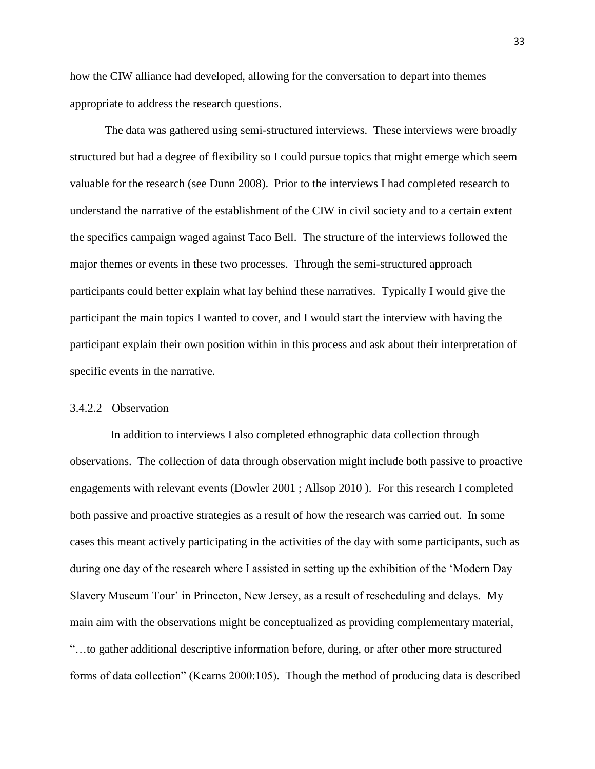how the CIW alliance had developed, allowing for the conversation to depart into themes appropriate to address the research questions.

The data was gathered using semi-structured interviews. These interviews were broadly structured but had a degree of flexibility so I could pursue topics that might emerge which seem valuable for the research (see Dunn 2008). Prior to the interviews I had completed research to understand the narrative of the establishment of the CIW in civil society and to a certain extent the specifics campaign waged against Taco Bell. The structure of the interviews followed the major themes or events in these two processes. Through the semi-structured approach participants could better explain what lay behind these narratives. Typically I would give the participant the main topics I wanted to cover, and I would start the interview with having the participant explain their own position within in this process and ask about their interpretation of specific events in the narrative.

### 3.4.2.2 Observation

 In addition to interviews I also completed ethnographic data collection through observations. The collection of data through observation might include both passive to proactive engagements with relevant events (Dowler 2001 ; Allsop 2010 ). For this research I completed both passive and proactive strategies as a result of how the research was carried out. In some cases this meant actively participating in the activities of the day with some participants, such as during one day of the research where I assisted in setting up the exhibition of the 'Modern Day Slavery Museum Tour' in Princeton, New Jersey, as a result of rescheduling and delays. My main aim with the observations might be conceptualized as providing complementary material, ―…to gather additional descriptive information before, during, or after other more structured forms of data collection" (Kearns 2000:105). Though the method of producing data is described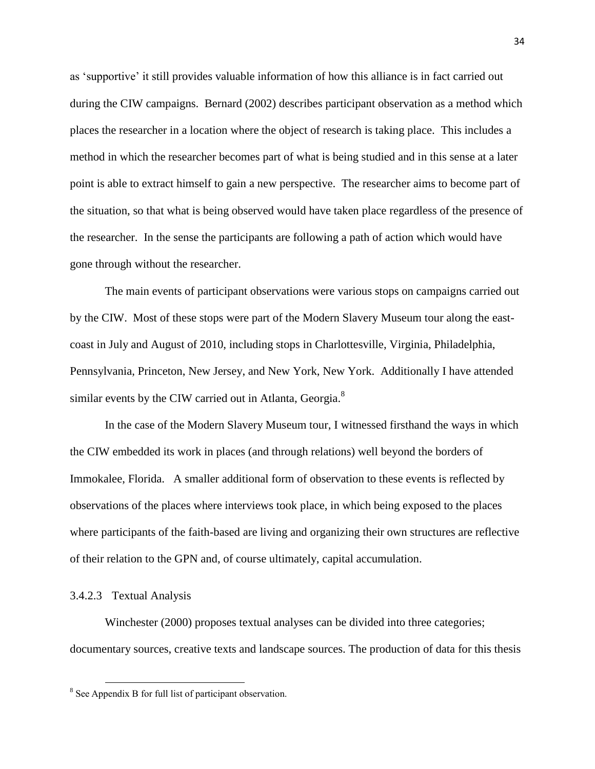as ‗supportive' it still provides valuable information of how this alliance is in fact carried out during the CIW campaigns. Bernard (2002) describes participant observation as a method which places the researcher in a location where the object of research is taking place. This includes a method in which the researcher becomes part of what is being studied and in this sense at a later point is able to extract himself to gain a new perspective. The researcher aims to become part of the situation, so that what is being observed would have taken place regardless of the presence of the researcher. In the sense the participants are following a path of action which would have gone through without the researcher.

The main events of participant observations were various stops on campaigns carried out by the CIW. Most of these stops were part of the Modern Slavery Museum tour along the eastcoast in July and August of 2010, including stops in Charlottesville, Virginia, Philadelphia, Pennsylvania, Princeton, New Jersey, and New York, New York. Additionally I have attended similar events by the CIW carried out in Atlanta, Georgia.<sup>8</sup>

In the case of the Modern Slavery Museum tour, I witnessed firsthand the ways in which the CIW embedded its work in places (and through relations) well beyond the borders of Immokalee, Florida. A smaller additional form of observation to these events is reflected by observations of the places where interviews took place, in which being exposed to the places where participants of the faith-based are living and organizing their own structures are reflective of their relation to the GPN and, of course ultimately, capital accumulation.

# 3.4.2.3 Textual Analysis

 $\overline{\phantom{a}}$ 

Winchester (2000) proposes textual analyses can be divided into three categories; documentary sources, creative texts and landscape sources. The production of data for this thesis

<sup>&</sup>lt;sup>8</sup> See Appendix B for full list of participant observation.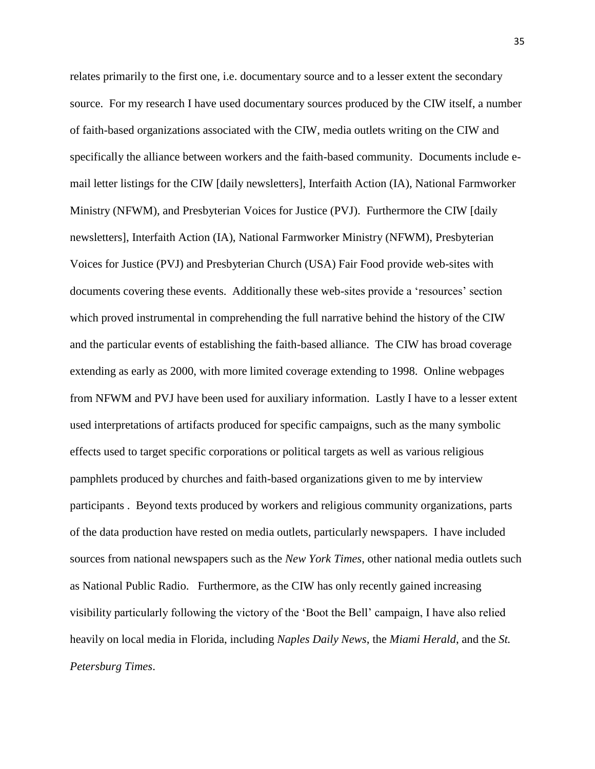relates primarily to the first one, i.e. documentary source and to a lesser extent the secondary source. For my research I have used documentary sources produced by the CIW itself, a number of faith-based organizations associated with the CIW, media outlets writing on the CIW and specifically the alliance between workers and the faith-based community. Documents include email letter listings for the CIW [daily newsletters], Interfaith Action (IA), National Farmworker Ministry (NFWM), and Presbyterian Voices for Justice (PVJ). Furthermore the CIW [daily newsletters], Interfaith Action (IA), National Farmworker Ministry (NFWM), Presbyterian Voices for Justice (PVJ) and Presbyterian Church (USA) Fair Food provide web-sites with documents covering these events. Additionally these web-sites provide a 'resources' section which proved instrumental in comprehending the full narrative behind the history of the CIW and the particular events of establishing the faith-based alliance. The CIW has broad coverage extending as early as 2000, with more limited coverage extending to 1998. Online webpages from NFWM and PVJ have been used for auxiliary information. Lastly I have to a lesser extent used interpretations of artifacts produced for specific campaigns, such as the many symbolic effects used to target specific corporations or political targets as well as various religious pamphlets produced by churches and faith-based organizations given to me by interview participants . Beyond texts produced by workers and religious community organizations, parts of the data production have rested on media outlets, particularly newspapers. I have included sources from national newspapers such as the *New York Times*, other national media outlets such as National Public Radio. Furthermore, as the CIW has only recently gained increasing visibility particularly following the victory of the 'Boot the Bell' campaign, I have also relied heavily on local media in Florida, including *Naples Daily News*, the *Miami Herald*, and the *St. Petersburg Times*.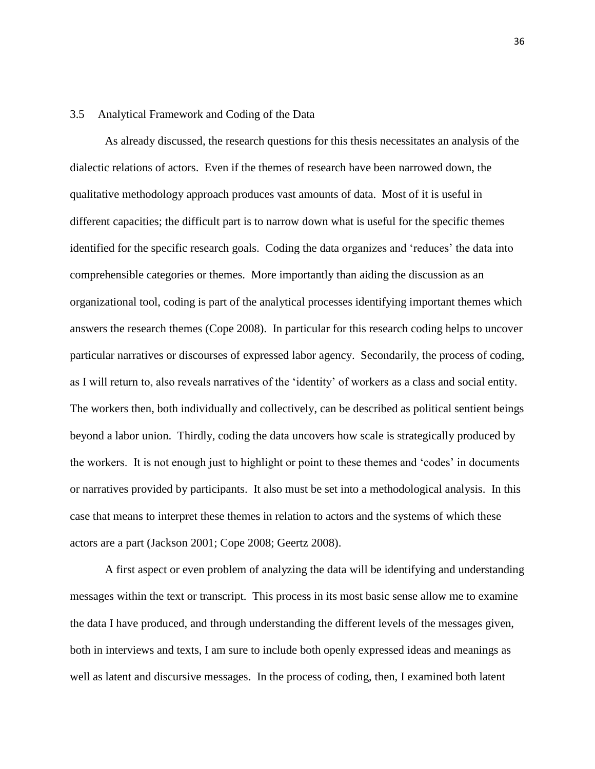# 3.5 Analytical Framework and Coding of the Data

As already discussed, the research questions for this thesis necessitates an analysis of the dialectic relations of actors. Even if the themes of research have been narrowed down, the qualitative methodology approach produces vast amounts of data. Most of it is useful in different capacities; the difficult part is to narrow down what is useful for the specific themes identified for the specific research goals. Coding the data organizes and 'reduces' the data into comprehensible categories or themes. More importantly than aiding the discussion as an organizational tool, coding is part of the analytical processes identifying important themes which answers the research themes (Cope 2008). In particular for this research coding helps to uncover particular narratives or discourses of expressed labor agency. Secondarily, the process of coding, as I will return to, also reveals narratives of the ‗identity' of workers as a class and social entity. The workers then, both individually and collectively, can be described as political sentient beings beyond a labor union. Thirdly, coding the data uncovers how scale is strategically produced by the workers. It is not enough just to highlight or point to these themes and ‗codes' in documents or narratives provided by participants. It also must be set into a methodological analysis. In this case that means to interpret these themes in relation to actors and the systems of which these actors are a part (Jackson 2001; Cope 2008; Geertz 2008).

A first aspect or even problem of analyzing the data will be identifying and understanding messages within the text or transcript. This process in its most basic sense allow me to examine the data I have produced, and through understanding the different levels of the messages given, both in interviews and texts, I am sure to include both openly expressed ideas and meanings as well as latent and discursive messages. In the process of coding, then, I examined both latent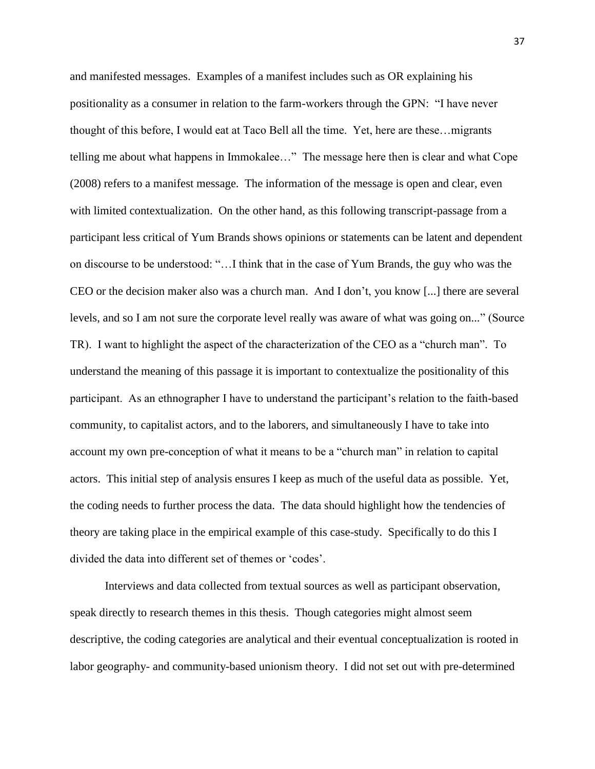and manifested messages. Examples of a manifest includes such as OR explaining his positionality as a consumer in relation to the farm-workers through the GPN: "I have never thought of this before, I would eat at Taco Bell all the time. Yet, here are these…migrants telling me about what happens in Immokalee..." The message here then is clear and what Cope (2008) refers to a manifest message. The information of the message is open and clear, even with limited contextualization. On the other hand, as this following transcript-passage from a participant less critical of Yum Brands shows opinions or statements can be latent and dependent on discourse to be understood: ―…I think that in the case of Yum Brands, the guy who was the CEO or the decision maker also was a church man. And I don't, you know [...] there are several levels, and so I am not sure the corporate level really was aware of what was going on..." (Source TR). I want to highlight the aspect of the characterization of the CEO as a "church man". To understand the meaning of this passage it is important to contextualize the positionality of this participant. As an ethnographer I have to understand the participant's relation to the faith-based community, to capitalist actors, and to the laborers, and simultaneously I have to take into account my own pre-conception of what it means to be a "church man" in relation to capital actors. This initial step of analysis ensures I keep as much of the useful data as possible. Yet, the coding needs to further process the data. The data should highlight how the tendencies of theory are taking place in the empirical example of this case-study. Specifically to do this I divided the data into different set of themes or 'codes'.

Interviews and data collected from textual sources as well as participant observation, speak directly to research themes in this thesis. Though categories might almost seem descriptive, the coding categories are analytical and their eventual conceptualization is rooted in labor geography- and community-based unionism theory. I did not set out with pre-determined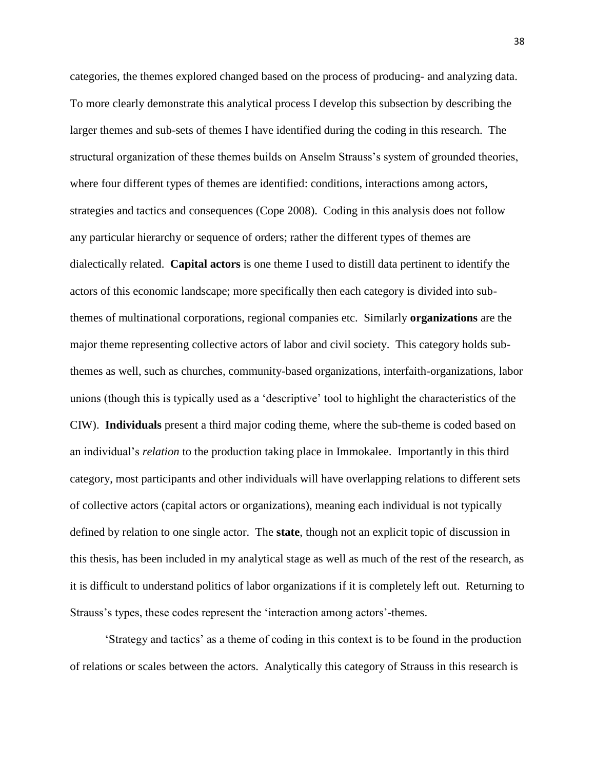categories, the themes explored changed based on the process of producing- and analyzing data. To more clearly demonstrate this analytical process I develop this subsection by describing the larger themes and sub-sets of themes I have identified during the coding in this research. The structural organization of these themes builds on Anselm Strauss's system of grounded theories, where four different types of themes are identified: conditions, interactions among actors, strategies and tactics and consequences (Cope 2008). Coding in this analysis does not follow any particular hierarchy or sequence of orders; rather the different types of themes are dialectically related. **Capital actors** is one theme I used to distill data pertinent to identify the actors of this economic landscape; more specifically then each category is divided into subthemes of multinational corporations, regional companies etc. Similarly **organizations** are the major theme representing collective actors of labor and civil society. This category holds subthemes as well, such as churches, community-based organizations, interfaith-organizations, labor unions (though this is typically used as a ‗descriptive' tool to highlight the characteristics of the CIW). **Individuals** present a third major coding theme, where the sub-theme is coded based on an individual's *relation* to the production taking place in Immokalee. Importantly in this third category, most participants and other individuals will have overlapping relations to different sets of collective actors (capital actors or organizations), meaning each individual is not typically defined by relation to one single actor. The **state**, though not an explicit topic of discussion in this thesis, has been included in my analytical stage as well as much of the rest of the research, as it is difficult to understand politics of labor organizations if it is completely left out. Returning to Strauss's types, these codes represent the 'interaction among actors'-themes.

‗Strategy and tactics' as a theme of coding in this context is to be found in the production of relations or scales between the actors. Analytically this category of Strauss in this research is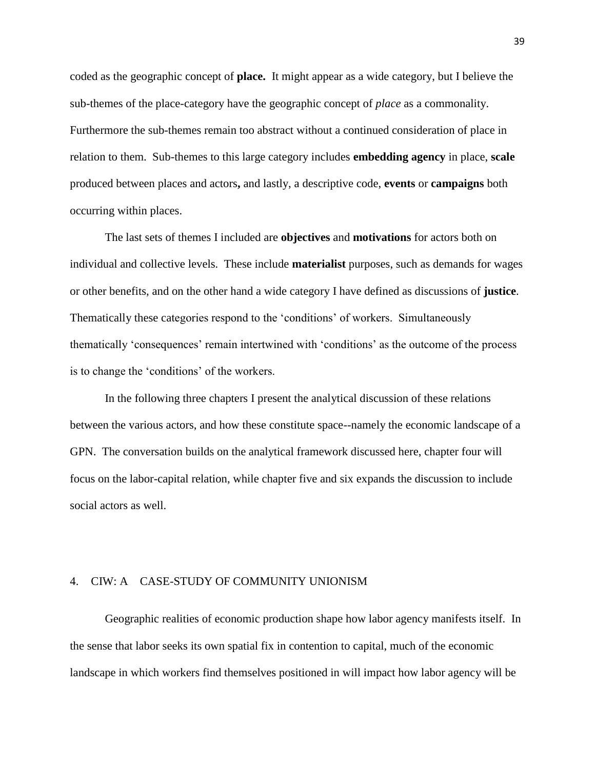coded as the geographic concept of **place.** It might appear as a wide category, but I believe the sub-themes of the place-category have the geographic concept of *place* as a commonality. Furthermore the sub-themes remain too abstract without a continued consideration of place in relation to them. Sub-themes to this large category includes **embedding agency** in place, **scale** produced between places and actors**,** and lastly, a descriptive code, **events** or **campaigns** both occurring within places.

The last sets of themes I included are **objectives** and **motivations** for actors both on individual and collective levels. These include **materialist** purposes, such as demands for wages or other benefits, and on the other hand a wide category I have defined as discussions of **justice**. Thematically these categories respond to the 'conditions' of workers. Simultaneously thematically ‗consequences' remain intertwined with ‗conditions' as the outcome of the process is to change the 'conditions' of the workers.

In the following three chapters I present the analytical discussion of these relations between the various actors, and how these constitute space--namely the economic landscape of a GPN. The conversation builds on the analytical framework discussed here, chapter four will focus on the labor-capital relation, while chapter five and six expands the discussion to include social actors as well.

# 4. CIW: A CASE-STUDY OF COMMUNITY UNIONISM

Geographic realities of economic production shape how labor agency manifests itself. In the sense that labor seeks its own spatial fix in contention to capital, much of the economic landscape in which workers find themselves positioned in will impact how labor agency will be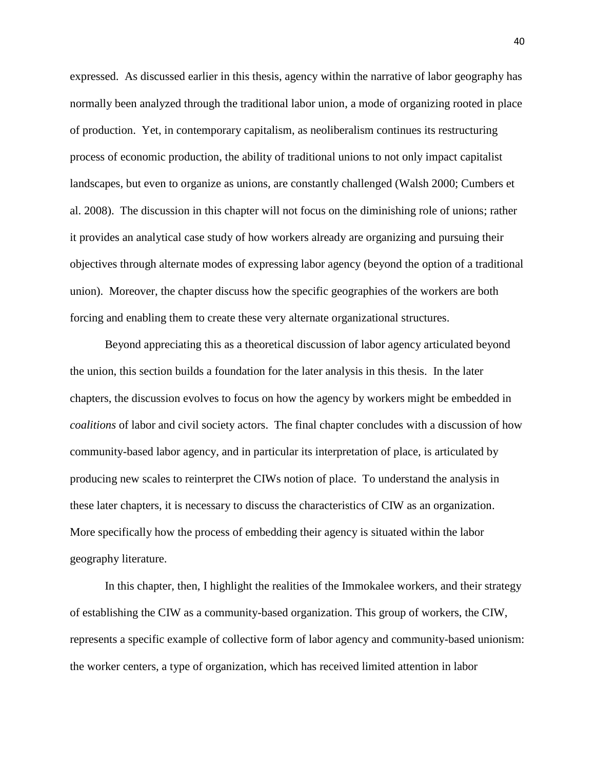expressed. As discussed earlier in this thesis, agency within the narrative of labor geography has normally been analyzed through the traditional labor union, a mode of organizing rooted in place of production. Yet, in contemporary capitalism, as neoliberalism continues its restructuring process of economic production, the ability of traditional unions to not only impact capitalist landscapes, but even to organize as unions, are constantly challenged (Walsh 2000; Cumbers et al. 2008). The discussion in this chapter will not focus on the diminishing role of unions; rather it provides an analytical case study of how workers already are organizing and pursuing their objectives through alternate modes of expressing labor agency (beyond the option of a traditional union). Moreover, the chapter discuss how the specific geographies of the workers are both forcing and enabling them to create these very alternate organizational structures.

Beyond appreciating this as a theoretical discussion of labor agency articulated beyond the union, this section builds a foundation for the later analysis in this thesis. In the later chapters, the discussion evolves to focus on how the agency by workers might be embedded in *coalitions* of labor and civil society actors. The final chapter concludes with a discussion of how community-based labor agency, and in particular its interpretation of place, is articulated by producing new scales to reinterpret the CIWs notion of place. To understand the analysis in these later chapters, it is necessary to discuss the characteristics of CIW as an organization. More specifically how the process of embedding their agency is situated within the labor geography literature.

In this chapter, then, I highlight the realities of the Immokalee workers, and their strategy of establishing the CIW as a community-based organization. This group of workers, the CIW, represents a specific example of collective form of labor agency and community-based unionism: the worker centers, a type of organization, which has received limited attention in labor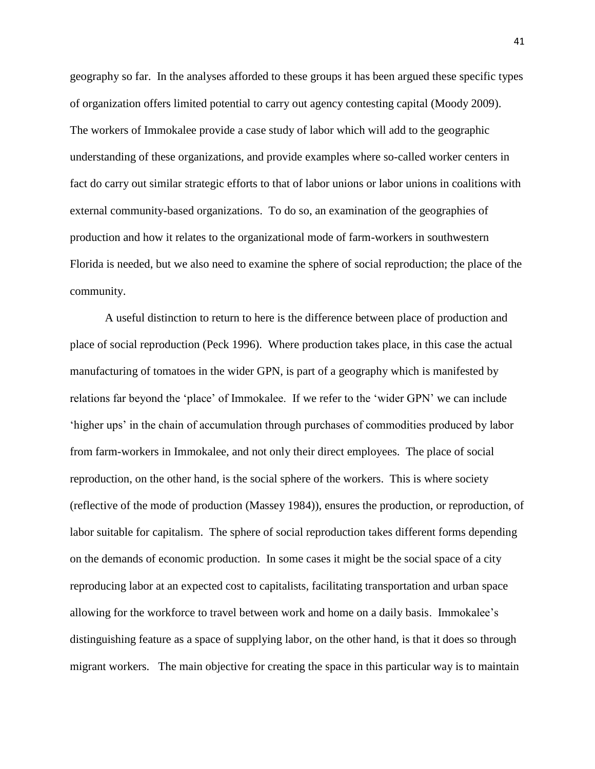geography so far. In the analyses afforded to these groups it has been argued these specific types of organization offers limited potential to carry out agency contesting capital (Moody 2009). The workers of Immokalee provide a case study of labor which will add to the geographic understanding of these organizations, and provide examples where so-called worker centers in fact do carry out similar strategic efforts to that of labor unions or labor unions in coalitions with external community-based organizations. To do so, an examination of the geographies of production and how it relates to the organizational mode of farm-workers in southwestern Florida is needed, but we also need to examine the sphere of social reproduction; the place of the community.

A useful distinction to return to here is the difference between place of production and place of social reproduction (Peck 1996). Where production takes place, in this case the actual manufacturing of tomatoes in the wider GPN, is part of a geography which is manifested by relations far beyond the 'place' of Immokalee. If we refer to the 'wider GPN' we can include ‗higher ups' in the chain of accumulation through purchases of commodities produced by labor from farm-workers in Immokalee, and not only their direct employees. The place of social reproduction, on the other hand, is the social sphere of the workers. This is where society (reflective of the mode of production (Massey 1984)), ensures the production, or reproduction, of labor suitable for capitalism. The sphere of social reproduction takes different forms depending on the demands of economic production. In some cases it might be the social space of a city reproducing labor at an expected cost to capitalists, facilitating transportation and urban space allowing for the workforce to travel between work and home on a daily basis. Immokalee's distinguishing feature as a space of supplying labor, on the other hand, is that it does so through migrant workers. The main objective for creating the space in this particular way is to maintain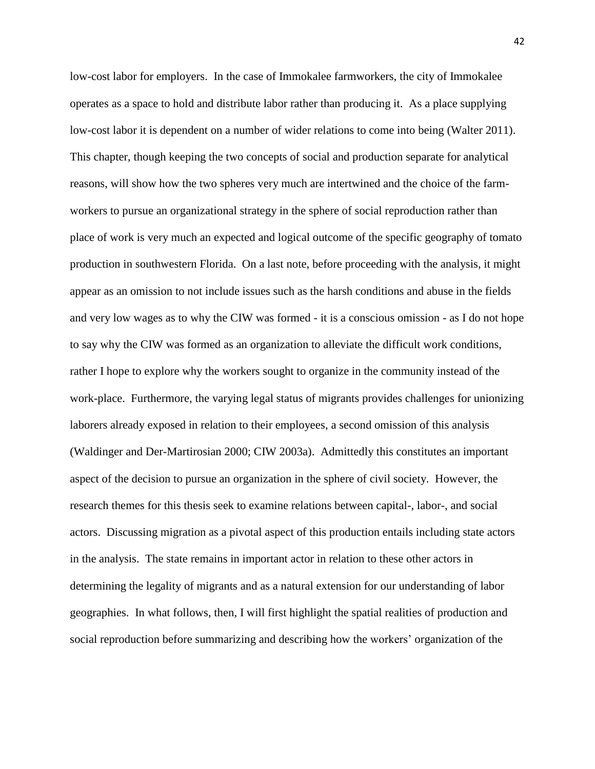low-cost labor for employers. In the case of Immokalee farmworkers, the city of Immokalee operates as a space to hold and distribute labor rather than producing it. As a place supplying low-cost labor it is dependent on a number of wider relations to come into being (Walter 2011). This chapter, though keeping the two concepts of social and production separate for analytical reasons, will show how the two spheres very much are intertwined and the choice of the farmworkers to pursue an organizational strategy in the sphere of social reproduction rather than place of work is very much an expected and logical outcome of the specific geography of tomato production in southwestern Florida. On a last note, before proceeding with the analysis, it might appear as an omission to not include issues such as the harsh conditions and abuse in the fields and very low wages as to why the CIW was formed - it is a conscious omission - as I do not hope to say why the CIW was formed as an organization to alleviate the difficult work conditions, rather I hope to explore why the workers sought to organize in the community instead of the work-place. Furthermore, the varying legal status of migrants provides challenges for unionizing laborers already exposed in relation to their employees, a second omission of this analysis (Waldinger and Der-Martirosian 2000; CIW 2003a). Admittedly this constitutes an important aspect of the decision to pursue an organization in the sphere of civil society. However, the research themes for this thesis seek to examine relations between capital-, labor-, and social actors. Discussing migration as a pivotal aspect of this production entails including state actors in the analysis. The state remains in important actor in relation to these other actors in determining the legality of migrants and as a natural extension for our understanding of labor geographies. In what follows, then, I will first highlight the spatial realities of production and social reproduction before summarizing and describing how the workers' organization of the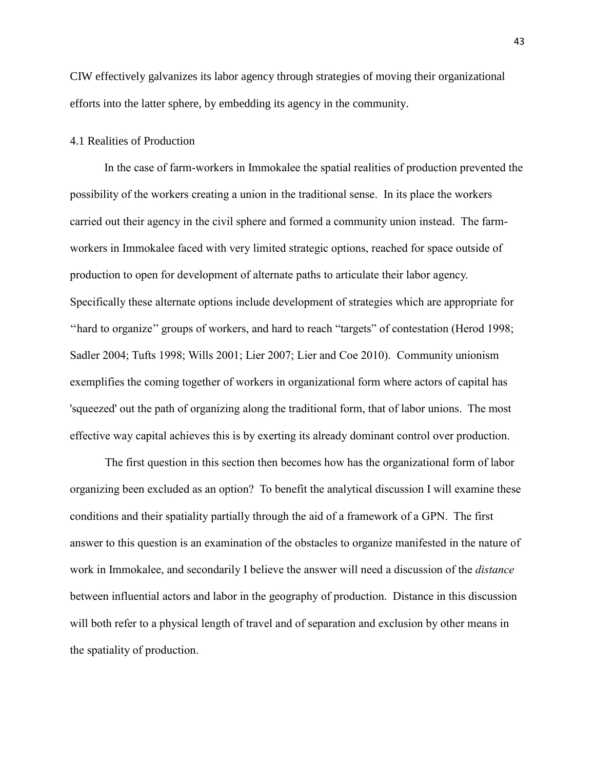CIW effectively galvanizes its labor agency through strategies of moving their organizational efforts into the latter sphere, by embedding its agency in the community.

# 4.1 Realities of Production

In the case of farm-workers in Immokalee the spatial realities of production prevented the possibility of the workers creating a union in the traditional sense. In its place the workers carried out their agency in the civil sphere and formed a community union instead. The farmworkers in Immokalee faced with very limited strategic options, reached for space outside of production to open for development of alternate paths to articulate their labor agency. Specifically these alternate options include development of strategies which are appropriate for "hard to organize" groups of workers, and hard to reach "targets" of contestation (Herod 1998; Sadler 2004; Tufts 1998; Wills 2001; Lier 2007; Lier and Coe 2010). Community unionism exemplifies the coming together of workers in organizational form where actors of capital has 'squeezed' out the path of organizing along the traditional form, that of labor unions. The most effective way capital achieves this is by exerting its already dominant control over production.

The first question in this section then becomes how has the organizational form of labor organizing been excluded as an option? To benefit the analytical discussion I will examine these conditions and their spatiality partially through the aid of a framework of a GPN. The first answer to this question is an examination of the obstacles to organize manifested in the nature of work in Immokalee, and secondarily I believe the answer will need a discussion of the *distance* between influential actors and labor in the geography of production. Distance in this discussion will both refer to a physical length of travel and of separation and exclusion by other means in the spatiality of production.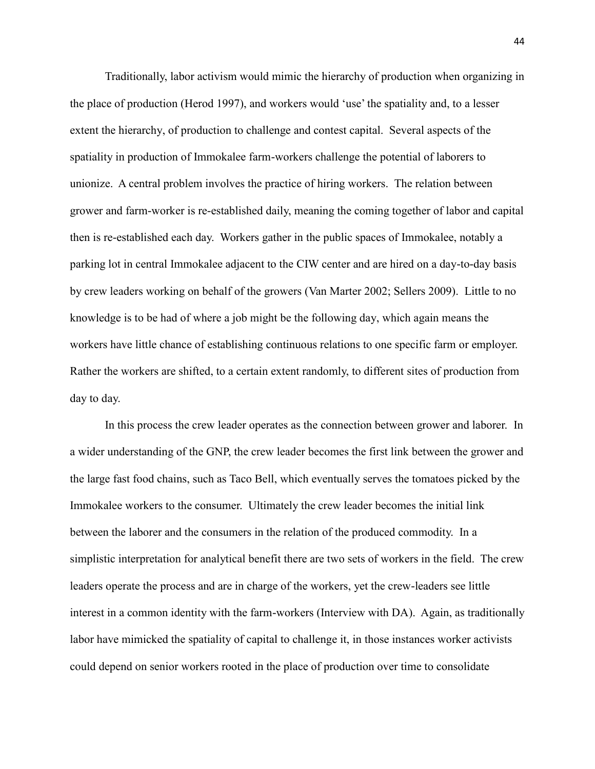Traditionally, labor activism would mimic the hierarchy of production when organizing in the place of production (Herod 1997), and workers would 'use' the spatiality and, to a lesser extent the hierarchy, of production to challenge and contest capital. Several aspects of the spatiality in production of Immokalee farm-workers challenge the potential of laborers to unionize. A central problem involves the practice of hiring workers. The relation between grower and farm-worker is re-established daily, meaning the coming together of labor and capital then is re-established each day. Workers gather in the public spaces of Immokalee, notably a parking lot in central Immokalee adjacent to the CIW center and are hired on a day-to-day basis by crew leaders working on behalf of the growers (Van Marter 2002; Sellers 2009). Little to no knowledge is to be had of where a job might be the following day, which again means the workers have little chance of establishing continuous relations to one specific farm or employer. Rather the workers are shifted, to a certain extent randomly, to different sites of production from day to day.

In this process the crew leader operates as the connection between grower and laborer. In a wider understanding of the GNP, the crew leader becomes the first link between the grower and the large fast food chains, such as Taco Bell, which eventually serves the tomatoes picked by the Immokalee workers to the consumer. Ultimately the crew leader becomes the initial link between the laborer and the consumers in the relation of the produced commodity. In a simplistic interpretation for analytical benefit there are two sets of workers in the field. The crew leaders operate the process and are in charge of the workers, yet the crew-leaders see little interest in a common identity with the farm-workers (Interview with DA). Again, as traditionally labor have mimicked the spatiality of capital to challenge it, in those instances worker activists could depend on senior workers rooted in the place of production over time to consolidate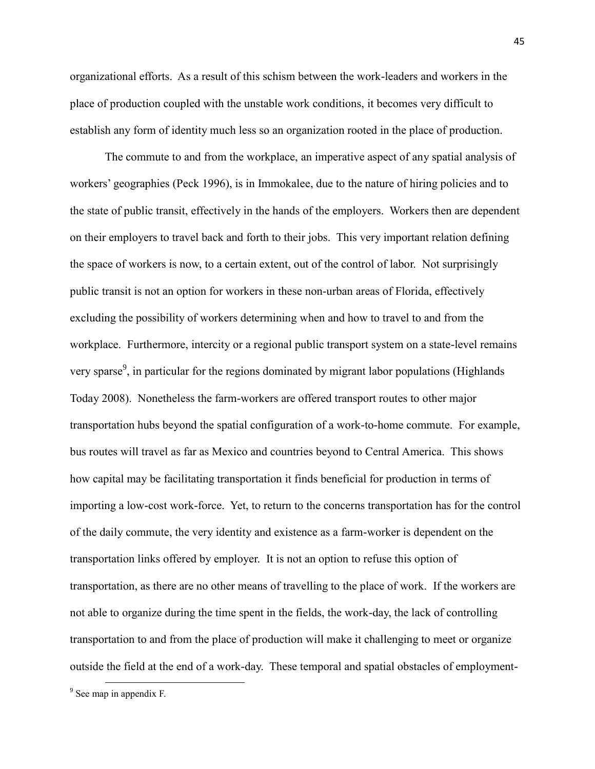organizational efforts. As a result of this schism between the work-leaders and workers in the place of production coupled with the unstable work conditions, it becomes very difficult to establish any form of identity much less so an organization rooted in the place of production.

The commute to and from the workplace, an imperative aspect of any spatial analysis of workers' geographies (Peck 1996), is in Immokalee, due to the nature of hiring policies and to the state of public transit, effectively in the hands of the employers. Workers then are dependent on their employers to travel back and forth to their jobs. This very important relation defining the space of workers is now, to a certain extent, out of the control of labor. Not surprisingly public transit is not an option for workers in these non-urban areas of Florida, effectively excluding the possibility of workers determining when and how to travel to and from the workplace. Furthermore, intercity or a regional public transport system on a state-level remains very sparse<sup>9</sup>, in particular for the regions dominated by migrant labor populations (Highlands) Today 2008). Nonetheless the farm-workers are offered transport routes to other major transportation hubs beyond the spatial configuration of a work-to-home commute. For example, bus routes will travel as far as Mexico and countries beyond to Central America. This shows how capital may be facilitating transportation it finds beneficial for production in terms of importing a low-cost work-force. Yet, to return to the concerns transportation has for the control of the daily commute, the very identity and existence as a farm-worker is dependent on the transportation links offered by employer. It is not an option to refuse this option of transportation, as there are no other means of travelling to the place of work. If the workers are not able to organize during the time spent in the fields, the work-day, the lack of controlling transportation to and from the place of production will make it challenging to meet or organize outside the field at the end of a work-day. These temporal and spatial obstacles of employment-

 $\overline{\phantom{a}}$ 

<sup>&</sup>lt;sup>9</sup> See map in appendix F.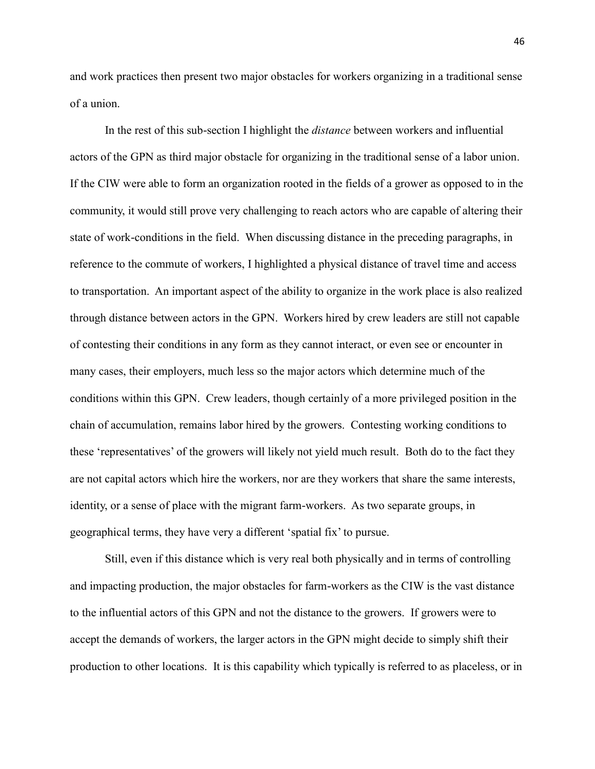and work practices then present two major obstacles for workers organizing in a traditional sense of a union.

In the rest of this sub-section I highlight the *distance* between workers and influential actors of the GPN as third major obstacle for organizing in the traditional sense of a labor union. If the CIW were able to form an organization rooted in the fields of a grower as opposed to in the community, it would still prove very challenging to reach actors who are capable of altering their state of work-conditions in the field. When discussing distance in the preceding paragraphs, in reference to the commute of workers, I highlighted a physical distance of travel time and access to transportation. An important aspect of the ability to organize in the work place is also realized through distance between actors in the GPN. Workers hired by crew leaders are still not capable of contesting their conditions in any form as they cannot interact, or even see or encounter in many cases, their employers, much less so the major actors which determine much of the conditions within this GPN. Crew leaders, though certainly of a more privileged position in the chain of accumulation, remains labor hired by the growers. Contesting working conditions to these ‗representatives' of the growers will likely not yield much result. Both do to the fact they are not capital actors which hire the workers, nor are they workers that share the same interests, identity, or a sense of place with the migrant farm-workers. As two separate groups, in geographical terms, they have very a different 'spatial fix' to pursue.

Still, even if this distance which is very real both physically and in terms of controlling and impacting production, the major obstacles for farm-workers as the CIW is the vast distance to the influential actors of this GPN and not the distance to the growers. If growers were to accept the demands of workers, the larger actors in the GPN might decide to simply shift their production to other locations. It is this capability which typically is referred to as placeless, or in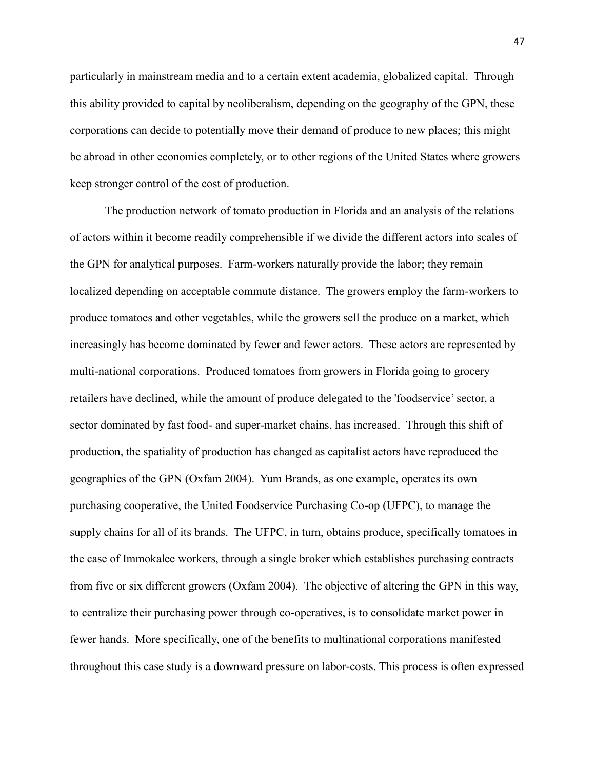particularly in mainstream media and to a certain extent academia, globalized capital. Through this ability provided to capital by neoliberalism, depending on the geography of the GPN, these corporations can decide to potentially move their demand of produce to new places; this might be abroad in other economies completely, or to other regions of the United States where growers keep stronger control of the cost of production.

The production network of tomato production in Florida and an analysis of the relations of actors within it become readily comprehensible if we divide the different actors into scales of the GPN for analytical purposes. Farm-workers naturally provide the labor; they remain localized depending on acceptable commute distance. The growers employ the farm-workers to produce tomatoes and other vegetables, while the growers sell the produce on a market, which increasingly has become dominated by fewer and fewer actors. These actors are represented by multi-national corporations. Produced tomatoes from growers in Florida going to grocery retailers have declined, while the amount of produce delegated to the 'foodservice'sector, a sector dominated by fast food- and super-market chains, has increased. Through this shift of production, the spatiality of production has changed as capitalist actors have reproduced the geographies of the GPN (Oxfam 2004). Yum Brands, as one example, operates its own purchasing cooperative, the United Foodservice Purchasing Co-op (UFPC), to manage the supply chains for all of its brands. The UFPC, in turn, obtains produce, specifically tomatoes in the case of Immokalee workers, through a single broker which establishes purchasing contracts from five or six different growers (Oxfam 2004). The objective of altering the GPN in this way, to centralize their purchasing power through co-operatives, is to consolidate market power in fewer hands. More specifically, one of the benefits to multinational corporations manifested throughout this case study is a downward pressure on labor-costs. This process is often expressed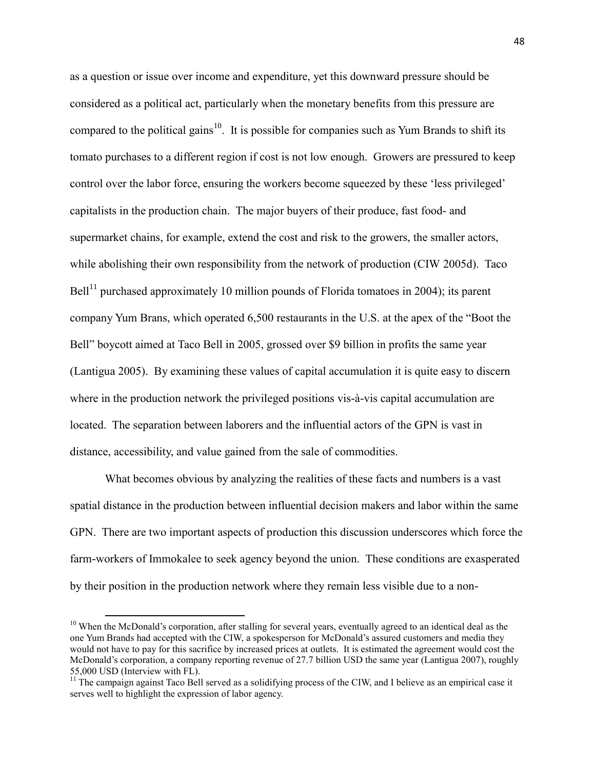as a question or issue over income and expenditure, yet this downward pressure should be considered as a political act, particularly when the monetary benefits from this pressure are compared to the political gains<sup>10</sup>. It is possible for companies such as Yum Brands to shift its tomato purchases to a different region if cost is not low enough. Growers are pressured to keep control over the labor force, ensuring the workers become squeezed by these 'less privileged' capitalists in the production chain. The major buyers of their produce, fast food- and supermarket chains, for example, extend the cost and risk to the growers, the smaller actors, while abolishing their own responsibility from the network of production (CIW 2005d). Taco Bell<sup>11</sup> purchased approximately 10 million pounds of Florida tomatoes in 2004); its parent company Yum Brans, which operated 6,500 restaurants in the U.S. at the apex of the "Boot the Bell" boycott aimed at Taco Bell in 2005, grossed over \$9 billion in profits the same year (Lantigua 2005). By examining these values of capital accumulation it is quite easy to discern where in the production network the privileged positions vis-à-vis capital accumulation are located. The separation between laborers and the influential actors of the GPN is vast in distance, accessibility, and value gained from the sale of commodities.

What becomes obvious by analyzing the realities of these facts and numbers is a vast spatial distance in the production between influential decision makers and labor within the same GPN. There are two important aspects of production this discussion underscores which force the farm-workers of Immokalee to seek agency beyond the union. These conditions are exasperated by their position in the production network where they remain less visible due to a non-

 $\overline{\phantom{a}}$ 

 $10$  When the McDonald's corporation, after stalling for several years, eventually agreed to an identical deal as the one Yum Brands had accepted with the CIW, a spokesperson for McDonald's assured customers and media they would not have to pay for this sacrifice by increased prices at outlets. It is estimated the agreement would cost the McDonald's corporation, a company reporting revenue of 27.7 billion USD the same year (Lantigua 2007), roughly 55,000 USD (Interview with FL).

 $11$  The campaign against Taco Bell served as a solidifying process of the CIW, and I believe as an empirical case it serves well to highlight the expression of labor agency.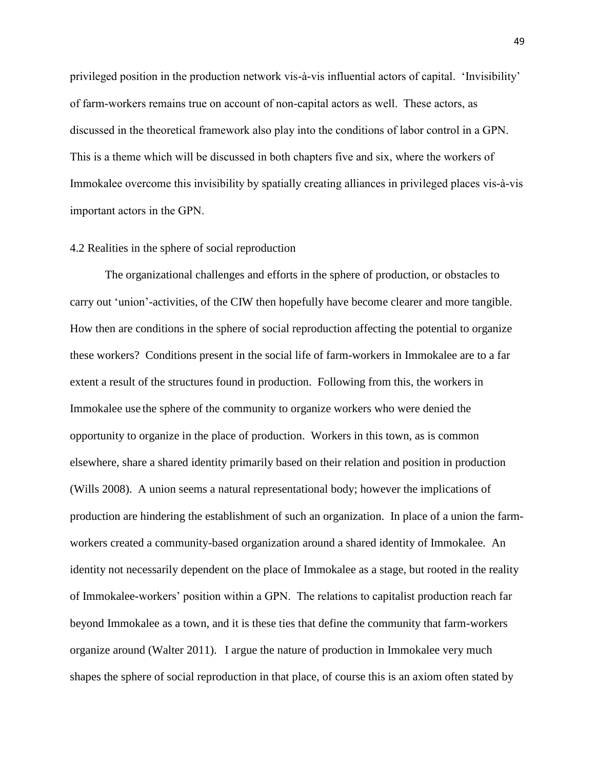privileged position in the production network vis-à-vis influential actors of capital. ‗Invisibility' of farm-workers remains true on account of non-capital actors as well. These actors, as discussed in the theoretical framework also play into the conditions of labor control in a GPN. This is a theme which will be discussed in both chapters five and six, where the workers of Immokalee overcome this invisibility by spatially creating alliances in privileged places vis-à-vis important actors in the GPN.

#### 4.2 Realities in the sphere of social reproduction

The organizational challenges and efforts in the sphere of production, or obstacles to carry out 'union'-activities, of the CIW then hopefully have become clearer and more tangible. How then are conditions in the sphere of social reproduction affecting the potential to organize these workers? Conditions present in the social life of farm-workers in Immokalee are to a far extent a result of the structures found in production. Following from this, the workers in Immokalee use the sphere of the community to organize workers who were denied the opportunity to organize in the place of production. Workers in this town, as is common elsewhere, share a shared identity primarily based on their relation and position in production (Wills 2008). A union seems a natural representational body; however the implications of production are hindering the establishment of such an organization. In place of a union the farmworkers created a community-based organization around a shared identity of Immokalee. An identity not necessarily dependent on the place of Immokalee as a stage, but rooted in the reality of Immokalee-workers' position within a GPN. The relations to capitalist production reach far beyond Immokalee as a town, and it is these ties that define the community that farm-workers organize around (Walter 2011). I argue the nature of production in Immokalee very much shapes the sphere of social reproduction in that place, of course this is an axiom often stated by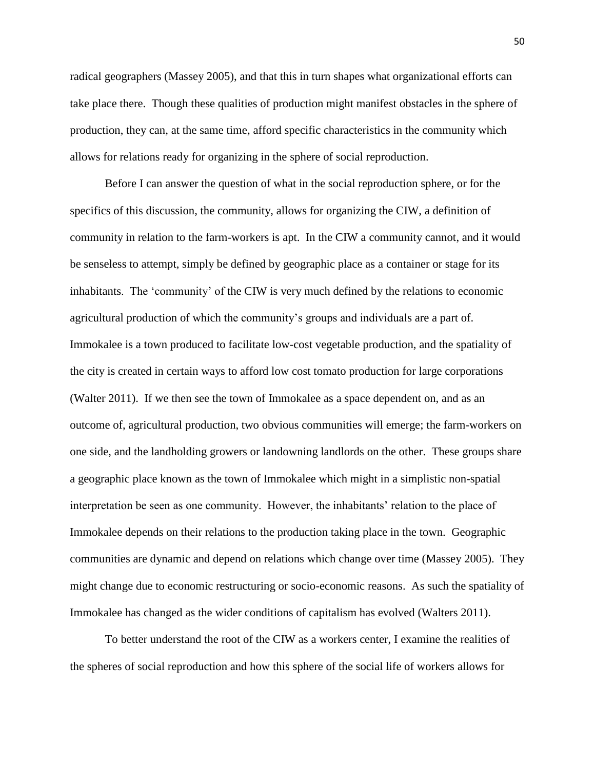radical geographers (Massey 2005), and that this in turn shapes what organizational efforts can take place there. Though these qualities of production might manifest obstacles in the sphere of production, they can, at the same time, afford specific characteristics in the community which allows for relations ready for organizing in the sphere of social reproduction.

Before I can answer the question of what in the social reproduction sphere, or for the specifics of this discussion, the community, allows for organizing the CIW, a definition of community in relation to the farm-workers is apt. In the CIW a community cannot, and it would be senseless to attempt, simply be defined by geographic place as a container or stage for its inhabitants. The 'community' of the CIW is very much defined by the relations to economic agricultural production of which the community's groups and individuals are a part of. Immokalee is a town produced to facilitate low-cost vegetable production, and the spatiality of the city is created in certain ways to afford low cost tomato production for large corporations (Walter 2011). If we then see the town of Immokalee as a space dependent on, and as an outcome of, agricultural production, two obvious communities will emerge; the farm-workers on one side, and the landholding growers or landowning landlords on the other. These groups share a geographic place known as the town of Immokalee which might in a simplistic non-spatial interpretation be seen as one community. However, the inhabitants' relation to the place of Immokalee depends on their relations to the production taking place in the town. Geographic communities are dynamic and depend on relations which change over time (Massey 2005). They might change due to economic restructuring or socio-economic reasons. As such the spatiality of Immokalee has changed as the wider conditions of capitalism has evolved (Walters 2011).

To better understand the root of the CIW as a workers center, I examine the realities of the spheres of social reproduction and how this sphere of the social life of workers allows for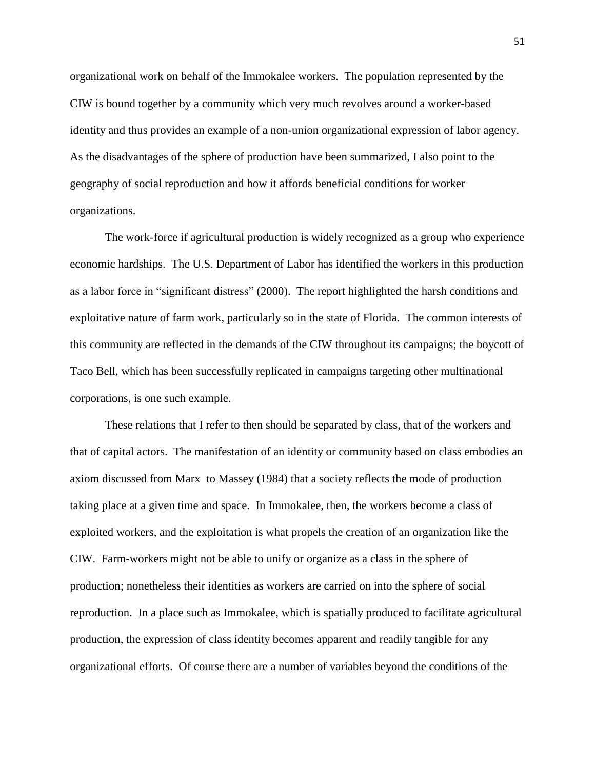organizational work on behalf of the Immokalee workers. The population represented by the CIW is bound together by a community which very much revolves around a worker-based identity and thus provides an example of a non-union organizational expression of labor agency. As the disadvantages of the sphere of production have been summarized, I also point to the geography of social reproduction and how it affords beneficial conditions for worker organizations.

The work-force if agricultural production is widely recognized as a group who experience economic hardships. The U.S. Department of Labor has identified the workers in this production as a labor force in "significant distress" (2000). The report highlighted the harsh conditions and exploitative nature of farm work, particularly so in the state of Florida. The common interests of this community are reflected in the demands of the CIW throughout its campaigns; the boycott of Taco Bell, which has been successfully replicated in campaigns targeting other multinational corporations, is one such example.

These relations that I refer to then should be separated by class, that of the workers and that of capital actors. The manifestation of an identity or community based on class embodies an axiom discussed from Marx to Massey (1984) that a society reflects the mode of production taking place at a given time and space. In Immokalee, then, the workers become a class of exploited workers, and the exploitation is what propels the creation of an organization like the CIW. Farm-workers might not be able to unify or organize as a class in the sphere of production; nonetheless their identities as workers are carried on into the sphere of social reproduction. In a place such as Immokalee, which is spatially produced to facilitate agricultural production, the expression of class identity becomes apparent and readily tangible for any organizational efforts. Of course there are a number of variables beyond the conditions of the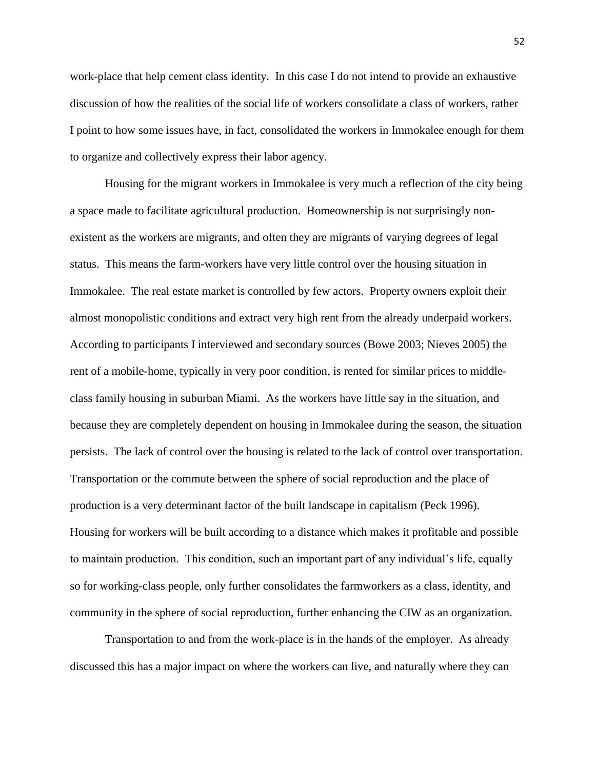work-place that help cement class identity. In this case I do not intend to provide an exhaustive discussion of how the realities of the social life of workers consolidate a class of workers, rather I point to how some issues have, in fact, consolidated the workers in Immokalee enough for them to organize and collectively express their labor agency.

Housing for the migrant workers in Immokalee is very much a reflection of the city being a space made to facilitate agricultural production. Homeownership is not surprisingly nonexistent as the workers are migrants, and often they are migrants of varying degrees of legal status. This means the farm-workers have very little control over the housing situation in Immokalee. The real estate market is controlled by few actors. Property owners exploit their almost monopolistic conditions and extract very high rent from the already underpaid workers. According to participants I interviewed and secondary sources (Bowe 2003; Nieves 2005) the rent of a mobile-home, typically in very poor condition, is rented for similar prices to middleclass family housing in suburban Miami. As the workers have little say in the situation, and because they are completely dependent on housing in Immokalee during the season, the situation persists. The lack of control over the housing is related to the lack of control over transportation. Transportation or the commute between the sphere of social reproduction and the place of production is a very determinant factor of the built landscape in capitalism (Peck 1996). Housing for workers will be built according to a distance which makes it profitable and possible to maintain production. This condition, such an important part of any individual's life, equally so for working-class people, only further consolidates the farmworkers as a class, identity, and community in the sphere of social reproduction, further enhancing the CIW as an organization.

Transportation to and from the work-place is in the hands of the employer. As already discussed this has a major impact on where the workers can live, and naturally where they can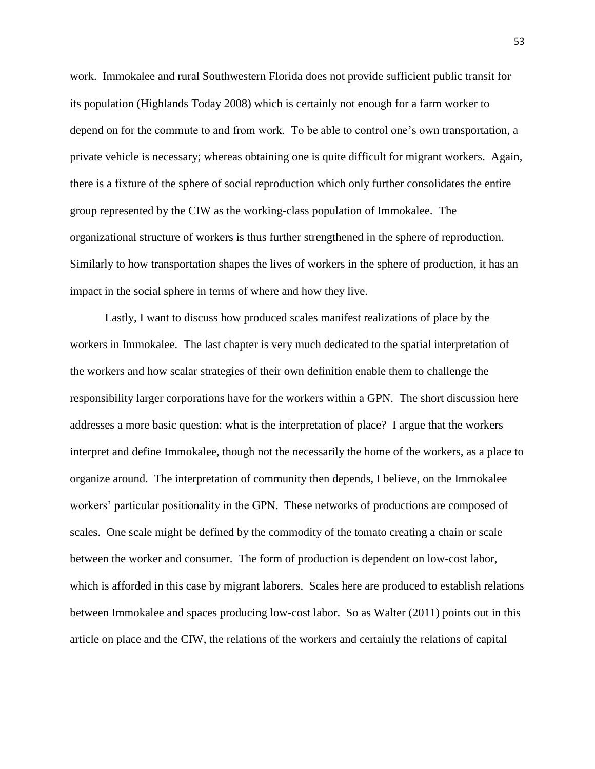work. Immokalee and rural Southwestern Florida does not provide sufficient public transit for its population (Highlands Today 2008) which is certainly not enough for a farm worker to depend on for the commute to and from work. To be able to control one's own transportation, a private vehicle is necessary; whereas obtaining one is quite difficult for migrant workers. Again, there is a fixture of the sphere of social reproduction which only further consolidates the entire group represented by the CIW as the working-class population of Immokalee. The organizational structure of workers is thus further strengthened in the sphere of reproduction. Similarly to how transportation shapes the lives of workers in the sphere of production, it has an impact in the social sphere in terms of where and how they live.

Lastly, I want to discuss how produced scales manifest realizations of place by the workers in Immokalee. The last chapter is very much dedicated to the spatial interpretation of the workers and how scalar strategies of their own definition enable them to challenge the responsibility larger corporations have for the workers within a GPN. The short discussion here addresses a more basic question: what is the interpretation of place? I argue that the workers interpret and define Immokalee, though not the necessarily the home of the workers, as a place to organize around. The interpretation of community then depends, I believe, on the Immokalee workers' particular positionality in the GPN. These networks of productions are composed of scales. One scale might be defined by the commodity of the tomato creating a chain or scale between the worker and consumer. The form of production is dependent on low-cost labor, which is afforded in this case by migrant laborers. Scales here are produced to establish relations between Immokalee and spaces producing low-cost labor. So as Walter (2011) points out in this article on place and the CIW, the relations of the workers and certainly the relations of capital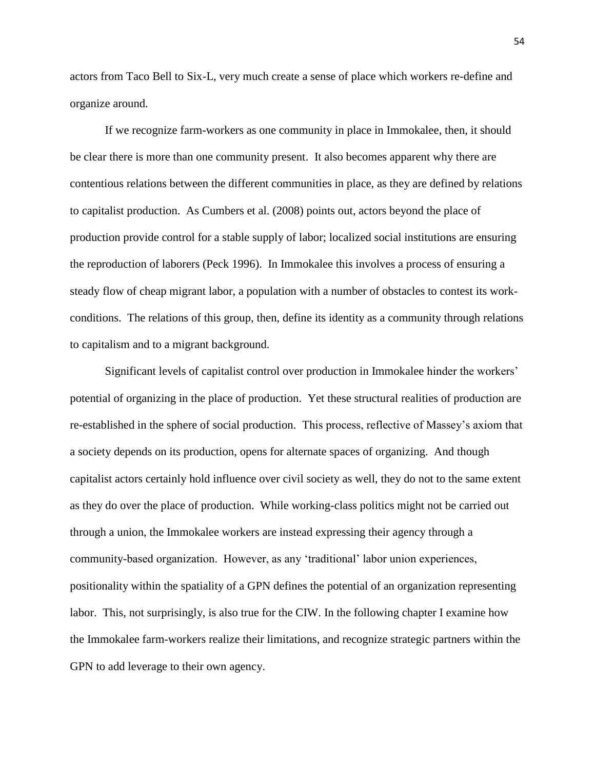actors from Taco Bell to Six-L, very much create a sense of place which workers re-define and organize around.

If we recognize farm-workers as one community in place in Immokalee, then, it should be clear there is more than one community present. It also becomes apparent why there are contentious relations between the different communities in place, as they are defined by relations to capitalist production. As Cumbers et al. (2008) points out, actors beyond the place of production provide control for a stable supply of labor; localized social institutions are ensuring the reproduction of laborers (Peck 1996). In Immokalee this involves a process of ensuring a steady flow of cheap migrant labor, a population with a number of obstacles to contest its workconditions. The relations of this group, then, define its identity as a community through relations to capitalism and to a migrant background.

Significant levels of capitalist control over production in Immokalee hinder the workers' potential of organizing in the place of production. Yet these structural realities of production are re-established in the sphere of social production. This process, reflective of Massey's axiom that a society depends on its production, opens for alternate spaces of organizing. And though capitalist actors certainly hold influence over civil society as well, they do not to the same extent as they do over the place of production. While working-class politics might not be carried out through a union, the Immokalee workers are instead expressing their agency through a community-based organization. However, as any ‗traditional' labor union experiences, positionality within the spatiality of a GPN defines the potential of an organization representing labor. This, not surprisingly, is also true for the CIW. In the following chapter I examine how the Immokalee farm-workers realize their limitations, and recognize strategic partners within the GPN to add leverage to their own agency.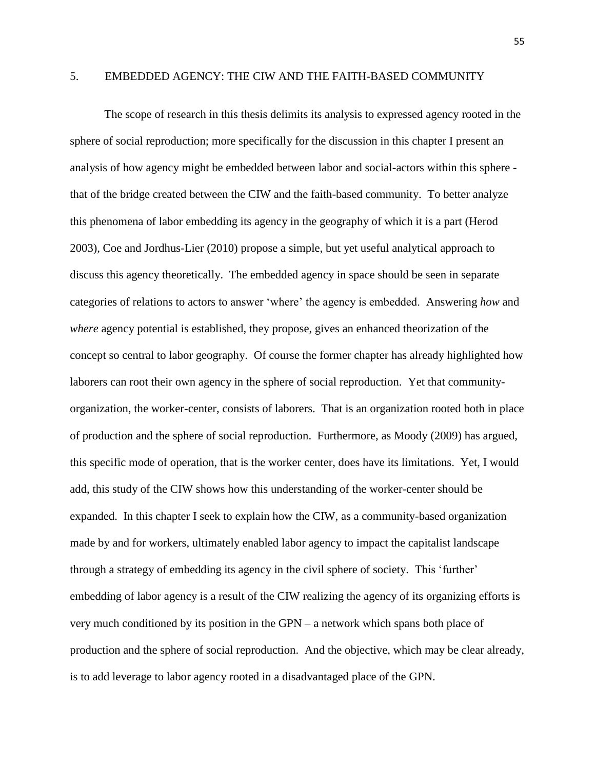# 5. EMBEDDED AGENCY: THE CIW AND THE FAITH-BASED COMMUNITY

The scope of research in this thesis delimits its analysis to expressed agency rooted in the sphere of social reproduction; more specifically for the discussion in this chapter I present an analysis of how agency might be embedded between labor and social-actors within this sphere that of the bridge created between the CIW and the faith-based community. To better analyze this phenomena of labor embedding its agency in the geography of which it is a part (Herod 2003), Coe and Jordhus-Lier (2010) propose a simple, but yet useful analytical approach to discuss this agency theoretically. The embedded agency in space should be seen in separate categories of relations to actors to answer ‗where' the agency is embedded. Answering *how* and *where* agency potential is established, they propose, gives an enhanced theorization of the concept so central to labor geography. Of course the former chapter has already highlighted how laborers can root their own agency in the sphere of social reproduction. Yet that communityorganization, the worker-center, consists of laborers. That is an organization rooted both in place of production and the sphere of social reproduction. Furthermore, as Moody (2009) has argued, this specific mode of operation, that is the worker center, does have its limitations. Yet, I would add, this study of the CIW shows how this understanding of the worker-center should be expanded. In this chapter I seek to explain how the CIW, as a community-based organization made by and for workers, ultimately enabled labor agency to impact the capitalist landscape through a strategy of embedding its agency in the civil sphere of society. This ‗further' embedding of labor agency is a result of the CIW realizing the agency of its organizing efforts is very much conditioned by its position in the GPN – a network which spans both place of production and the sphere of social reproduction. And the objective, which may be clear already, is to add leverage to labor agency rooted in a disadvantaged place of the GPN.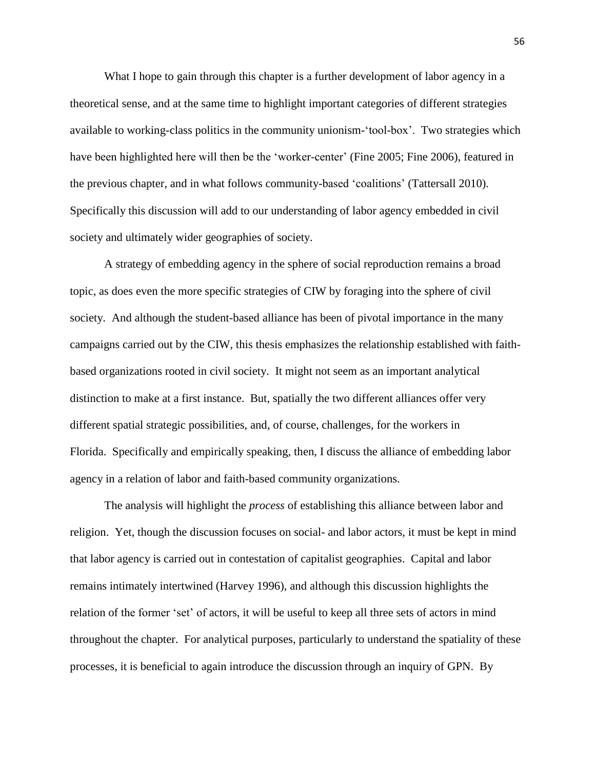What I hope to gain through this chapter is a further development of labor agency in a theoretical sense, and at the same time to highlight important categories of different strategies available to working-class politics in the community unionism-‗tool-box'. Two strategies which have been highlighted here will then be the 'worker-center' (Fine 2005; Fine 2006), featured in the previous chapter, and in what follows community-based ‗coalitions' (Tattersall 2010). Specifically this discussion will add to our understanding of labor agency embedded in civil society and ultimately wider geographies of society.

A strategy of embedding agency in the sphere of social reproduction remains a broad topic, as does even the more specific strategies of CIW by foraging into the sphere of civil society. And although the student-based alliance has been of pivotal importance in the many campaigns carried out by the CIW, this thesis emphasizes the relationship established with faithbased organizations rooted in civil society. It might not seem as an important analytical distinction to make at a first instance. But, spatially the two different alliances offer very different spatial strategic possibilities, and, of course, challenges, for the workers in Florida. Specifically and empirically speaking, then, I discuss the alliance of embedding labor agency in a relation of labor and faith-based community organizations.

The analysis will highlight the *process* of establishing this alliance between labor and religion. Yet, though the discussion focuses on social- and labor actors, it must be kept in mind that labor agency is carried out in contestation of capitalist geographies. Capital and labor remains intimately intertwined (Harvey 1996), and although this discussion highlights the relation of the former 'set' of actors, it will be useful to keep all three sets of actors in mind throughout the chapter. For analytical purposes, particularly to understand the spatiality of these processes, it is beneficial to again introduce the discussion through an inquiry of GPN. By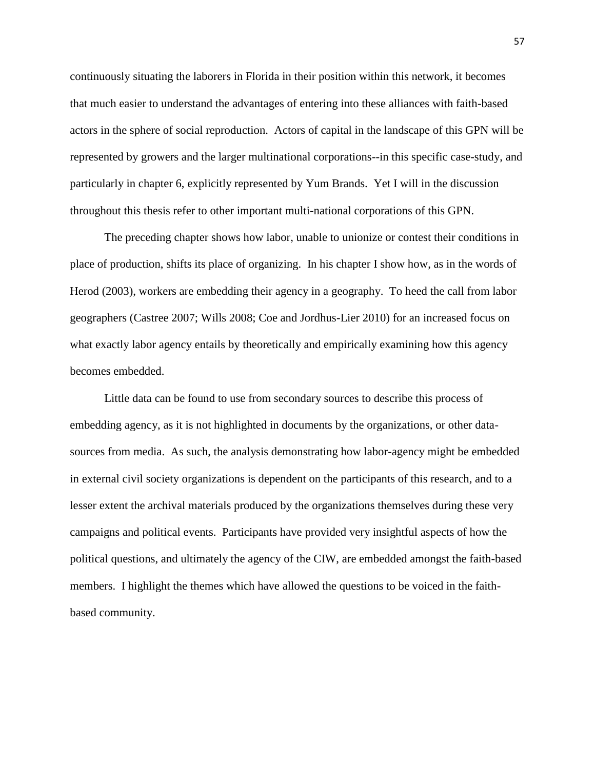continuously situating the laborers in Florida in their position within this network, it becomes that much easier to understand the advantages of entering into these alliances with faith-based actors in the sphere of social reproduction. Actors of capital in the landscape of this GPN will be represented by growers and the larger multinational corporations--in this specific case-study, and particularly in chapter 6, explicitly represented by Yum Brands. Yet I will in the discussion throughout this thesis refer to other important multi-national corporations of this GPN.

The preceding chapter shows how labor, unable to unionize or contest their conditions in place of production, shifts its place of organizing. In his chapter I show how, as in the words of Herod (2003), workers are embedding their agency in a geography. To heed the call from labor geographers (Castree 2007; Wills 2008; Coe and Jordhus-Lier 2010) for an increased focus on what exactly labor agency entails by theoretically and empirically examining how this agency becomes embedded.

Little data can be found to use from secondary sources to describe this process of embedding agency, as it is not highlighted in documents by the organizations, or other datasources from media. As such, the analysis demonstrating how labor-agency might be embedded in external civil society organizations is dependent on the participants of this research, and to a lesser extent the archival materials produced by the organizations themselves during these very campaigns and political events. Participants have provided very insightful aspects of how the political questions, and ultimately the agency of the CIW, are embedded amongst the faith-based members. I highlight the themes which have allowed the questions to be voiced in the faithbased community.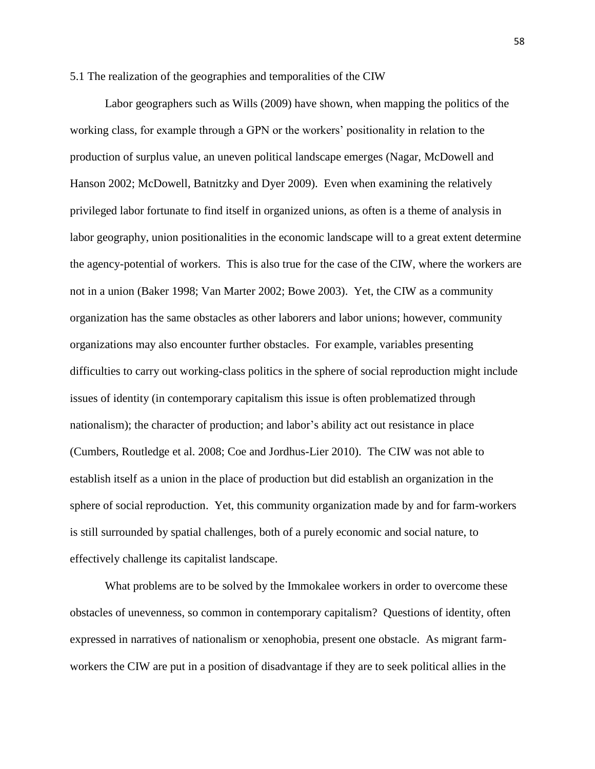5.1 The realization of the geographies and temporalities of the CIW

Labor geographers such as Wills (2009) have shown, when mapping the politics of the working class, for example through a GPN or the workers' positionality in relation to the production of surplus value, an uneven political landscape emerges (Nagar, McDowell and Hanson 2002; McDowell, Batnitzky and Dyer 2009). Even when examining the relatively privileged labor fortunate to find itself in organized unions, as often is a theme of analysis in labor geography, union positionalities in the economic landscape will to a great extent determine the agency-potential of workers. This is also true for the case of the CIW, where the workers are not in a union (Baker 1998; Van Marter 2002; Bowe 2003). Yet, the CIW as a community organization has the same obstacles as other laborers and labor unions; however, community organizations may also encounter further obstacles. For example, variables presenting difficulties to carry out working-class politics in the sphere of social reproduction might include issues of identity (in contemporary capitalism this issue is often problematized through nationalism); the character of production; and labor's ability act out resistance in place (Cumbers, Routledge et al. 2008; Coe and Jordhus-Lier 2010). The CIW was not able to establish itself as a union in the place of production but did establish an organization in the sphere of social reproduction. Yet, this community organization made by and for farm-workers is still surrounded by spatial challenges, both of a purely economic and social nature, to effectively challenge its capitalist landscape.

What problems are to be solved by the Immokalee workers in order to overcome these obstacles of unevenness, so common in contemporary capitalism? Questions of identity, often expressed in narratives of nationalism or xenophobia, present one obstacle. As migrant farmworkers the CIW are put in a position of disadvantage if they are to seek political allies in the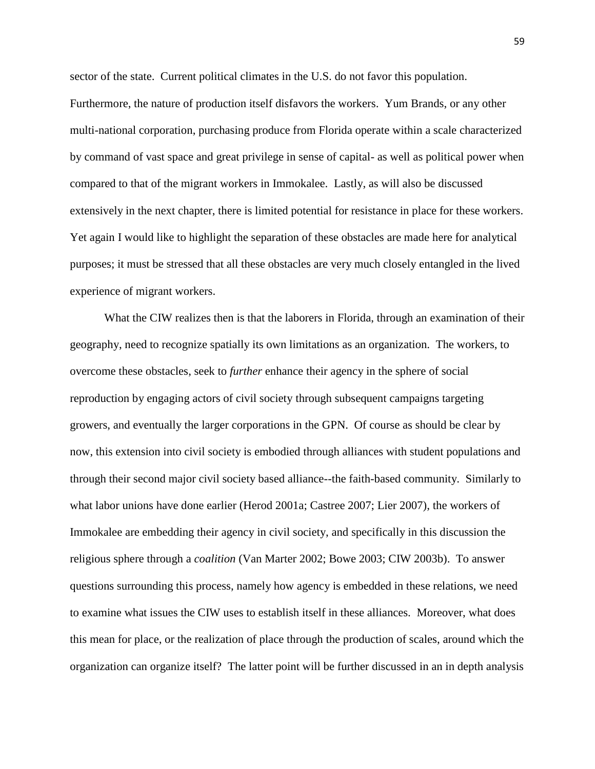sector of the state. Current political climates in the U.S. do not favor this population.

Furthermore, the nature of production itself disfavors the workers. Yum Brands, or any other multi-national corporation, purchasing produce from Florida operate within a scale characterized by command of vast space and great privilege in sense of capital- as well as political power when compared to that of the migrant workers in Immokalee. Lastly, as will also be discussed extensively in the next chapter, there is limited potential for resistance in place for these workers. Yet again I would like to highlight the separation of these obstacles are made here for analytical purposes; it must be stressed that all these obstacles are very much closely entangled in the lived experience of migrant workers.

What the CIW realizes then is that the laborers in Florida, through an examination of their geography, need to recognize spatially its own limitations as an organization. The workers, to overcome these obstacles, seek to *further* enhance their agency in the sphere of social reproduction by engaging actors of civil society through subsequent campaigns targeting growers, and eventually the larger corporations in the GPN. Of course as should be clear by now, this extension into civil society is embodied through alliances with student populations and through their second major civil society based alliance--the faith-based community. Similarly to what labor unions have done earlier (Herod 2001a; Castree 2007; Lier 2007), the workers of Immokalee are embedding their agency in civil society, and specifically in this discussion the religious sphere through a *coalition* (Van Marter 2002; Bowe 2003; CIW 2003b). To answer questions surrounding this process, namely how agency is embedded in these relations, we need to examine what issues the CIW uses to establish itself in these alliances. Moreover, what does this mean for place, or the realization of place through the production of scales, around which the organization can organize itself? The latter point will be further discussed in an in depth analysis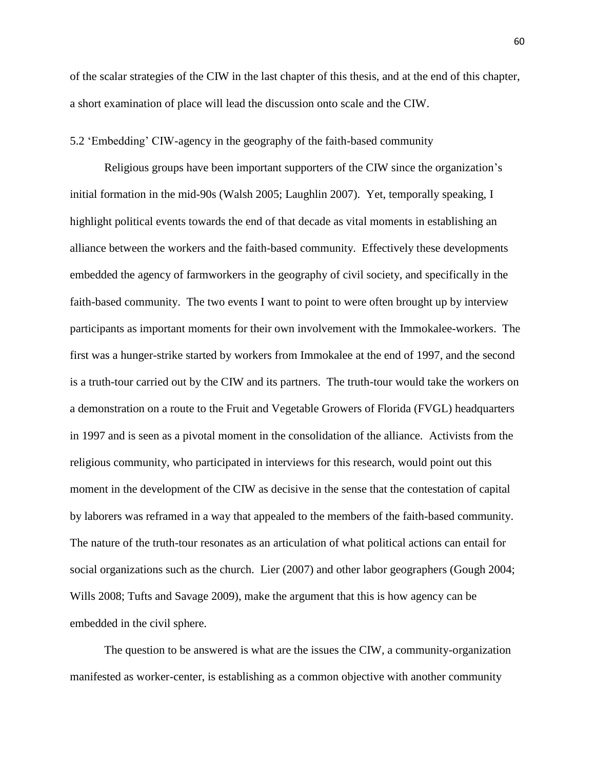of the scalar strategies of the CIW in the last chapter of this thesis, and at the end of this chapter, a short examination of place will lead the discussion onto scale and the CIW.

# 5.2 ‗Embedding' CIW-agency in the geography of the faith-based community

Religious groups have been important supporters of the CIW since the organization's initial formation in the mid-90s (Walsh 2005; Laughlin 2007). Yet, temporally speaking, I highlight political events towards the end of that decade as vital moments in establishing an alliance between the workers and the faith-based community. Effectively these developments embedded the agency of farmworkers in the geography of civil society, and specifically in the faith-based community. The two events I want to point to were often brought up by interview participants as important moments for their own involvement with the Immokalee-workers. The first was a hunger-strike started by workers from Immokalee at the end of 1997, and the second is a truth-tour carried out by the CIW and its partners. The truth-tour would take the workers on a demonstration on a route to the Fruit and Vegetable Growers of Florida (FVGL) headquarters in 1997 and is seen as a pivotal moment in the consolidation of the alliance. Activists from the religious community, who participated in interviews for this research, would point out this moment in the development of the CIW as decisive in the sense that the contestation of capital by laborers was reframed in a way that appealed to the members of the faith-based community. The nature of the truth-tour resonates as an articulation of what political actions can entail for social organizations such as the church. Lier (2007) and other labor geographers (Gough 2004; Wills 2008; Tufts and Savage 2009), make the argument that this is how agency can be embedded in the civil sphere.

The question to be answered is what are the issues the CIW, a community-organization manifested as worker-center, is establishing as a common objective with another community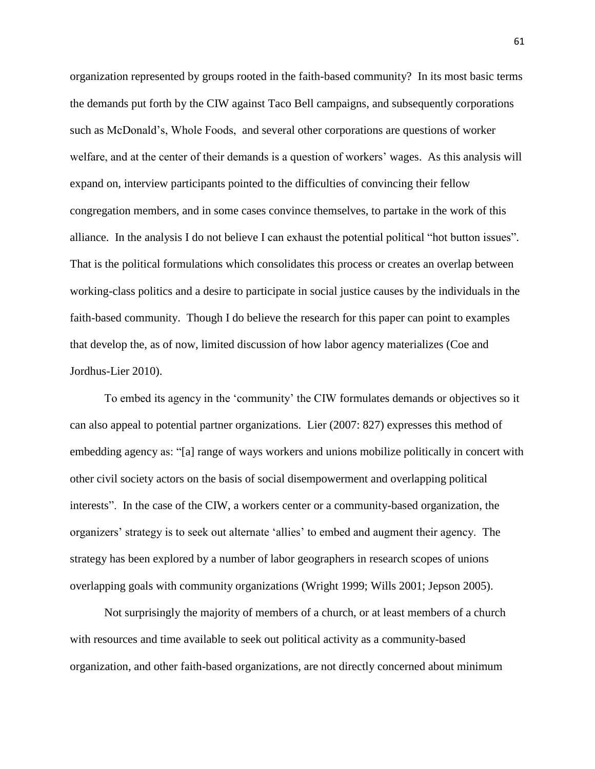organization represented by groups rooted in the faith-based community? In its most basic terms the demands put forth by the CIW against Taco Bell campaigns, and subsequently corporations such as McDonald's, Whole Foods, and several other corporations are questions of worker welfare, and at the center of their demands is a question of workers' wages. As this analysis will expand on, interview participants pointed to the difficulties of convincing their fellow congregation members, and in some cases convince themselves, to partake in the work of this alliance. In the analysis I do not believe I can exhaust the potential political "hot button issues". That is the political formulations which consolidates this process or creates an overlap between working-class politics and a desire to participate in social justice causes by the individuals in the faith-based community. Though I do believe the research for this paper can point to examples that develop the, as of now, limited discussion of how labor agency materializes (Coe and Jordhus-Lier 2010).

To embed its agency in the 'community' the CIW formulates demands or objectives so it can also appeal to potential partner organizations. Lier (2007: 827) expresses this method of embedding agency as: "[a] range of ways workers and unions mobilize politically in concert with other civil society actors on the basis of social disempowerment and overlapping political interests". In the case of the CIW, a workers center or a community-based organization, the organizers' strategy is to seek out alternate ‗allies' to embed and augment their agency. The strategy has been explored by a number of labor geographers in research scopes of unions overlapping goals with community organizations (Wright 1999; Wills 2001; Jepson 2005).

Not surprisingly the majority of members of a church, or at least members of a church with resources and time available to seek out political activity as a community-based organization, and other faith-based organizations, are not directly concerned about minimum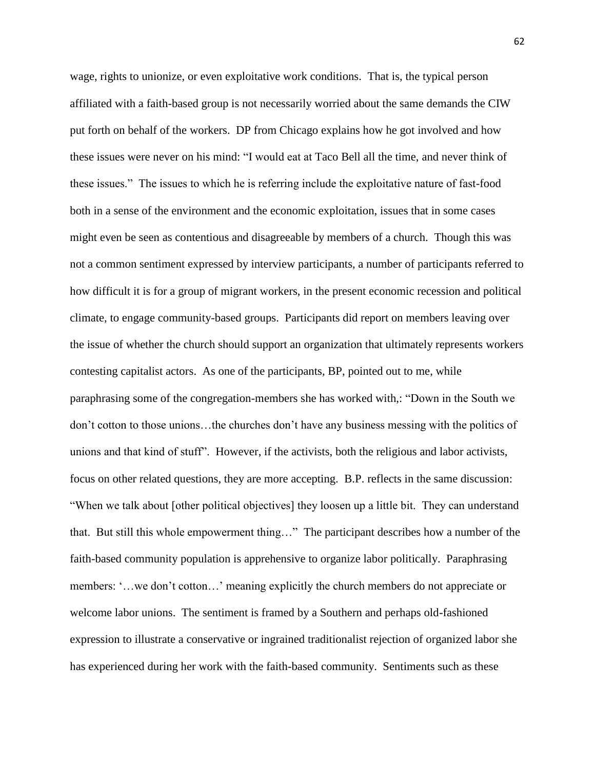wage, rights to unionize, or even exploitative work conditions. That is, the typical person affiliated with a faith-based group is not necessarily worried about the same demands the CIW put forth on behalf of the workers. DP from Chicago explains how he got involved and how these issues were never on his mind: "I would eat at Taco Bell all the time, and never think of these issues.‖ The issues to which he is referring include the exploitative nature of fast-food both in a sense of the environment and the economic exploitation, issues that in some cases might even be seen as contentious and disagreeable by members of a church. Though this was not a common sentiment expressed by interview participants, a number of participants referred to how difficult it is for a group of migrant workers, in the present economic recession and political climate, to engage community-based groups. Participants did report on members leaving over the issue of whether the church should support an organization that ultimately represents workers contesting capitalist actors. As one of the participants, BP, pointed out to me, while paraphrasing some of the congregation-members she has worked with,: "Down in the South we don't cotton to those unions…the churches don't have any business messing with the politics of unions and that kind of stuff". However, if the activists, both the religious and labor activists, focus on other related questions, they are more accepting. B.P. reflects in the same discussion: ―When we talk about [other political objectives] they loosen up a little bit. They can understand that. But still this whole empowerment thing..." The participant describes how a number of the faith-based community population is apprehensive to organize labor politically. Paraphrasing members: ‗…we don't cotton…' meaning explicitly the church members do not appreciate or welcome labor unions. The sentiment is framed by a Southern and perhaps old-fashioned expression to illustrate a conservative or ingrained traditionalist rejection of organized labor she has experienced during her work with the faith-based community. Sentiments such as these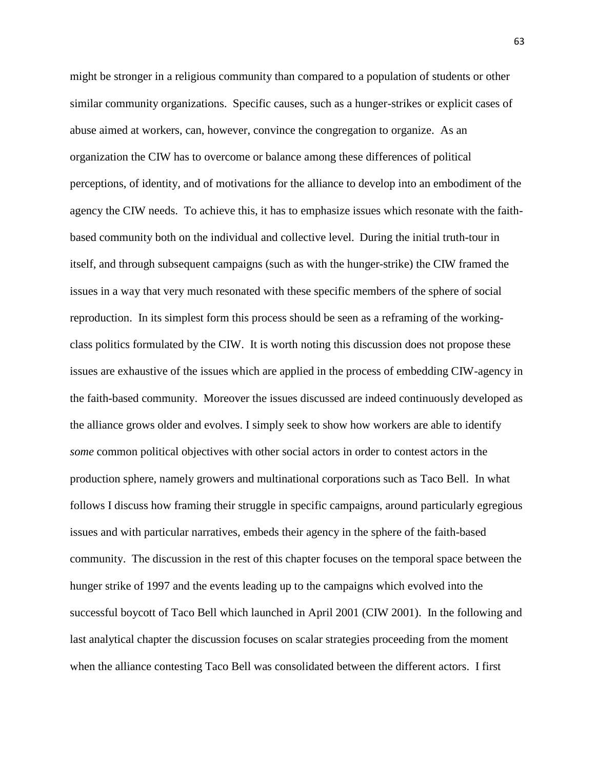might be stronger in a religious community than compared to a population of students or other similar community organizations. Specific causes, such as a hunger-strikes or explicit cases of abuse aimed at workers, can, however, convince the congregation to organize. As an organization the CIW has to overcome or balance among these differences of political perceptions, of identity, and of motivations for the alliance to develop into an embodiment of the agency the CIW needs. To achieve this, it has to emphasize issues which resonate with the faithbased community both on the individual and collective level. During the initial truth-tour in itself, and through subsequent campaigns (such as with the hunger-strike) the CIW framed the issues in a way that very much resonated with these specific members of the sphere of social reproduction. In its simplest form this process should be seen as a reframing of the workingclass politics formulated by the CIW. It is worth noting this discussion does not propose these issues are exhaustive of the issues which are applied in the process of embedding CIW-agency in the faith-based community. Moreover the issues discussed are indeed continuously developed as the alliance grows older and evolves. I simply seek to show how workers are able to identify *some* common political objectives with other social actors in order to contest actors in the production sphere, namely growers and multinational corporations such as Taco Bell. In what follows I discuss how framing their struggle in specific campaigns, around particularly egregious issues and with particular narratives, embeds their agency in the sphere of the faith-based community. The discussion in the rest of this chapter focuses on the temporal space between the hunger strike of 1997 and the events leading up to the campaigns which evolved into the successful boycott of Taco Bell which launched in April 2001 (CIW 2001). In the following and last analytical chapter the discussion focuses on scalar strategies proceeding from the moment when the alliance contesting Taco Bell was consolidated between the different actors. I first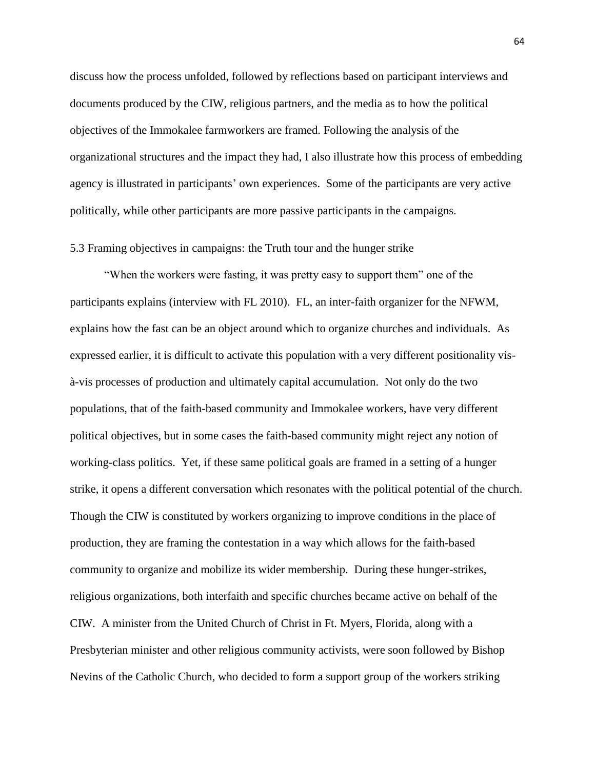discuss how the process unfolded, followed by reflections based on participant interviews and documents produced by the CIW, religious partners, and the media as to how the political objectives of the Immokalee farmworkers are framed. Following the analysis of the organizational structures and the impact they had, I also illustrate how this process of embedding agency is illustrated in participants' own experiences. Some of the participants are very active politically, while other participants are more passive participants in the campaigns.

#### 5.3 Framing objectives in campaigns: the Truth tour and the hunger strike

"When the workers were fasting, it was pretty easy to support them" one of the participants explains (interview with FL 2010). FL, an inter-faith organizer for the NFWM, explains how the fast can be an object around which to organize churches and individuals. As expressed earlier, it is difficult to activate this population with a very different positionality visà-vis processes of production and ultimately capital accumulation. Not only do the two populations, that of the faith-based community and Immokalee workers, have very different political objectives, but in some cases the faith-based community might reject any notion of working-class politics. Yet, if these same political goals are framed in a setting of a hunger strike, it opens a different conversation which resonates with the political potential of the church. Though the CIW is constituted by workers organizing to improve conditions in the place of production, they are framing the contestation in a way which allows for the faith-based community to organize and mobilize its wider membership. During these hunger-strikes, religious organizations, both interfaith and specific churches became active on behalf of the CIW. A minister from the United Church of Christ in Ft. Myers, Florida, along with a Presbyterian minister and other religious community activists, were soon followed by Bishop Nevins of the Catholic Church, who decided to form a support group of the workers striking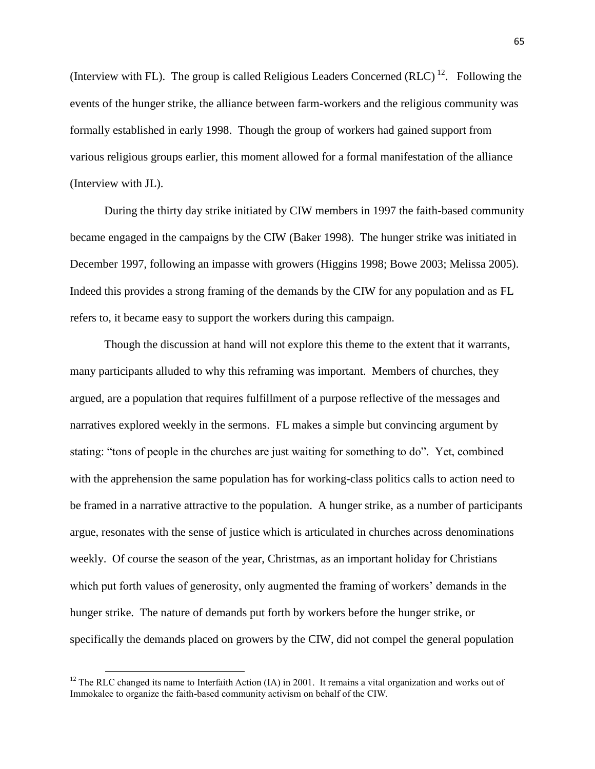(Interview with FL). The group is called Religious Leaders Concerned (RLC)<sup>12</sup>. Following the events of the hunger strike, the alliance between farm-workers and the religious community was formally established in early 1998. Though the group of workers had gained support from various religious groups earlier, this moment allowed for a formal manifestation of the alliance (Interview with JL).

During the thirty day strike initiated by CIW members in 1997 the faith-based community became engaged in the campaigns by the CIW (Baker 1998). The hunger strike was initiated in December 1997, following an impasse with growers (Higgins 1998; Bowe 2003; Melissa 2005). Indeed this provides a strong framing of the demands by the CIW for any population and as FL refers to, it became easy to support the workers during this campaign.

Though the discussion at hand will not explore this theme to the extent that it warrants, many participants alluded to why this reframing was important. Members of churches, they argued, are a population that requires fulfillment of a purpose reflective of the messages and narratives explored weekly in the sermons. FL makes a simple but convincing argument by stating: "tons of people in the churches are just waiting for something to do". Yet, combined with the apprehension the same population has for working-class politics calls to action need to be framed in a narrative attractive to the population. A hunger strike, as a number of participants argue, resonates with the sense of justice which is articulated in churches across denominations weekly. Of course the season of the year, Christmas, as an important holiday for Christians which put forth values of generosity, only augmented the framing of workers' demands in the hunger strike. The nature of demands put forth by workers before the hunger strike, or specifically the demands placed on growers by the CIW, did not compel the general population

 $\overline{\phantom{a}}$ 

<sup>&</sup>lt;sup>12</sup> The RLC changed its name to Interfaith Action (IA) in 2001. It remains a vital organization and works out of Immokalee to organize the faith-based community activism on behalf of the CIW.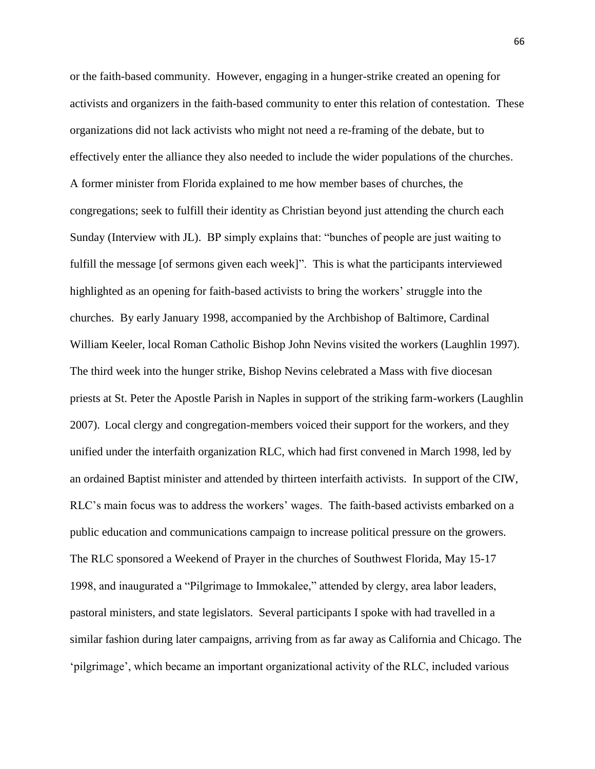or the faith-based community. However, engaging in a hunger-strike created an opening for activists and organizers in the faith-based community to enter this relation of contestation. These organizations did not lack activists who might not need a re-framing of the debate, but to effectively enter the alliance they also needed to include the wider populations of the churches. A former minister from Florida explained to me how member bases of churches, the congregations; seek to fulfill their identity as Christian beyond just attending the church each Sunday (Interview with JL). BP simply explains that: "bunches of people are just waiting to fulfill the message [of sermons given each week]". This is what the participants interviewed highlighted as an opening for faith-based activists to bring the workers' struggle into the churches. By early January 1998, accompanied by the Archbishop of Baltimore, Cardinal William Keeler, local Roman Catholic Bishop John Nevins visited the workers (Laughlin 1997). The third week into the hunger strike, Bishop Nevins celebrated a Mass with five diocesan priests at St. Peter the Apostle Parish in Naples in support of the striking farm-workers (Laughlin 2007). Local clergy and congregation-members voiced their support for the workers, and they unified under the interfaith organization RLC, which had first convened in March 1998, led by an ordained Baptist minister and attended by thirteen interfaith activists. In support of the CIW, RLC's main focus was to address the workers' wages. The faith-based activists embarked on a public education and communications campaign to increase political pressure on the growers. The RLC sponsored a Weekend of Prayer in the churches of Southwest Florida, May 15-17 1998, and inaugurated a "Pilgrimage to Immokalee," attended by clergy, area labor leaders, pastoral ministers, and state legislators. Several participants I spoke with had travelled in a similar fashion during later campaigns, arriving from as far away as California and Chicago. The ‗pilgrimage', which became an important organizational activity of the RLC, included various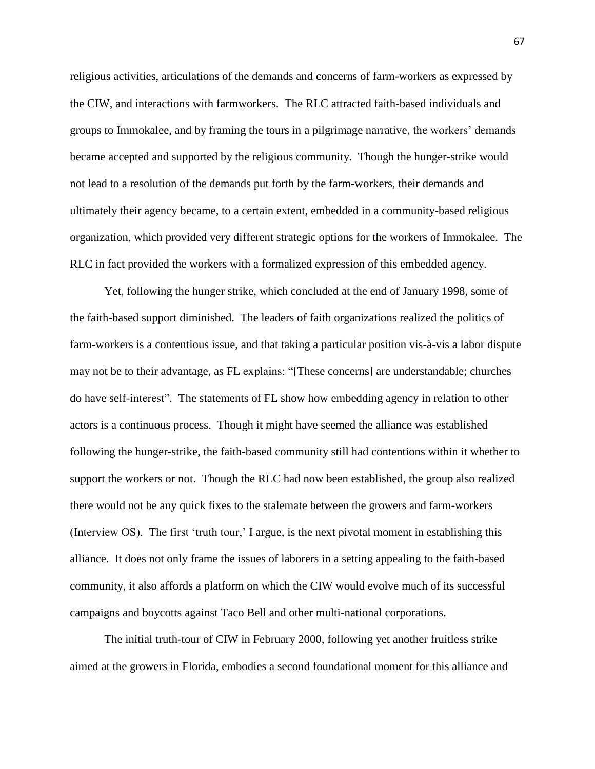religious activities, articulations of the demands and concerns of farm-workers as expressed by the CIW, and interactions with farmworkers. The RLC attracted faith-based individuals and groups to Immokalee, and by framing the tours in a pilgrimage narrative, the workers' demands became accepted and supported by the religious community. Though the hunger-strike would not lead to a resolution of the demands put forth by the farm-workers, their demands and ultimately their agency became, to a certain extent, embedded in a community-based religious organization, which provided very different strategic options for the workers of Immokalee. The RLC in fact provided the workers with a formalized expression of this embedded agency.

Yet, following the hunger strike, which concluded at the end of January 1998, some of the faith-based support diminished. The leaders of faith organizations realized the politics of farm-workers is a contentious issue, and that taking a particular position vis-à-vis a labor dispute may not be to their advantage, as FL explains: "[These concerns] are understandable; churches do have self-interest". The statements of FL show how embedding agency in relation to other actors is a continuous process. Though it might have seemed the alliance was established following the hunger-strike, the faith-based community still had contentions within it whether to support the workers or not. Though the RLC had now been established, the group also realized there would not be any quick fixes to the stalemate between the growers and farm-workers (Interview OS). The first 'truth tour,' I argue, is the next pivotal moment in establishing this alliance. It does not only frame the issues of laborers in a setting appealing to the faith-based community, it also affords a platform on which the CIW would evolve much of its successful campaigns and boycotts against Taco Bell and other multi-national corporations.

The initial truth-tour of CIW in February 2000, following yet another fruitless strike aimed at the growers in Florida, embodies a second foundational moment for this alliance and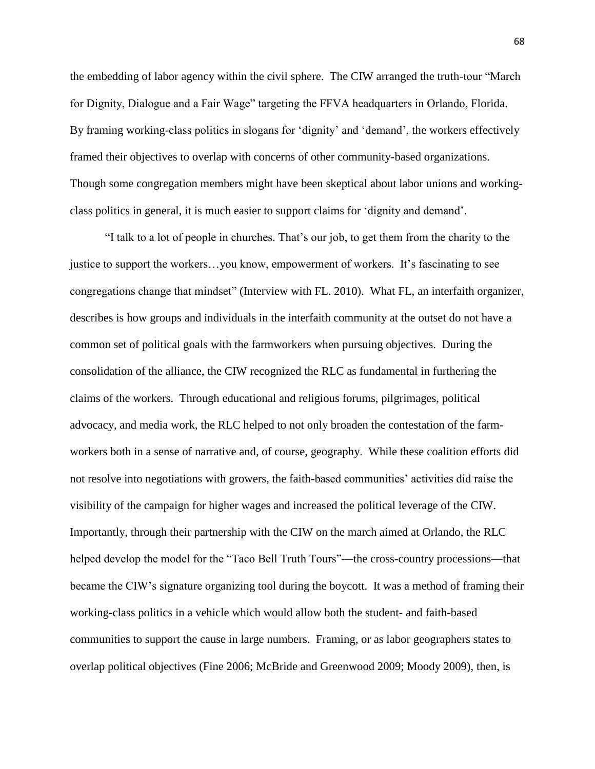the embedding of labor agency within the civil sphere. The CIW arranged the truth-tour "March" for Dignity, Dialogue and a Fair Wage" targeting the FFVA headquarters in Orlando, Florida. By framing working-class politics in slogans for 'dignity' and 'demand', the workers effectively framed their objectives to overlap with concerns of other community-based organizations. Though some congregation members might have been skeptical about labor unions and workingclass politics in general, it is much easier to support claims for ‗dignity and demand'.

―I talk to a lot of people in churches. That's our job, to get them from the charity to the justice to support the workers…you know, empowerment of workers. It's fascinating to see congregations change that mindset" (Interview with FL. 2010). What FL, an interfaith organizer, describes is how groups and individuals in the interfaith community at the outset do not have a common set of political goals with the farmworkers when pursuing objectives. During the consolidation of the alliance, the CIW recognized the RLC as fundamental in furthering the claims of the workers. Through educational and religious forums, pilgrimages, political advocacy, and media work, the RLC helped to not only broaden the contestation of the farmworkers both in a sense of narrative and, of course, geography. While these coalition efforts did not resolve into negotiations with growers, the faith-based communities' activities did raise the visibility of the campaign for higher wages and increased the political leverage of the CIW. Importantly, through their partnership with the CIW on the march aimed at Orlando, the RLC helped develop the model for the "Taco Bell Truth Tours"—the cross-country processions—that became the CIW's signature organizing tool during the boycott. It was a method of framing their working-class politics in a vehicle which would allow both the student- and faith-based communities to support the cause in large numbers. Framing, or as labor geographers states to overlap political objectives (Fine 2006; McBride and Greenwood 2009; Moody 2009), then, is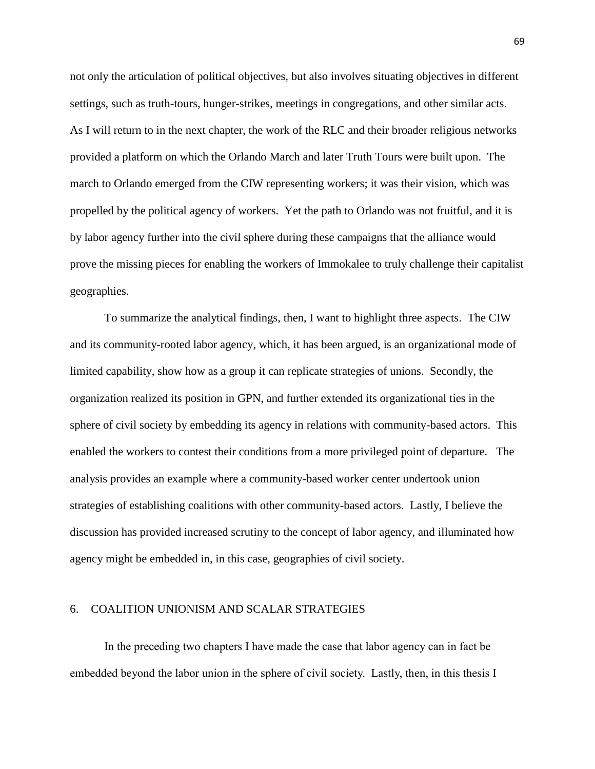not only the articulation of political objectives, but also involves situating objectives in different settings, such as truth-tours, hunger-strikes, meetings in congregations, and other similar acts. As I will return to in the next chapter, the work of the RLC and their broader religious networks provided a platform on which the Orlando March and later Truth Tours were built upon. The march to Orlando emerged from the CIW representing workers; it was their vision, which was propelled by the political agency of workers. Yet the path to Orlando was not fruitful, and it is by labor agency further into the civil sphere during these campaigns that the alliance would prove the missing pieces for enabling the workers of Immokalee to truly challenge their capitalist geographies.

To summarize the analytical findings, then, I want to highlight three aspects. The CIW and its community-rooted labor agency, which, it has been argued, is an organizational mode of limited capability, show how as a group it can replicate strategies of unions. Secondly, the organization realized its position in GPN, and further extended its organizational ties in the sphere of civil society by embedding its agency in relations with community-based actors. This enabled the workers to contest their conditions from a more privileged point of departure. The analysis provides an example where a community-based worker center undertook union strategies of establishing coalitions with other community-based actors. Lastly, I believe the discussion has provided increased scrutiny to the concept of labor agency, and illuminated how agency might be embedded in, in this case, geographies of civil society.

### 6. COALITION UNIONISM AND SCALAR STRATEGIES

In the preceding two chapters I have made the case that labor agency can in fact be embedded beyond the labor union in the sphere of civil society. Lastly, then, in this thesis I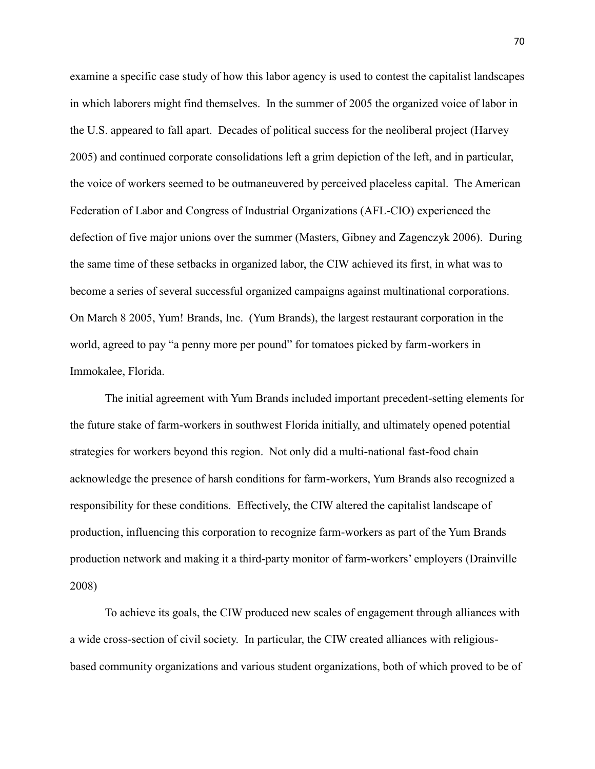examine a specific case study of how this labor agency is used to contest the capitalist landscapes in which laborers might find themselves. In the summer of 2005 the organized voice of labor in the U.S. appeared to fall apart. Decades of political success for the neoliberal project [\(Harvey](file:///C:/Documents%20and%20Settings/Documents%20and%20Settings/anth346/Local%20Settings/Documents/l)  [2005\)](file:///C:/Documents%20and%20Settings/Documents%20and%20Settings/anth346/Local%20Settings/Documents/l) and continued corporate consolidations left a grim depiction of the left, and in particular, the voice of workers seemed to be outmaneuvered by perceived placeless capital. The American Federation of Labor and Congress of Industrial Organizations (AFL-CIO) experienced the defection of five major unions over the summer (Masters, Gibney and Zagenczyk 2006). During the same time of these setbacks in organized labor, the CIW achieved its first, in what was to become a series of several successful organized campaigns against multinational corporations. On March 8 2005, Yum! Brands, Inc. (Yum Brands), the largest restaurant corporation in the world, agreed to pay "a penny more per pound" for tomatoes picked by farm-workers in Immokalee, Florida.

The initial agreement with Yum Brands included important precedent-setting elements for the future stake of farm-workers in southwest Florida initially, and ultimately opened potential strategies for workers beyond this region. Not only did a multi-national fast-food chain acknowledge the presence of harsh conditions for farm-workers, Yum Brands also recognized a responsibility for these conditions. Effectively, the CIW altered the capitalist landscape of production, influencing this corporation to recognize farm-workers as part of the Yum Brands production network and making it a third-party monitor of farm-workers' employers [\(Drainville](file:///C:/Documents%20and%20Settings/Documents%20and%20Settings/anth346/Local%20Settings/Documents/l)  [2008\)](file:///C:/Documents%20and%20Settings/Documents%20and%20Settings/anth346/Local%20Settings/Documents/l)

To achieve its goals, the CIW produced new scales of engagement through alliances with a wide cross-section of civil society. In particular, the CIW created alliances with religiousbased community organizations and various student organizations, both of which proved to be of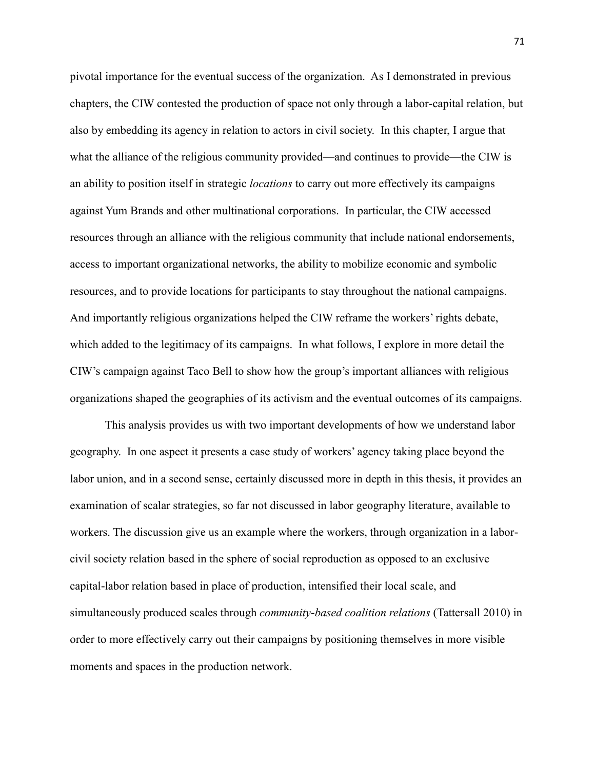pivotal importance for the eventual success of the organization. As I demonstrated in previous chapters, the CIW contested the production of space not only through a labor-capital relation, but also by embedding its agency in relation to actors in civil society. In this chapter, I argue that what the alliance of the religious community provided—and continues to provide—the CIW is an ability to position itself in strategic *locations* to carry out more effectively its campaigns against Yum Brands and other multinational corporations. In particular, the CIW accessed resources through an alliance with the religious community that include national endorsements, access to important organizational networks, the ability to mobilize economic and symbolic resources, and to provide locations for participants to stay throughout the national campaigns. And importantly religious organizations helped the CIW reframe the workers' rights debate, which added to the legitimacy of its campaigns. In what follows, I explore in more detail the CIW's campaign against Taco Bell to show how the group's important alliances with religious organizations shaped the geographies of its activism and the eventual outcomes of its campaigns.

This analysis provides us with two important developments of how we understand labor geography. In one aspect it presents a case study of workers' agency taking place beyond the labor union, and in a second sense, certainly discussed more in depth in this thesis, it provides an examination of scalar strategies, so far not discussed in labor geography literature, available to workers. The discussion give us an example where the workers, through organization in a laborcivil society relation based in the sphere of social reproduction as opposed to an exclusive capital-labor relation based in place of production, intensified their local scale, and simultaneously produced scales through *community-based coalition relations* (Tattersall 2010) in order to more effectively carry out their campaigns by positioning themselves in more visible moments and spaces in the production network.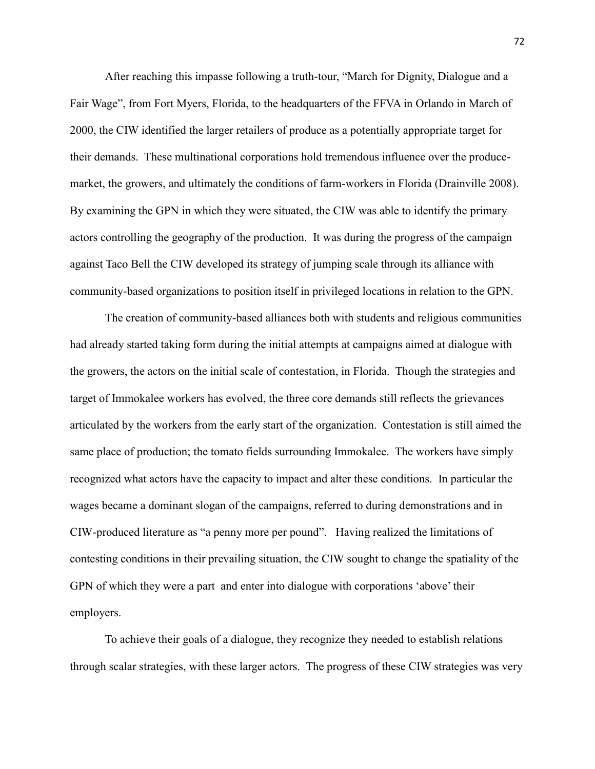After reaching this impasse following a truth-tour, "March for Dignity, Dialogue and a Fair Wage", from Fort Myers, Florida, to the headquarters of the FFVA in Orlando in March of 2000, the CIW identified the larger retailers of produce as a potentially appropriate target for their demands. These multinational corporations hold tremendous influence over the producemarket, the growers, and ultimately the conditions of farm-workers in Florida [\(Drainville 2008\)](file:///C:/Documents%20and%20Settings/Documents%20and%20Settings/anth346/Local%20Settings/Documents/l). By examining the GPN in which they were situated, the CIW was able to identify the primary actors controlling the geography of the production. It was during the progress of the campaign against Taco Bell the CIW developed its strategy of jumping scale through its alliance with community-based organizations to position itself in privileged locations in relation to the GPN.

The creation of community-based alliances both with students and religious communities had already started taking form during the initial attempts at campaigns aimed at dialogue with the growers, the actors on the initial scale of contestation, in Florida. Though the strategies and target of Immokalee workers has evolved, the three core demands still reflects the grievances articulated by the workers from the early start of the organization. Contestation is still aimed the same place of production; the tomato fields surrounding Immokalee. The workers have simply recognized what actors have the capacity to impact and alter these conditions. In particular the wages became a dominant slogan of the campaigns, referred to during demonstrations and in CIW-produced literature as "a penny more per pound". Having realized the limitations of contesting conditions in their prevailing situation, the CIW sought to change the spatiality of the GPN of which they were a part and enter into dialogue with corporations 'above' their employers.

To achieve their goals of a dialogue, they recognize they needed to establish relations through scalar strategies, with these larger actors. The progress of these CIW strategies was very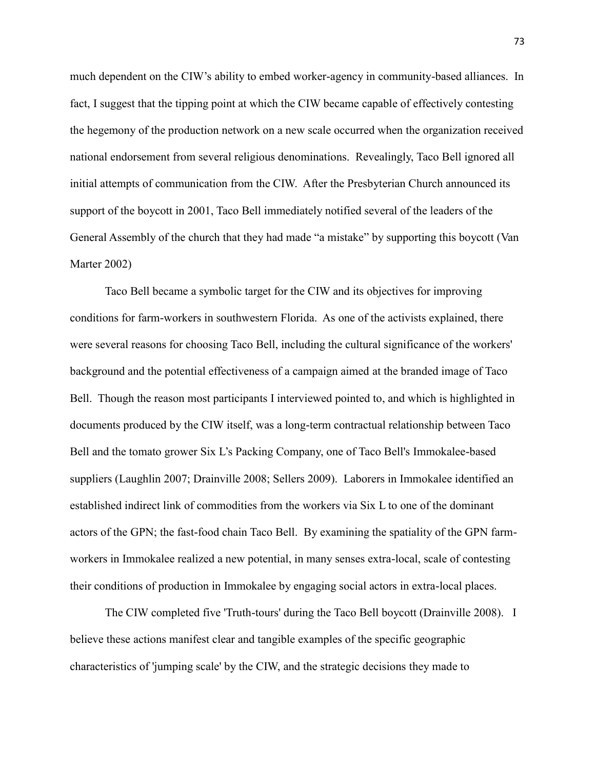much dependent on the CIW's ability to embed worker-agency in community-based alliances. In fact, I suggest that the tipping point at which the CIW became capable of effectively contesting the hegemony of the production network on a new scale occurred when the organization received national endorsement from several religious denominations. Revealingly, Taco Bell ignored all initial attempts of communication from the CIW. After the Presbyterian Church announced its support of the boycott in 2001, Taco Bell immediately notified several of the leaders of the General Assembly of the church that they had made "a mistake" by supporting this boycott (Van [Marter 2002\)](file:///C:/Documents%20and%20Settings/Documents%20and%20Settings/anth346/Local%20Settings/Documents/l)

Taco Bell became a symbolic target for the CIW and its objectives for improving conditions for farm-workers in southwestern Florida. As one of the activists explained, there were several reasons for choosing Taco Bell, including the cultural significance of the workers' background and the potential effectiveness of a campaign aimed at the branded image of Taco Bell. Though the reason most participants I interviewed pointed to, and which is highlighted in documents produced by the CIW itself, was a long-term contractual relationship between Taco Bell and the tomato grower Six L's Packing Company, one of Taco Bell's Immokalee-based suppliers (Laughlin 2007; Drainville 2008; Sellers 2009). Laborers in Immokalee identified an established indirect link of commodities from the workers via Six L to one of the dominant actors of the GPN; the fast-food chain Taco Bell. By examining the spatiality of the GPN farmworkers in Immokalee realized a new potential, in many senses extra-local, scale of contesting their conditions of production in Immokalee by engaging social actors in extra-local places.

The CIW completed five 'Truth-tours' during the Taco Bell boycott (Drainville 2008). I believe these actions manifest clear and tangible examples of the specific geographic characteristics of 'jumping scale' by the CIW, and the strategic decisions they made to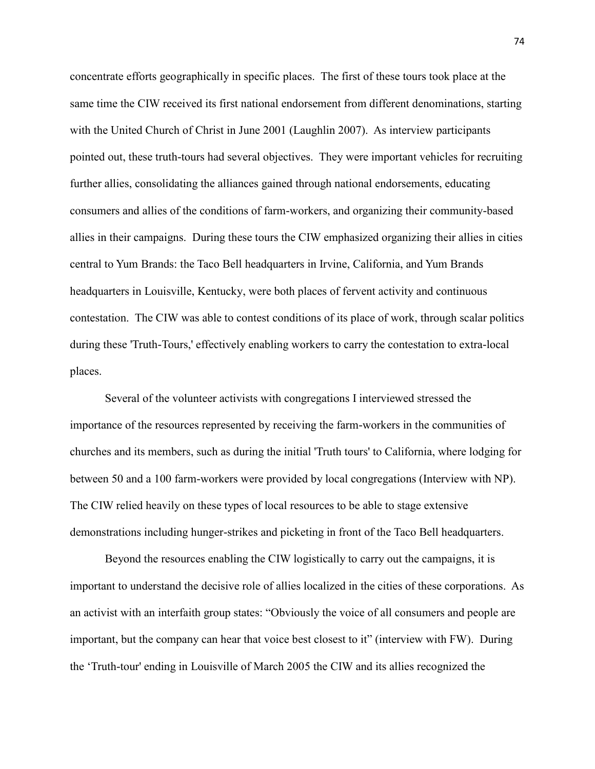concentrate efforts geographically in specific places. The first of these tours took place at the same time the CIW received its first national endorsement from different denominations, starting with the United Church of Christ in June 2001 (Laughlin 2007). As interview participants pointed out, these truth-tours had several objectives. They were important vehicles for recruiting further allies, consolidating the alliances gained through national endorsements, educating consumers and allies of the conditions of farm-workers, and organizing their community-based allies in their campaigns. During these tours the CIW emphasized organizing their allies in cities central to Yum Brands: the Taco Bell headquarters in Irvine, California, and Yum Brands headquarters in Louisville, Kentucky, were both places of fervent activity and continuous contestation. The CIW was able to contest conditions of its place of work, through scalar politics during these 'Truth-Tours,' effectively enabling workers to carry the contestation to extra-local places.

Several of the volunteer activists with congregations I interviewed stressed the importance of the resources represented by receiving the farm-workers in the communities of churches and its members, such as during the initial 'Truth tours' to California, where lodging for between 50 and a 100 farm-workers were provided by local congregations (Interview with NP). The CIW relied heavily on these types of local resources to be able to stage extensive demonstrations including hunger-strikes and picketing in front of the Taco Bell headquarters.

Beyond the resources enabling the CIW logistically to carry out the campaigns, it is important to understand the decisive role of allies localized in the cities of these corporations. As an activist with an interfaith group states: "Obviously the voice of all consumers and people are important, but the company can hear that voice best closest to it" (interview with FW). During the ‗Truth-tour' ending in Louisville of March 2005 the CIW and its allies recognized the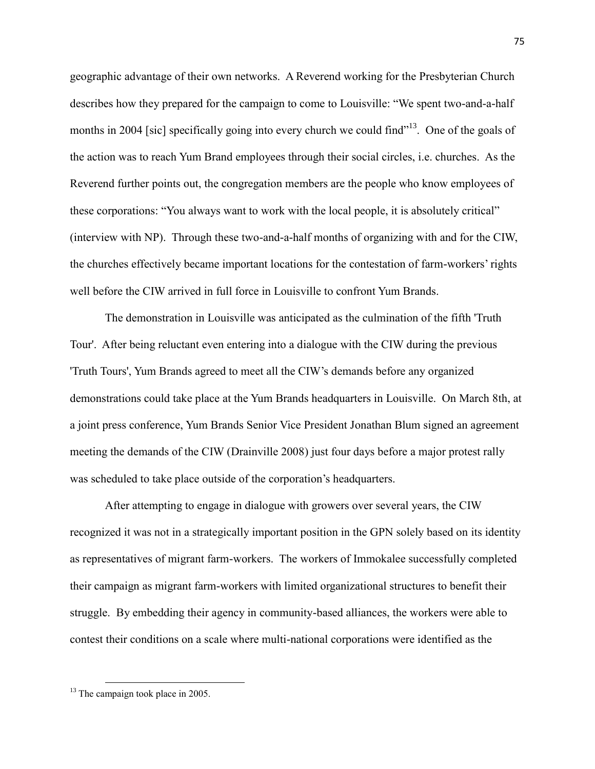geographic advantage of their own networks. A Reverend working for the Presbyterian Church describes how they prepared for the campaign to come to Louisville: "We spent two-and-a-half months in 2004 [sic] specifically going into every church we could find<sup> $13$ </sup>. One of the goals of the action was to reach Yum Brand employees through their social circles, i.e. churches. As the Reverend further points out, the congregation members are the people who know employees of these corporations: "You always want to work with the local people, it is absolutely critical" (interview with NP). Through these two-and-a-half months of organizing with and for the CIW, the churches effectively became important locations for the contestation of farm-workers' rights well before the CIW arrived in full force in Louisville to confront Yum Brands.

The demonstration in Louisville was anticipated as the culmination of the fifth 'Truth Tour'. After being reluctant even entering into a dialogue with the CIW during the previous 'Truth Tours', Yum Brands agreed to meet all the CIW's demands before any organized demonstrations could take place at the Yum Brands headquarters in Louisville. On March 8th, at a joint press conference, Yum Brands Senior Vice President Jonathan Blum signed an agreement meeting the demands of the CIW [\(Drainville 2008\)](file:///C:/Documents%20and%20Settings/Documents%20and%20Settings/anth346/Local%20Settings/Documents/l) just four days before a major protest rally was scheduled to take place outside of the corporation's headquarters.

After attempting to engage in dialogue with growers over several years, the CIW recognized it was not in a strategically important position in the GPN solely based on its identity as representatives of migrant farm-workers. The workers of Immokalee successfully completed their campaign as migrant farm-workers with limited organizational structures to benefit their struggle. By embedding their agency in community-based alliances, the workers were able to contest their conditions on a scale where multi-national corporations were identified as the

 $\overline{\phantom{a}}$ 

<sup>&</sup>lt;sup>13</sup> The campaign took place in 2005.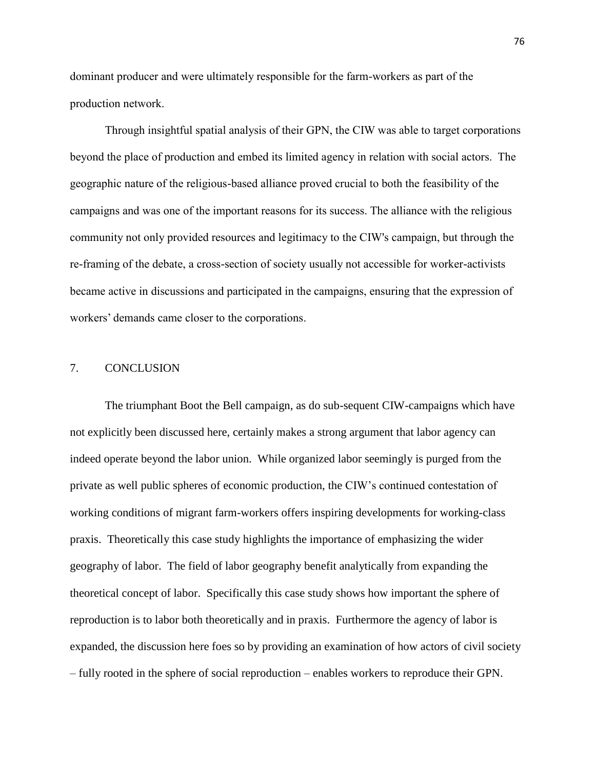dominant producer and were ultimately responsible for the farm-workers as part of the production network.

Through insightful spatial analysis of their GPN, the CIW was able to target corporations beyond the place of production and embed its limited agency in relation with social actors. The geographic nature of the religious-based alliance proved crucial to both the feasibility of the campaigns and was one of the important reasons for its success. The alliance with the religious community not only provided resources and legitimacy to the CIW's campaign, but through the re-framing of the debate, a cross-section of society usually not accessible for worker-activists became active in discussions and participated in the campaigns, ensuring that the expression of workers' demands came closer to the corporations.

#### 7. CONCLUSION

The triumphant Boot the Bell campaign, as do sub-sequent CIW-campaigns which have not explicitly been discussed here, certainly makes a strong argument that labor agency can indeed operate beyond the labor union. While organized labor seemingly is purged from the private as well public spheres of economic production, the CIW's continued contestation of working conditions of migrant farm-workers offers inspiring developments for working-class praxis. Theoretically this case study highlights the importance of emphasizing the wider geography of labor. The field of labor geography benefit analytically from expanding the theoretical concept of labor. Specifically this case study shows how important the sphere of reproduction is to labor both theoretically and in praxis. Furthermore the agency of labor is expanded, the discussion here foes so by providing an examination of how actors of civil society – fully rooted in the sphere of social reproduction – enables workers to reproduce their GPN.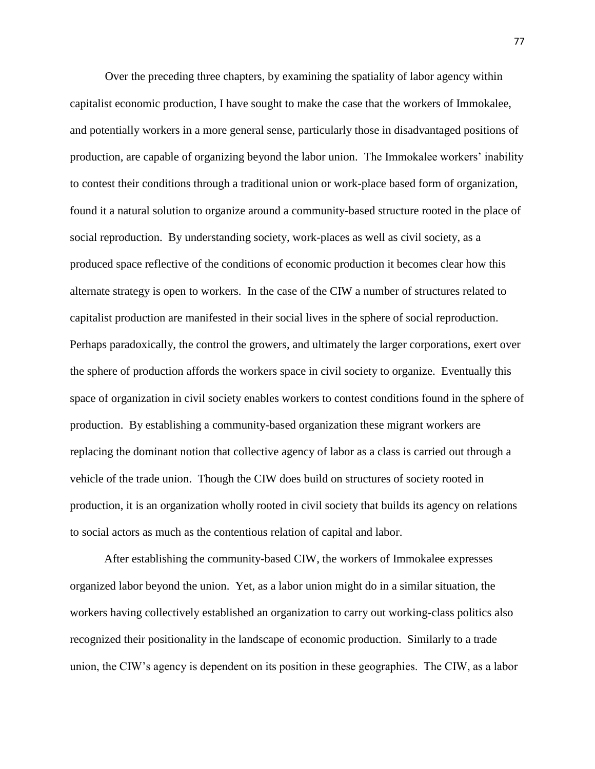Over the preceding three chapters, by examining the spatiality of labor agency within capitalist economic production, I have sought to make the case that the workers of Immokalee, and potentially workers in a more general sense, particularly those in disadvantaged positions of production, are capable of organizing beyond the labor union. The Immokalee workers' inability to contest their conditions through a traditional union or work-place based form of organization, found it a natural solution to organize around a community-based structure rooted in the place of social reproduction. By understanding society, work-places as well as civil society, as a produced space reflective of the conditions of economic production it becomes clear how this alternate strategy is open to workers. In the case of the CIW a number of structures related to capitalist production are manifested in their social lives in the sphere of social reproduction. Perhaps paradoxically, the control the growers, and ultimately the larger corporations, exert over the sphere of production affords the workers space in civil society to organize. Eventually this space of organization in civil society enables workers to contest conditions found in the sphere of production. By establishing a community-based organization these migrant workers are replacing the dominant notion that collective agency of labor as a class is carried out through a vehicle of the trade union. Though the CIW does build on structures of society rooted in production, it is an organization wholly rooted in civil society that builds its agency on relations to social actors as much as the contentious relation of capital and labor.

After establishing the community-based CIW, the workers of Immokalee expresses organized labor beyond the union. Yet, as a labor union might do in a similar situation, the workers having collectively established an organization to carry out working-class politics also recognized their positionality in the landscape of economic production. Similarly to a trade union, the CIW's agency is dependent on its position in these geographies. The CIW, as a labor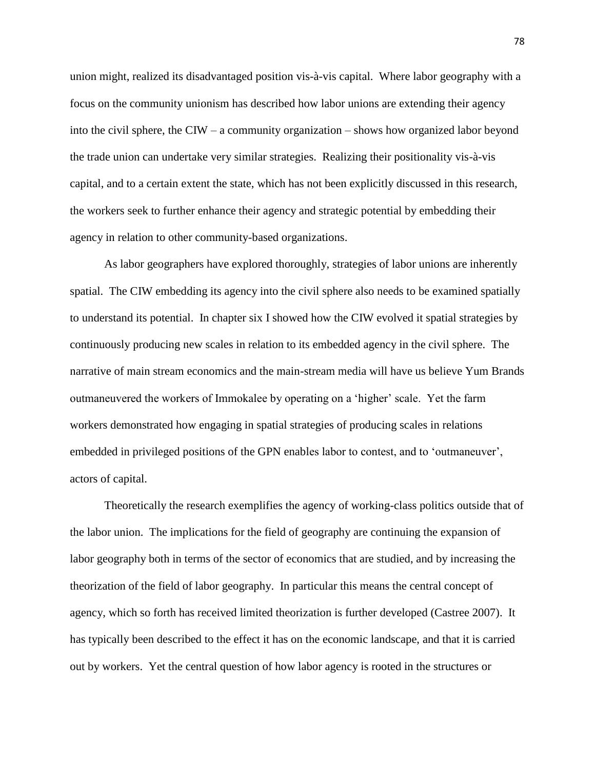union might, realized its disadvantaged position vis-à-vis capital. Where labor geography with a focus on the community unionism has described how labor unions are extending their agency into the civil sphere, the CIW – a community organization – shows how organized labor beyond the trade union can undertake very similar strategies. Realizing their positionality vis-à-vis capital, and to a certain extent the state, which has not been explicitly discussed in this research, the workers seek to further enhance their agency and strategic potential by embedding their agency in relation to other community-based organizations.

As labor geographers have explored thoroughly, strategies of labor unions are inherently spatial. The CIW embedding its agency into the civil sphere also needs to be examined spatially to understand its potential. In chapter six I showed how the CIW evolved it spatial strategies by continuously producing new scales in relation to its embedded agency in the civil sphere. The narrative of main stream economics and the main-stream media will have us believe Yum Brands outmaneuvered the workers of Immokalee by operating on a 'higher' scale. Yet the farm workers demonstrated how engaging in spatial strategies of producing scales in relations embedded in privileged positions of the GPN enables labor to contest, and to 'outmaneuver', actors of capital.

Theoretically the research exemplifies the agency of working-class politics outside that of the labor union. The implications for the field of geography are continuing the expansion of labor geography both in terms of the sector of economics that are studied, and by increasing the theorization of the field of labor geography. In particular this means the central concept of agency, which so forth has received limited theorization is further developed (Castree 2007). It has typically been described to the effect it has on the economic landscape, and that it is carried out by workers. Yet the central question of how labor agency is rooted in the structures or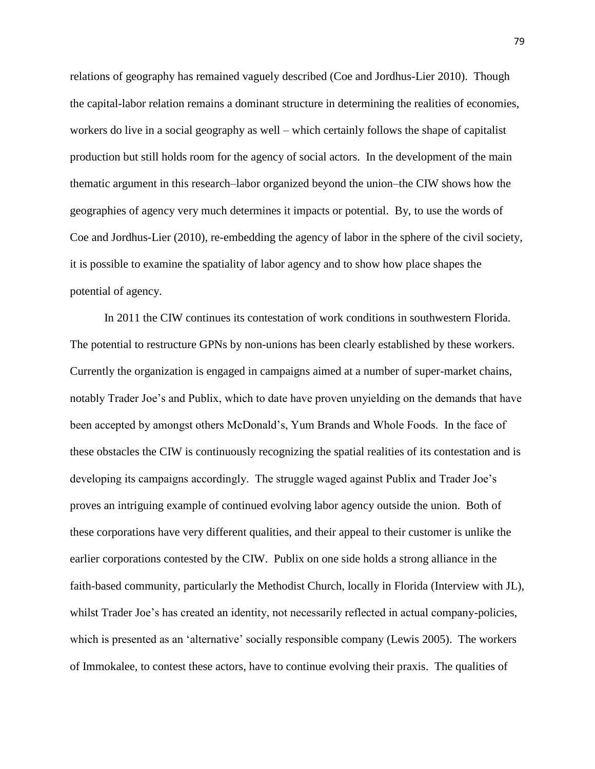relations of geography has remained vaguely described (Coe and Jordhus-Lier 2010). Though the capital-labor relation remains a dominant structure in determining the realities of economies, workers do live in a social geography as well – which certainly follows the shape of capitalist production but still holds room for the agency of social actors. In the development of the main thematic argument in this research–labor organized beyond the union–the CIW shows how the geographies of agency very much determines it impacts or potential. By, to use the words of Coe and Jordhus-Lier (2010), re-embedding the agency of labor in the sphere of the civil society, it is possible to examine the spatiality of labor agency and to show how place shapes the potential of agency.

In 2011 the CIW continues its contestation of work conditions in southwestern Florida. The potential to restructure GPNs by non-unions has been clearly established by these workers. Currently the organization is engaged in campaigns aimed at a number of super-market chains, notably Trader Joe's and Publix, which to date have proven unyielding on the demands that have been accepted by amongst others McDonald's, Yum Brands and Whole Foods. In the face of these obstacles the CIW is continuously recognizing the spatial realities of its contestation and is developing its campaigns accordingly. The struggle waged against Publix and Trader Joe's proves an intriguing example of continued evolving labor agency outside the union. Both of these corporations have very different qualities, and their appeal to their customer is unlike the earlier corporations contested by the CIW. Publix on one side holds a strong alliance in the faith-based community, particularly the Methodist Church, locally in Florida (Interview with JL), whilst Trader Joe's has created an identity, not necessarily reflected in actual company-policies, which is presented as an 'alternative' socially responsible company (Lewis 2005). The workers of Immokalee, to contest these actors, have to continue evolving their praxis. The qualities of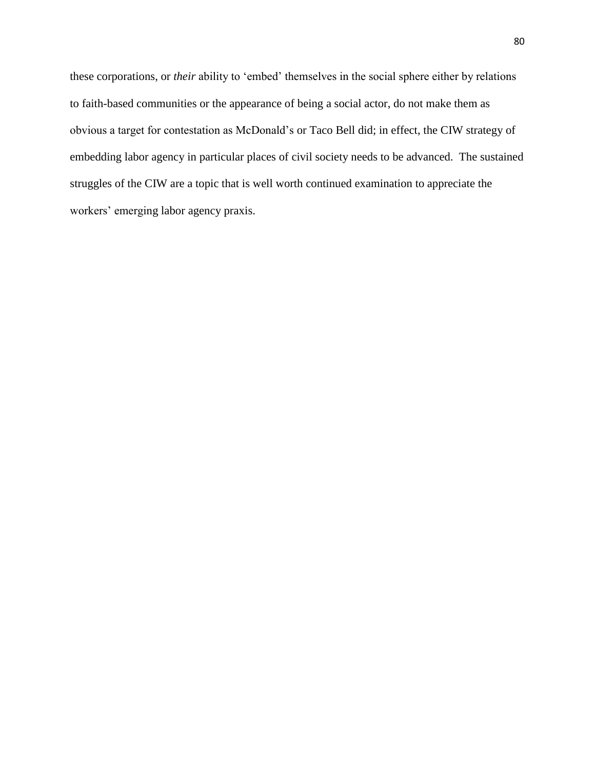these corporations, or *their* ability to 'embed' themselves in the social sphere either by relations to faith-based communities or the appearance of being a social actor, do not make them as obvious a target for contestation as McDonald's or Taco Bell did; in effect, the CIW strategy of embedding labor agency in particular places of civil society needs to be advanced. The sustained struggles of the CIW are a topic that is well worth continued examination to appreciate the workers' emerging labor agency praxis.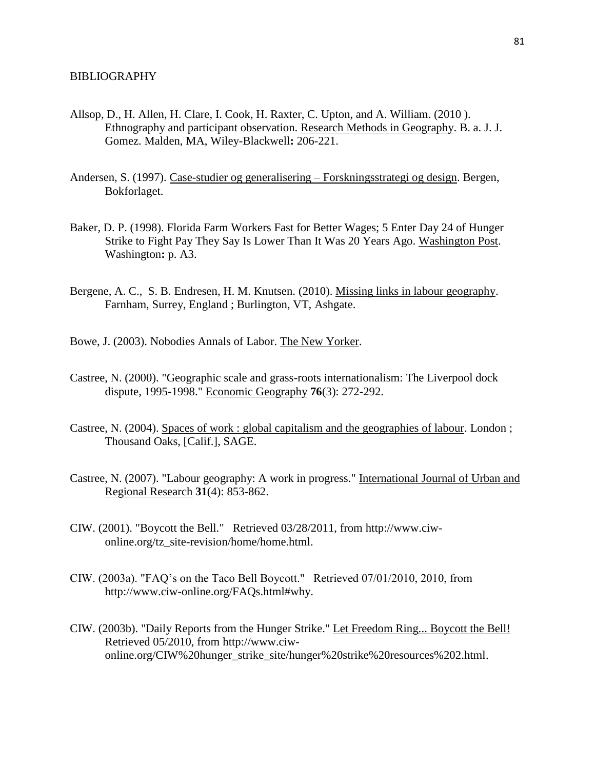- Allsop, D., H. Allen, H. Clare, I. Cook, H. Raxter, C. Upton, and A. William. (2010 ). Ethnography and participant observation. Research Methods in Geography. B. a. J. J. Gomez. Malden, MA, Wiley-Blackwell**:** 206-221.
- Andersen, S. (1997). Case-studier og generalisering Forskningsstrategi og design. Bergen, Bokforlaget.
- Baker, D. P. (1998). Florida Farm Workers Fast for Better Wages; 5 Enter Day 24 of Hunger Strike to Fight Pay They Say Is Lower Than It Was 20 Years Ago. Washington Post. Washington**:** p. A3.
- Bergene, A. C., S. B. Endresen, H. M. Knutsen. (2010). Missing links in labour geography. Farnham, Surrey, England ; Burlington, VT, Ashgate.
- Bowe, J. (2003). Nobodies Annals of Labor. The New Yorker.
- Castree, N. (2000). "Geographic scale and grass-roots internationalism: The Liverpool dock dispute, 1995-1998." Economic Geography **76**(3): 272-292.
- Castree, N. (2004). Spaces of work : global capitalism and the geographies of labour. London ; Thousand Oaks, [Calif.], SAGE.
- Castree, N. (2007). "Labour geography: A work in progress." International Journal of Urban and Regional Research **31**(4): 853-862.
- CIW. (2001). "Boycott the Bell." Retrieved 03/28/2011, from http://www.ciwonline.org/tz\_site-revision/home/home.html.
- CIW. (2003a). "FAQ's on the Taco Bell Boycott." Retrieved 07/01/2010, 2010, from http://www.ciw-online.org/FAQs.html#why.
- CIW. (2003b). "Daily Reports from the Hunger Strike." Let Freedom Ring... Boycott the Bell! Retrieved 05/2010, from http://www.ciwonline.org/CIW%20hunger\_strike\_site/hunger%20strike%20resources%202.html.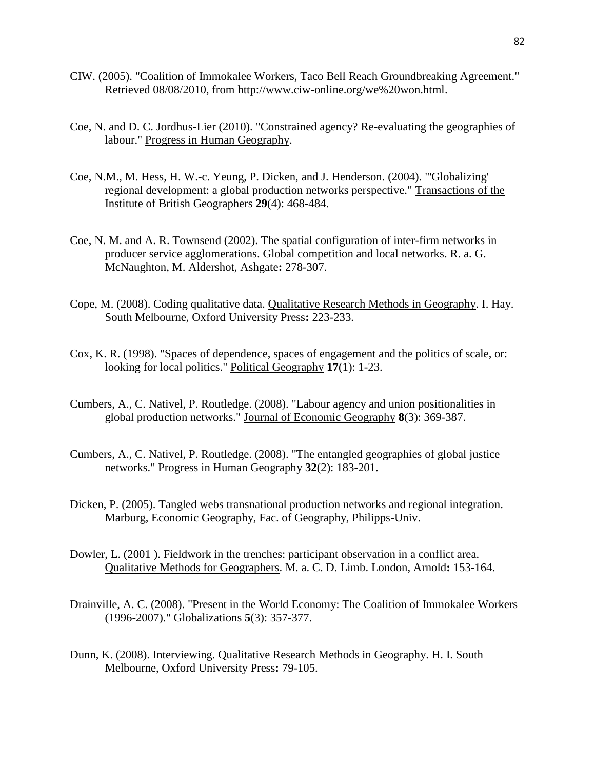- CIW. (2005). "Coalition of Immokalee Workers, Taco Bell Reach Groundbreaking Agreement." Retrieved 08/08/2010, from http://www.ciw-online.org/we%20won.html.
- Coe, N. and D. C. Jordhus-Lier (2010). "Constrained agency? Re-evaluating the geographies of labour." Progress in Human Geography.
- Coe, N.M., M. Hess, H. W.-c. Yeung, P. Dicken, and J. Henderson. (2004). "'Globalizing' regional development: a global production networks perspective." Transactions of the Institute of British Geographers **29**(4): 468-484.
- Coe, N. M. and A. R. Townsend (2002). The spatial configuration of inter-firm networks in producer service agglomerations. Global competition and local networks. R. a. G. McNaughton, M. Aldershot, Ashgate**:** 278-307.
- Cope, M. (2008). Coding qualitative data. Qualitative Research Methods in Geography. I. Hay. South Melbourne, Oxford University Press**:** 223-233.
- Cox, K. R. (1998). "Spaces of dependence, spaces of engagement and the politics of scale, or: looking for local politics." Political Geography **17**(1): 1-23.
- Cumbers, A., C. Nativel, P. Routledge. (2008). "Labour agency and union positionalities in global production networks." Journal of Economic Geography **8**(3): 369-387.
- Cumbers, A., C. Nativel, P. Routledge. (2008). "The entangled geographies of global justice networks." Progress in Human Geography **32**(2): 183-201.
- Dicken, P. (2005). Tangled webs transnational production networks and regional integration. Marburg, Economic Geography, Fac. of Geography, Philipps-Univ.
- Dowler, L. (2001 ). Fieldwork in the trenches: participant observation in a conflict area. Qualitative Methods for Geographers. M. a. C. D. Limb. London, Arnold**:** 153-164.
- Drainville, A. C. (2008). "Present in the World Economy: The Coalition of Immokalee Workers (1996-2007)." Globalizations **5**(3): 357-377.
- Dunn, K. (2008). Interviewing. Qualitative Research Methods in Geography. H. I. South Melbourne, Oxford University Press**:** 79-105.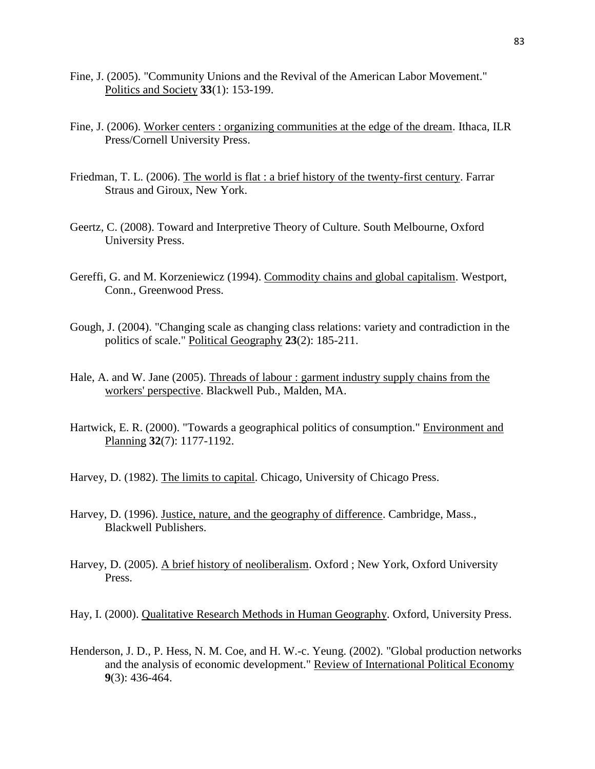- Fine, J. (2005). "Community Unions and the Revival of the American Labor Movement." Politics and Society **33**(1): 153-199.
- Fine, J. (2006). Worker centers : organizing communities at the edge of the dream. Ithaca, ILR Press/Cornell University Press.
- Friedman, T. L. (2006). The world is flat : a brief history of the twenty-first century. Farrar Straus and Giroux, New York.
- Geertz, C. (2008). Toward and Interpretive Theory of Culture. South Melbourne, Oxford University Press.
- Gereffi, G. and M. Korzeniewicz (1994). Commodity chains and global capitalism. Westport, Conn., Greenwood Press.
- Gough, J. (2004). "Changing scale as changing class relations: variety and contradiction in the politics of scale." Political Geography **23**(2): 185-211.
- Hale, A. and W. Jane (2005). Threads of labour : garment industry supply chains from the workers' perspective. Blackwell Pub., Malden, MA.
- Hartwick, E. R. (2000). "Towards a geographical politics of consumption." Environment and Planning **32**(7): 1177-1192.
- Harvey, D. (1982). The limits to capital. Chicago, University of Chicago Press.
- Harvey, D. (1996). Justice, nature, and the geography of difference. Cambridge, Mass., Blackwell Publishers.
- Harvey, D. (2005). A brief history of neoliberalism. Oxford ; New York, Oxford University Press.

Hay, I. (2000). Qualitative Research Methods in Human Geography. Oxford, University Press.

Henderson, J. D., P. Hess, N. M. Coe, and H. W.-c. Yeung. (2002). "Global production networks and the analysis of economic development." Review of International Political Economy **9**(3): 436-464.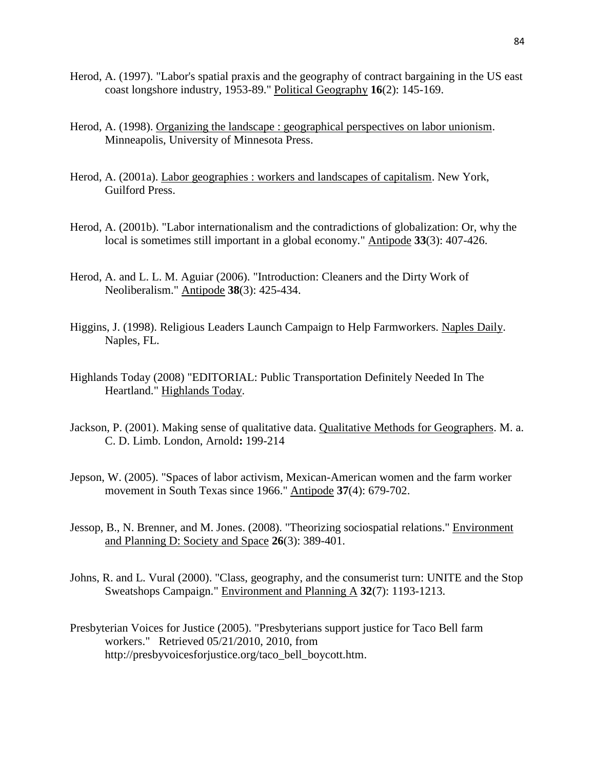- Herod, A. (1997). "Labor's spatial praxis and the geography of contract bargaining in the US east coast longshore industry, 1953-89." Political Geography **16**(2): 145-169.
- Herod, A. (1998). Organizing the landscape : geographical perspectives on labor unionism. Minneapolis, University of Minnesota Press.
- Herod, A. (2001a). Labor geographies : workers and landscapes of capitalism. New York, Guilford Press.
- Herod, A. (2001b). "Labor internationalism and the contradictions of globalization: Or, why the local is sometimes still important in a global economy." Antipode **33**(3): 407-426.
- Herod, A. and L. L. M. Aguiar (2006). "Introduction: Cleaners and the Dirty Work of Neoliberalism." Antipode **38**(3): 425-434.
- Higgins, J. (1998). Religious Leaders Launch Campaign to Help Farmworkers. Naples Daily. Naples, FL.
- Highlands Today (2008) "EDITORIAL: Public Transportation Definitely Needed In The Heartland." Highlands Today.
- Jackson, P. (2001). Making sense of qualitative data. Qualitative Methods for Geographers. M. a. C. D. Limb. London, Arnold**:** 199-214
- Jepson, W. (2005). "Spaces of labor activism, Mexican-American women and the farm worker movement in South Texas since 1966." Antipode **37**(4): 679-702.
- Jessop, B., N. Brenner, and M. Jones. (2008). "Theorizing sociospatial relations." Environment and Planning D: Society and Space **26**(3): 389-401.
- Johns, R. and L. Vural (2000). "Class, geography, and the consumerist turn: UNITE and the Stop Sweatshops Campaign." Environment and Planning A **32**(7): 1193-1213.
- Presbyterian Voices for Justice (2005). "Presbyterians support justice for Taco Bell farm workers." Retrieved 05/21/2010, 2010, from http://presbyvoicesforjustice.org/taco\_bell\_boycott.htm.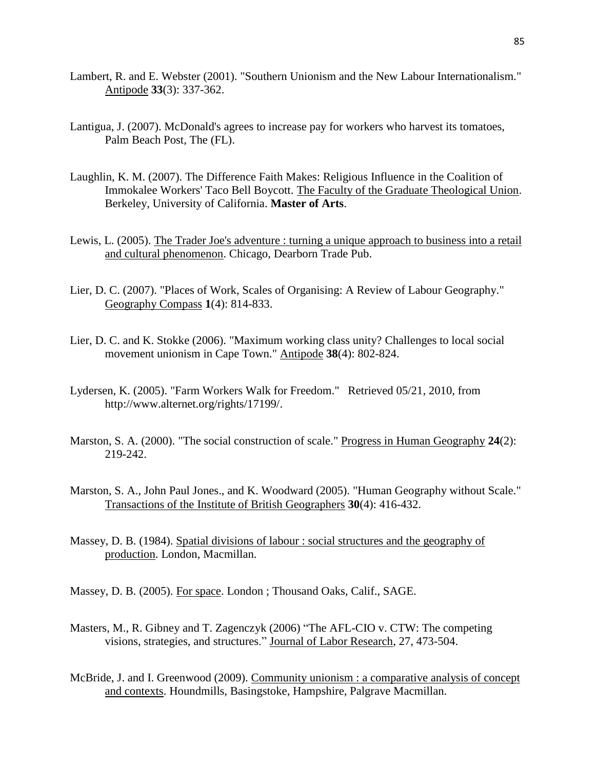- Lambert, R. and E. Webster (2001). "Southern Unionism and the New Labour Internationalism." Antipode **33**(3): 337-362.
- Lantigua, J. (2007). McDonald's agrees to increase pay for workers who harvest its tomatoes, Palm Beach Post, The (FL).
- Laughlin, K. M. (2007). The Difference Faith Makes: Religious Influence in the Coalition of Immokalee Workers' Taco Bell Boycott. The Faculty of the Graduate Theological Union. Berkeley, University of California. **Master of Arts**.
- Lewis, L. (2005). The Trader Joe's adventure : turning a unique approach to business into a retail and cultural phenomenon. Chicago, Dearborn Trade Pub.
- Lier, D. C. (2007). "Places of Work, Scales of Organising: A Review of Labour Geography." Geography Compass **1**(4): 814-833.
- Lier, D. C. and K. Stokke (2006). "Maximum working class unity? Challenges to local social movement unionism in Cape Town." Antipode **38**(4): 802-824.
- Lydersen, K. (2005). "Farm Workers Walk for Freedom." Retrieved 05/21, 2010, from http://www.alternet.org/rights/17199/.
- Marston, S. A. (2000). "The social construction of scale." Progress in Human Geography **24**(2): 219-242.
- Marston, S. A., John Paul Jones., and K. Woodward (2005). "Human Geography without Scale." Transactions of the Institute of British Geographers **30**(4): 416-432.
- Massey, D. B. (1984). Spatial divisions of labour : social structures and the geography of production. London, Macmillan.
- Massey, D. B. (2005). For space. London ; Thousand Oaks, Calif., SAGE.
- Masters, M., R. Gibney and T. Zagenczyk (2006) "The AFL-CIO v. CTW: The competing visions, strategies, and structures." Journal of Labor Research, 27, 473-504.
- McBride, J. and I. Greenwood (2009). Community unionism : a comparative analysis of concept and contexts. Houndmills, Basingstoke, Hampshire, Palgrave Macmillan.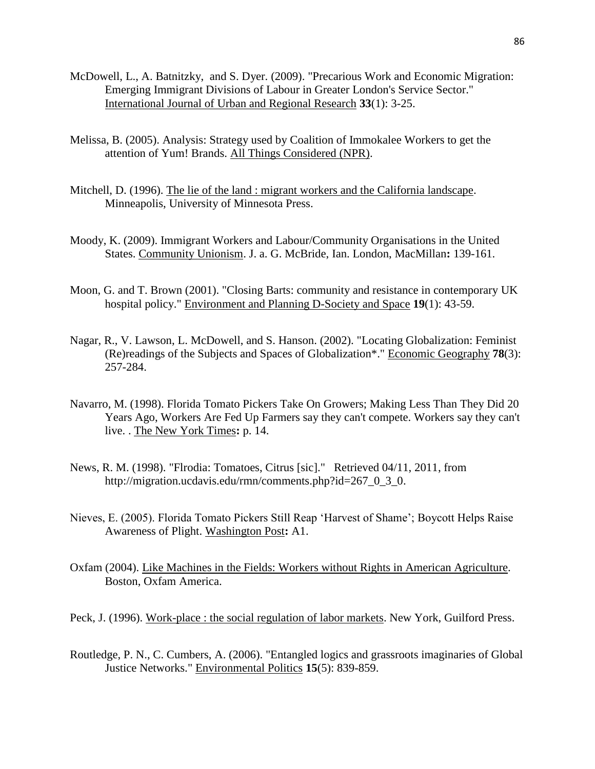- McDowell, L., A. Batnitzky, and S. Dyer. (2009). "Precarious Work and Economic Migration: Emerging Immigrant Divisions of Labour in Greater London's Service Sector." International Journal of Urban and Regional Research **33**(1): 3-25.
- Melissa, B. (2005). Analysis: Strategy used by Coalition of Immokalee Workers to get the attention of Yum! Brands. All Things Considered (NPR).
- Mitchell, D. (1996). The lie of the land : migrant workers and the California landscape. Minneapolis, University of Minnesota Press.
- Moody, K. (2009). Immigrant Workers and Labour/Community Organisations in the United States. Community Unionism. J. a. G. McBride, Ian. London, MacMillan**:** 139-161.
- Moon, G. and T. Brown (2001). "Closing Barts: community and resistance in contemporary UK hospital policy." Environment and Planning D-Society and Space **19**(1): 43-59.
- Nagar, R., V. Lawson, L. McDowell, and S. Hanson. (2002). "Locating Globalization: Feminist (Re)readings of the Subjects and Spaces of Globalization\*." Economic Geography **78**(3): 257-284.
- Navarro, M. (1998). Florida Tomato Pickers Take On Growers; Making Less Than They Did 20 Years Ago, Workers Are Fed Up Farmers say they can't compete. Workers say they can't live. . The New York Times**:** p. 14.
- News, R. M. (1998). "Flrodia: Tomatoes, Citrus [sic]." Retrieved 04/11, 2011, from http://migration.ucdavis.edu/rmn/comments.php?id=267\_0\_3\_0.
- Nieves, E. (2005). Florida Tomato Pickers Still Reap 'Harvest of Shame'; Boycott Helps Raise Awareness of Plight. Washington Post**:** A1.
- Oxfam (2004). Like Machines in the Fields: Workers without Rights in American Agriculture. Boston, Oxfam America.

Peck, J. (1996). Work-place : the social regulation of labor markets. New York, Guilford Press.

Routledge, P. N., C. Cumbers, A. (2006). "Entangled logics and grassroots imaginaries of Global Justice Networks." Environmental Politics **15**(5): 839-859.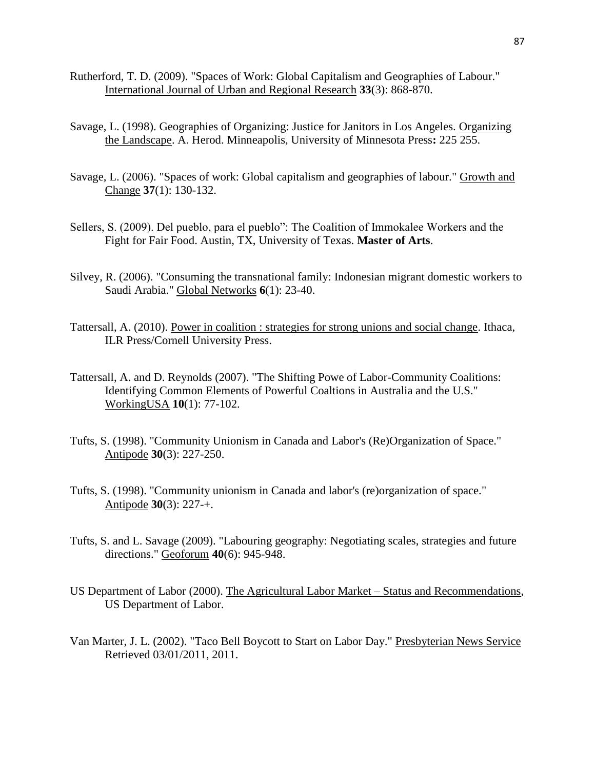- Rutherford, T. D. (2009). "Spaces of Work: Global Capitalism and Geographies of Labour." International Journal of Urban and Regional Research **33**(3): 868-870.
- Savage, L. (1998). Geographies of Organizing: Justice for Janitors in Los Angeles. Organizing the Landscape. A. Herod. Minneapolis, University of Minnesota Press**:** 225 255.
- Savage, L. (2006). "Spaces of work: Global capitalism and geographies of labour." Growth and Change **37**(1): 130-132.
- Sellers, S. (2009). Del pueblo, para el pueblo": The Coalition of Immokalee Workers and the Fight for Fair Food. Austin, TX, University of Texas. **Master of Arts**.
- Silvey, R. (2006). "Consuming the transnational family: Indonesian migrant domestic workers to Saudi Arabia." Global Networks **6**(1): 23-40.
- Tattersall, A. (2010). Power in coalition : strategies for strong unions and social change. Ithaca, ILR Press/Cornell University Press.
- Tattersall, A. and D. Reynolds (2007). "The Shifting Powe of Labor-Community Coalitions: Identifying Common Elements of Powerful Coaltions in Australia and the U.S." WorkingUSA **10**(1): 77-102.
- Tufts, S. (1998). "Community Unionism in Canada and Labor's (Re)Organization of Space." Antipode **30**(3): 227-250.
- Tufts, S. (1998). "Community unionism in Canada and labor's (re)organization of space." Antipode **30**(3): 227-+.
- Tufts, S. and L. Savage (2009). "Labouring geography: Negotiating scales, strategies and future directions." Geoforum **40**(6): 945-948.
- US Department of Labor (2000). The Agricultural Labor Market Status and Recommendations, US Department of Labor.
- Van Marter, J. L. (2002). "Taco Bell Boycott to Start on Labor Day." Presbyterian News Service Retrieved 03/01/2011, 2011.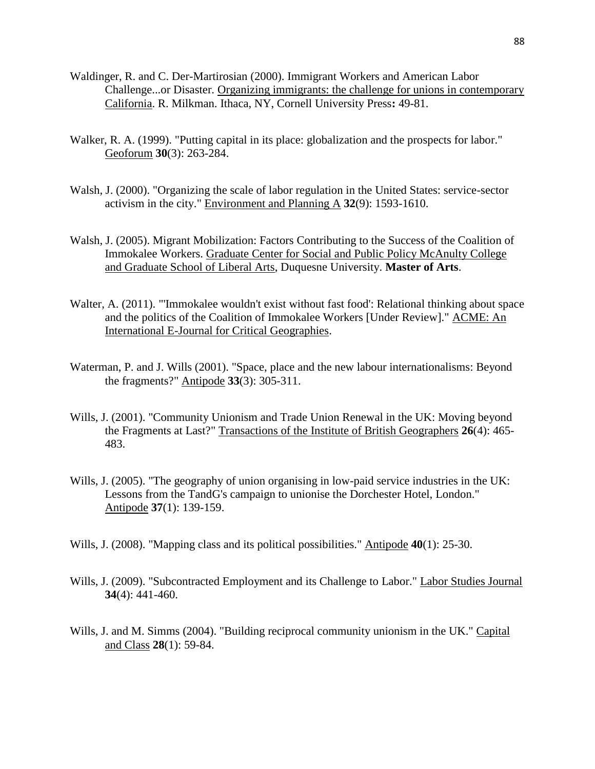- Waldinger, R. and C. Der-Martirosian (2000). Immigrant Workers and American Labor Challenge...or Disaster. Organizing immigrants: the challenge for unions in contemporary California. R. Milkman. Ithaca, NY, Cornell University Press**:** 49-81.
- Walker, R. A. (1999). "Putting capital in its place: globalization and the prospects for labor." Geoforum **30**(3): 263-284.
- Walsh, J. (2000). "Organizing the scale of labor regulation in the United States: service-sector activism in the city." Environment and Planning A **32**(9): 1593-1610.
- Walsh, J. (2005). Migrant Mobilization: Factors Contributing to the Success of the Coalition of Immokalee Workers. Graduate Center for Social and Public Policy McAnulty College and Graduate School of Liberal Arts, Duquesne University. **Master of Arts**.
- Walter, A. (2011). "'Immokalee wouldn't exist without fast food': Relational thinking about space and the politics of the Coalition of Immokalee Workers [Under Review]." ACME: An International E-Journal for Critical Geographies.
- Waterman, P. and J. Wills (2001). "Space, place and the new labour internationalisms: Beyond the fragments?" Antipode **33**(3): 305-311.
- Wills, J. (2001). "Community Unionism and Trade Union Renewal in the UK: Moving beyond the Fragments at Last?" Transactions of the Institute of British Geographers **26**(4): 465- 483.
- Wills, J. (2005). "The geography of union organising in low-paid service industries in the UK: Lessons from the TandG's campaign to unionise the Dorchester Hotel, London." Antipode **37**(1): 139-159.
- Wills, J. (2008). "Mapping class and its political possibilities." Antipode **40**(1): 25-30.
- Wills, J. (2009). "Subcontracted Employment and its Challenge to Labor." Labor Studies Journal **34**(4): 441-460.
- Wills, J. and M. Simms (2004). "Building reciprocal community unionism in the UK." Capital and Class **28**(1): 59-84.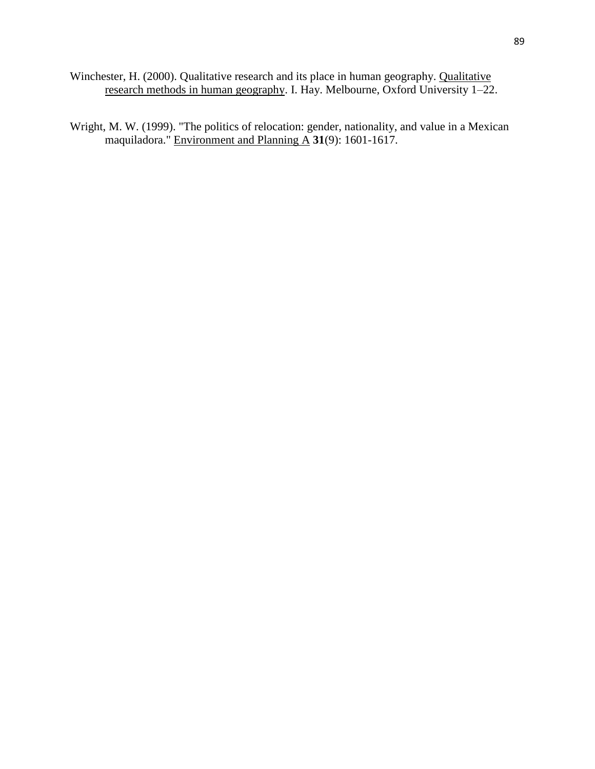- Winchester, H. (2000). Qualitative research and its place in human geography. Qualitative research methods in human geography. I. Hay. Melbourne, Oxford University 1–22.
- Wright, M. W. (1999). "The politics of relocation: gender, nationality, and value in a Mexican maquiladora." Environment and Planning A **31**(9): 1601-1617.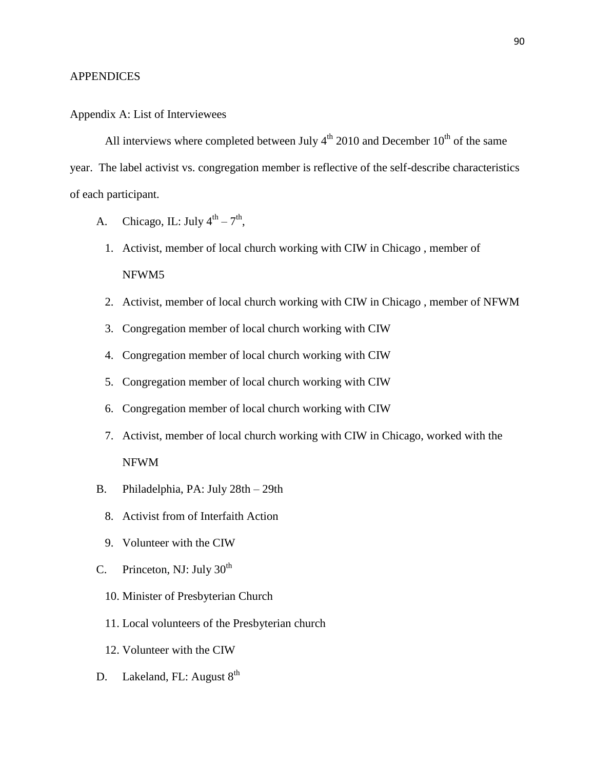#### **APPENDICES**

### Appendix A: List of Interviewees

All interviews where completed between July  $4<sup>th</sup>$  2010 and December 10<sup>th</sup> of the same year. The label activist vs. congregation member is reflective of the self-describe characteristics of each participant.

- A. Chicago, IL: July  $4^{th} 7^{th}$ ,
	- 1. Activist, member of local church working with CIW in Chicago , member of NFWM5
	- 2. Activist, member of local church working with CIW in Chicago , member of NFWM
	- 3. Congregation member of local church working with CIW
	- 4. Congregation member of local church working with CIW
	- 5. Congregation member of local church working with CIW
	- 6. Congregation member of local church working with CIW
	- 7. Activist, member of local church working with CIW in Chicago, worked with the NFWM
- B. Philadelphia, PA: July 28th 29th
	- 8. Activist from of Interfaith Action
	- 9. Volunteer with the CIW
- C. Princeton, NJ: July  $30<sup>th</sup>$ 
	- 10. Minister of Presbyterian Church
	- 11. Local volunteers of the Presbyterian church
	- 12. Volunteer with the CIW
- D. Lakeland, FL: August  $8<sup>th</sup>$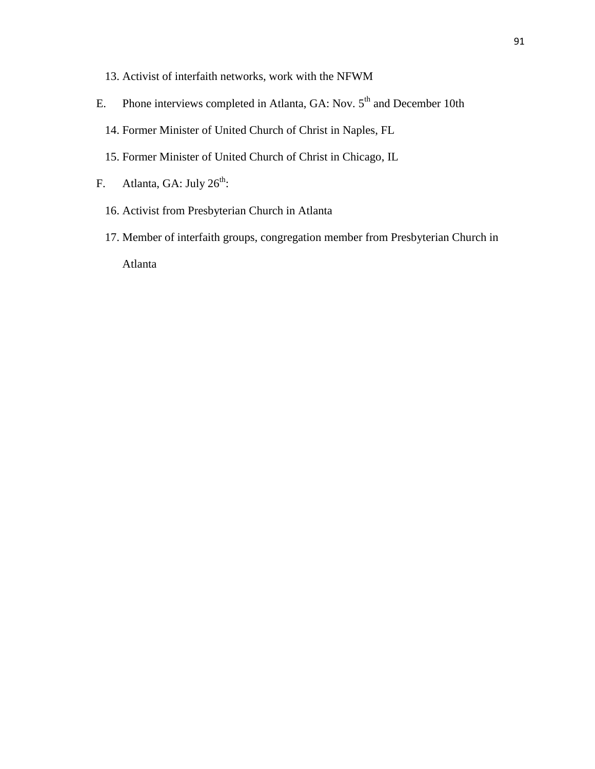- 13. Activist of interfaith networks, work with the NFWM
- E. Phone interviews completed in Atlanta, GA: Nov.  $5<sup>th</sup>$  and December 10th
	- 14. Former Minister of United Church of Christ in Naples, FL
	- 15. Former Minister of United Church of Christ in Chicago, IL
- F. Atlanta, GA: July  $26<sup>th</sup>$ :
	- 16. Activist from Presbyterian Church in Atlanta
	- 17. Member of interfaith groups, congregation member from Presbyterian Church in

Atlanta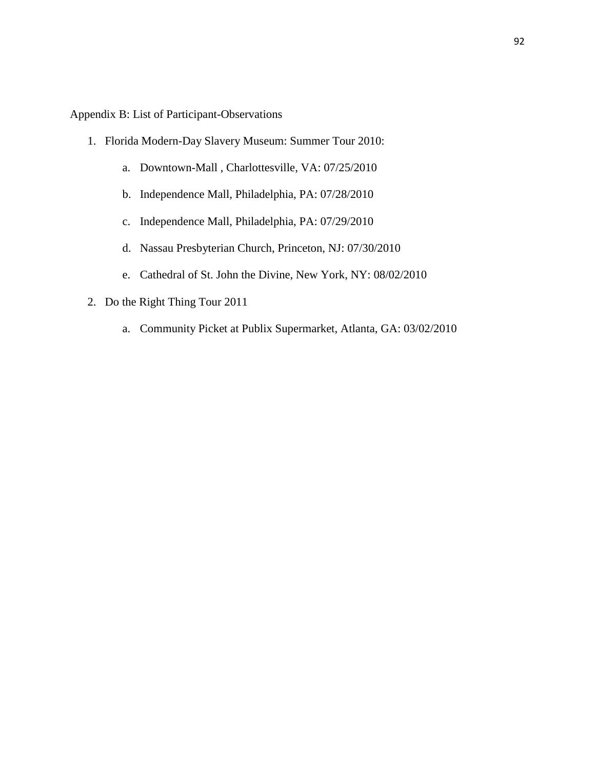Appendix B: List of Participant-Observations

- 1. Florida Modern-Day Slavery Museum: Summer Tour 2010:
	- a. Downtown-Mall , Charlottesville, VA: 07/25/2010
	- b. Independence Mall, Philadelphia, PA: 07/28/2010
	- c. Independence Mall, Philadelphia, PA: 07/29/2010
	- d. Nassau Presbyterian Church, Princeton, NJ: 07/30/2010
	- e. Cathedral of St. John the Divine, New York, NY: 08/02/2010
- 2. Do the Right Thing Tour 2011
	- a. Community Picket at Publix Supermarket, Atlanta, GA: 03/02/2010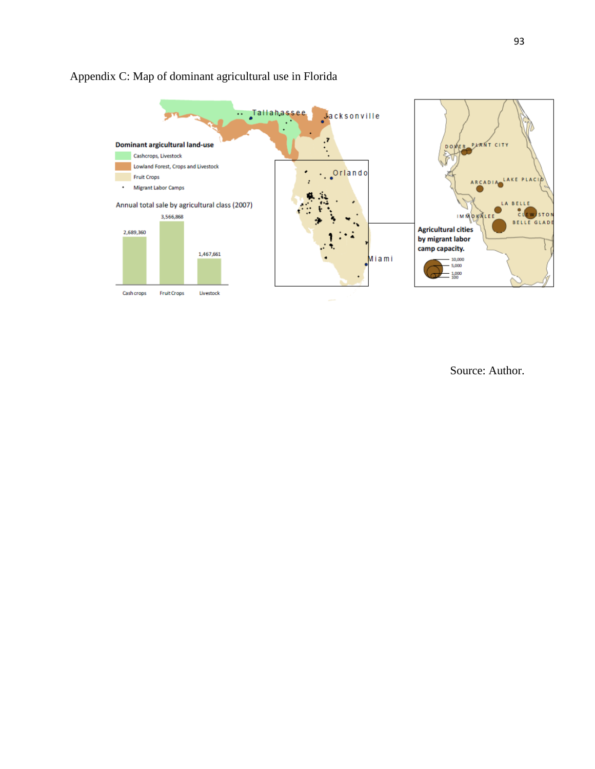

# Appendix C: Map of dominant agricultural use in Florida

Source: Author.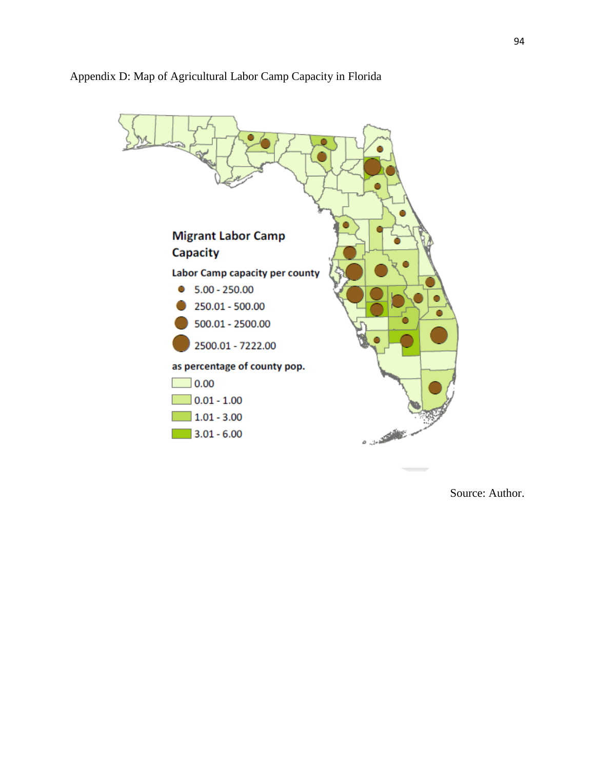

## Appendix D: Map of Agricultural Labor Camp Capacity in Florida

Source: Author.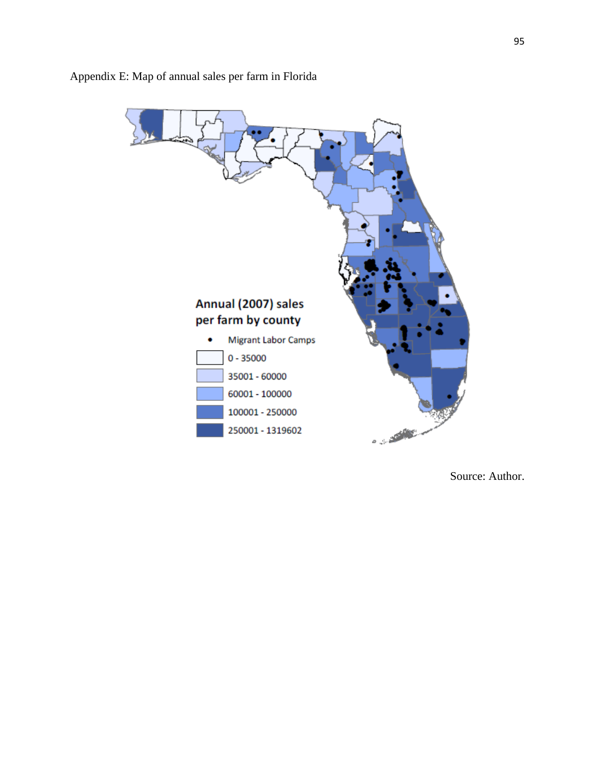

Appendix E: Map of annual sales per farm in Florida

Source: Author.